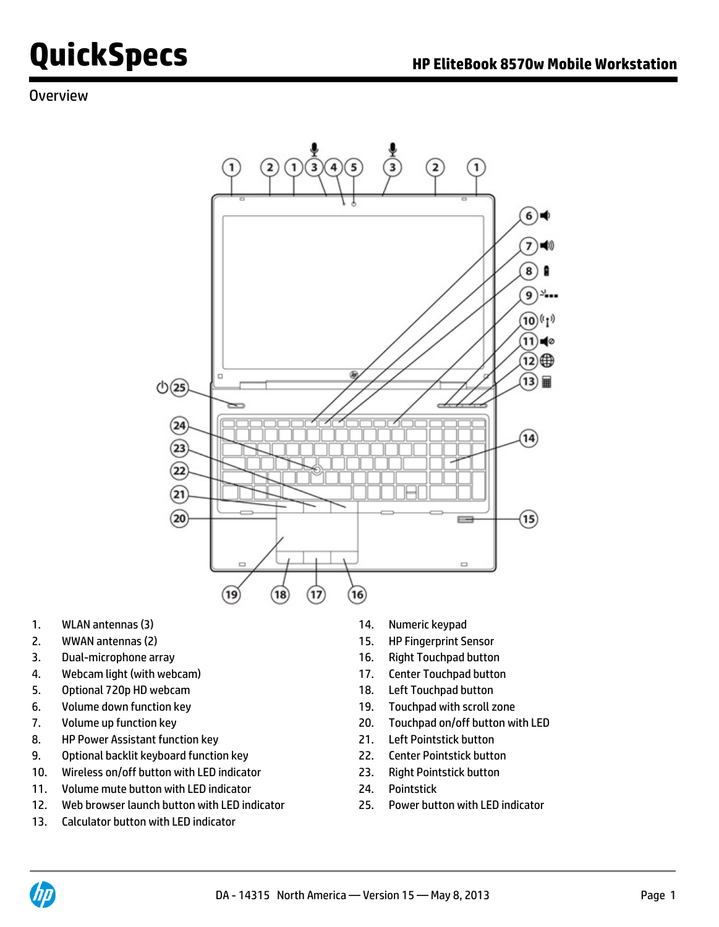### **Overview**



- 1. WLAN antennas (3) 14. Numeric keypad
- 2. WWAN antennas (2) 15. HP Fingerprint Sensor
- 3. Dual-microphone array 16. Right Touchpad button
- 4. Webcam light (with webcam) 17. Center Touchpad button
- 5. Optional 720p HD webcam 18. Left Touchpad button
- 6. Volume down function key 19. Touchpad with scroll zone
- 
- 8. HP Power Assistant function key 21. Left Pointstick button
- 9. Optional backlit keyboard function key 22. Center Pointstick button
- 10. Wireless on/off button with LED indicator 23. Right Pointstick button
- 11. Volume mute button with LED indicator 24. Pointstick
- 12. Web browser launch button with LED indicator 25. Power button with LED indicator
- 13. Calculator button with LED indicator
- 
- 
- 
- 
- 
- 
- 7. Volume up function key 20. Touchpad on/off button with LED
	-
	-
	-
	-
	-

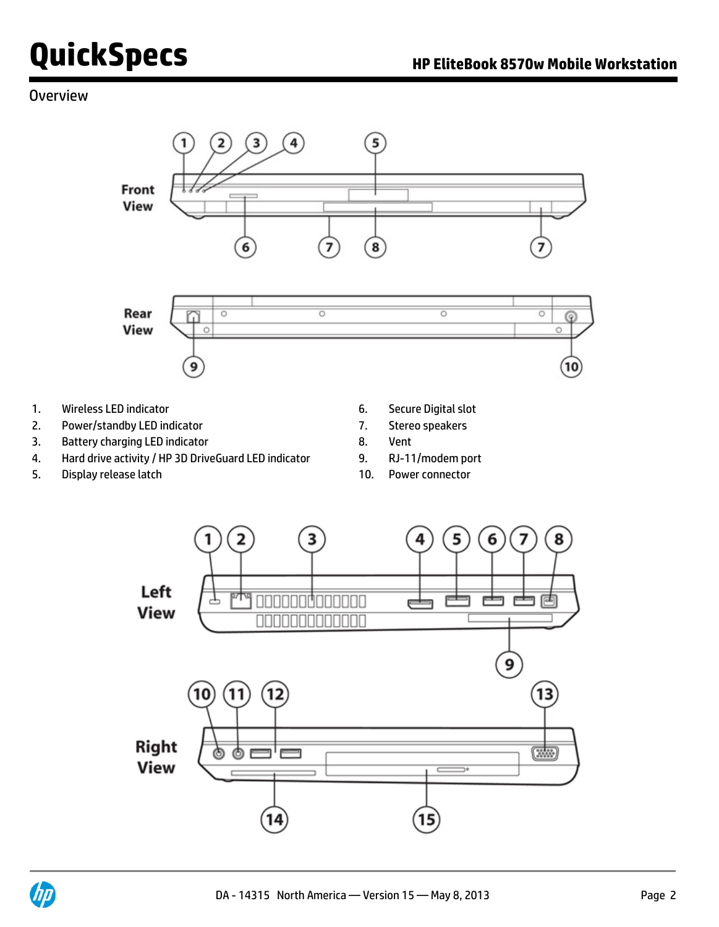### **Overview**



- 1. Wireless LED indicator 6. Secure Digital slot
- 2. Power/standby LED indicator 7. Stereo speakers
- 3. Battery charging LED indicator **8.** Vent
- 4. Hard drive activity / HP 3D DriveGuard LED indicator 9. RJ-11/modem port
- 5. Display release latch 10. Power connector
- 
- 
- 
- 
- 



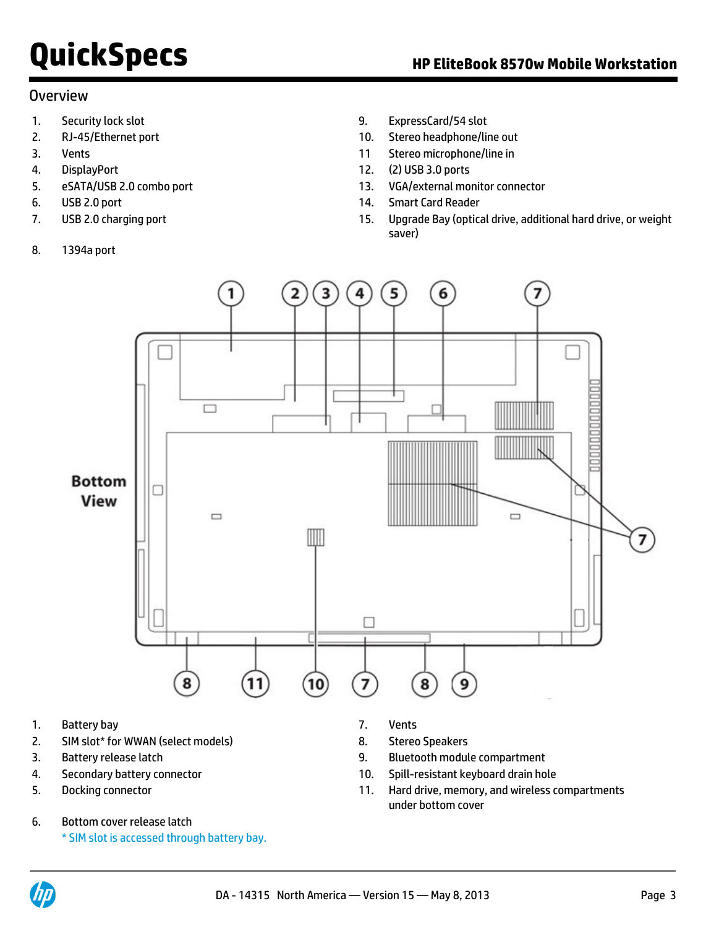#### Overview

- 
- 
- 
- 
- 
- 
- 
- 8. 1394a port
- 1. Security lock slot 6. ExpressCard/54 slot 9. ExpressCard/54 slot
- 2. RJ-45/Ethernet port 10. Stereo headphone/line out
- 3. Vents 11 Stereo microphone/line in
- 4. DisplayPort 12. (2) USB 3.0 ports
- 5. eSATA/USB 2.0 combo port 13. VGA/external monitor connector
- 6. USB 2.0 port 14. Smart Card Reader
- 7. USB 2.0 charging port 15. Upgrade Bay (optical drive, additional hard drive, or weight saver)



- 1. Battery bay 7. Vents
- 2. SIM slot\* for WWAN (select models) 8. Stereo Speakers
- 
- 
- 
- 6. Bottom cover release latch
	- \* SIM slot is accessed through battery bay.
- 
- 
- 3. Battery release latch 9. Bluetooth module compartment
- 4. Secondary battery connector 10. Spill-resistant keyboard drain hole
- 5. Docking connector 11. Hard drive, memory, and wireless compartments under bottom cover

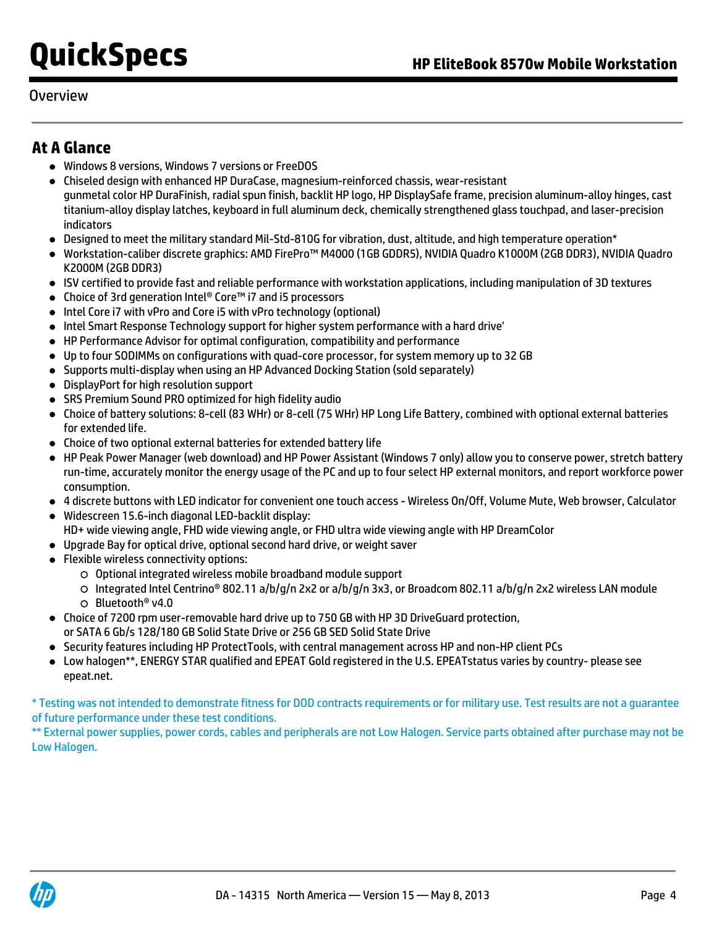### Overview

## **At A Glance**

- Windows 8 versions, Windows 7 versions or FreeDOS
- Chiseled design with enhanced HP DuraCase, magnesium-reinforced chassis, wear-resistant gunmetal color HP DuraFinish, radial spun finish, backlit HP logo, HP DisplaySafe frame, precision aluminum-alloy hinges, cast titanium-alloy display latches, keyboard in full aluminum deck, chemically strengthened glass touchpad, and laser-precision indicators
- Designed to meet the military standard Mil-Std-810G for vibration, dust, altitude, and high temperature operation\*
- Workstation-caliber discrete graphics: AMD FirePro™ M4000 (1GB GDDR5), NVIDIA Quadro K1000M (2GB DDR3), NVIDIA Quadro K2000M (2GB DDR3)
- ISV certified to provide fast and reliable performance with workstation applications, including manipulation of 3D textures
- Choice of 3rd generation Intel® Core™ i7 and i5 processors
- Intel Core i7 with vPro and Core i5 with vPro technology (optional)
- Intel Smart Response Technology support for higher system performance with a hard drive'
- HP Performance Advisor for optimal configuration, compatibility and performance
- Up to four SODIMMs on configurations with quad-core processor, for system memory up to 32 GB
- Supports multi-display when using an HP Advanced Docking Station (sold separately)
- DisplayPort for high resolution support
- SRS Premium Sound PRO optimized for high fidelity audio
- Choice of battery solutions: 8-cell (83 WHr) or 8-cell (75 WHr) HP Long Life Battery, combined with optional external batteries for extended life.
- Choice of two optional external batteries for extended battery life
- HP Peak Power Manager (web download) and HP Power Assistant (Windows 7 only) allow you to conserve power, stretch battery run-time, accurately monitor the energy usage of the PC and up to four select HP external monitors, and report workforce power consumption.
- 4 discrete buttons with LED indicator for convenient one touch access Wireless On/Off, Volume Mute, Web browser, Calculator
- Widescreen 15.6-inch diagonal LED-backlit display: HD+ wide viewing angle, FHD wide viewing angle, or FHD ultra wide viewing angle with HP DreamColor
- Upgrade Bay for optical drive, optional second hard drive, or weight saver
- Flexible wireless connectivity options:
	- Optional integrated wireless mobile broadband module support
	- Integrated Intel Centrino® 802.11 a/b/g/n 2x2 or a/b/g/n 3x3, or Broadcom 802.11 a/b/g/n 2x2 wireless LAN module Bluetooth® v4.0
- Choice of 7200 rpm user-removable hard drive up to 750 GB with HP 3D DriveGuard protection,
	- or SATA 6 Gb/s 128/180 GB Solid State Drive or 256 GB SED Solid State Drive
- Security features including HP ProtectTools, with central management across HP and non-HP client PCs
- Low halogen\*\*, ENERGY STAR qualified and EPEAT Gold registered in the U.S. EPEATstatus varies by country- please see epeat.net.

\* Testing was not intended to demonstrate fitness for DOD contracts requirements or for military use. Test results are not a guarantee of future performance under these test conditions.

\*\* External power supplies, power cords, cables and peripherals are not Low Halogen. Service parts obtained after purchase may not be Low Halogen.

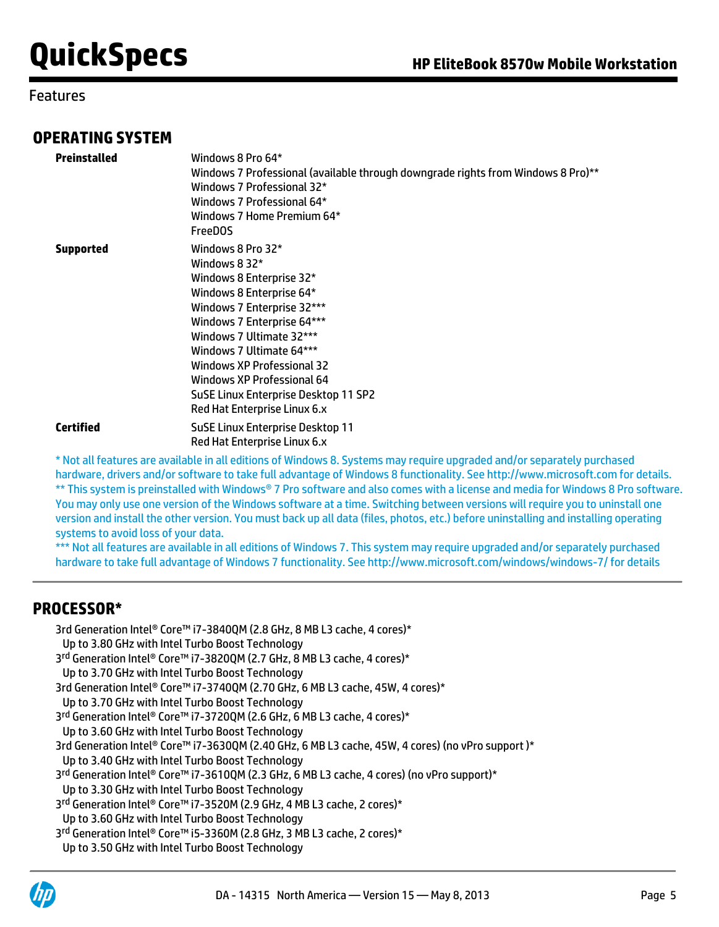### Features

### **OPERATING SYSTEM**

| Preinstalled     | Windows 8 Pro 64*<br>Windows 7 Professional (available through downgrade rights from Windows 8 Pro)**<br>Windows 7 Professional 32*<br>Windows 7 Professional 64*<br>Windows 7 Home Premium 64*<br><b>FreeDOS</b>                                                                                                                                  |
|------------------|----------------------------------------------------------------------------------------------------------------------------------------------------------------------------------------------------------------------------------------------------------------------------------------------------------------------------------------------------|
| <b>Supported</b> | Windows 8 Pro 32*<br>Windows 8 32*<br>Windows 8 Enterprise 32*<br>Windows 8 Enterprise 64*<br>Windows 7 Enterprise 32***<br>Windows 7 Enterprise 64***<br>Windows 7 Ultimate 32***<br>Windows 7 Ultimate 64***<br>Windows XP Professional 32<br>Windows XP Professional 64<br>SuSE Linux Enterprise Desktop 11 SP2<br>Red Hat Enterprise Linux 6.x |
| <b>Certified</b> | SuSE Linux Enterprise Desktop 11<br>Red Hat Enterprise Linux 6.x                                                                                                                                                                                                                                                                                   |

\* Not all features are available in all editions of Windows 8. Systems may require upgraded and/or separately purchased hardware, drivers and/or software to take full advantage of Windows 8 functionality. See<http://www.microsoft.com> for details. \*\* This system is preinstalled with Windows® 7 Pro software and also comes with a license and media for Windows 8 Pro software. You may only use one version of the Windows software at a time. Switching between versions will require you to uninstall one version and install the other version. You must back up all data (files, photos, etc.) before uninstalling and installing operating systems to avoid loss of your data.

\*\*\* Not all features are available in all editions of Windows 7. This system may require upgraded and/or separately purchased hardware to take full advantage of Windows 7 functionality. See<http://www.microsoft.com/windows/windows-7/> for details

### **PROCESSOR\***

```
3rd Generation Intel® Core™ i7-3840QM (2.8 GHz, 8 MB L3 cache, 4 cores)*
  Up to 3.80 GHz with Intel Turbo Boost Technology
3<sup>rd</sup> Generation Intel® Core™ i7-3820QM (2.7 GHz, 8 MB L3 cache, 4 cores)*
  Up to 3.70 GHz with Intel Turbo Boost Technology
3rd Generation Intel® Core™ i7-3740QM (2.70 GHz, 6 MB L3 cache, 45W, 4 cores)*
  Up to 3.70 GHz with Intel Turbo Boost Technology
3<sup>rd</sup> Generation Intel® Core™ i7-3720QM (2.6 GHz, 6 MB L3 cache, 4 cores)*
  Up to 3.60 GHz with Intel Turbo Boost Technology
3rd Generation Intel® Core™ i7-3630QM (2.40 GHz, 6 MB L3 cache, 45W, 4 cores) (no vPro support )*
  Up to 3.40 GHz with Intel Turbo Boost Technology
3<sup>rd</sup> Generation Intel® Core™ i7-3610QM (2.3 GHz, 6 MB L3 cache, 4 cores) (no vPro support)*
  Up to 3.30 GHz with Intel Turbo Boost Technology
3
rd Generation Intel® Core™ i7-3520M (2.9 GHz, 4 MB L3 cache, 2 cores)*
  Up to 3.60 GHz with Intel Turbo Boost Technology
3
rd Generation Intel® Core™ i5-3360M (2.8 GHz, 3 MB L3 cache, 2 cores)*
  Up to 3.50 GHz with Intel Turbo Boost Technology
```
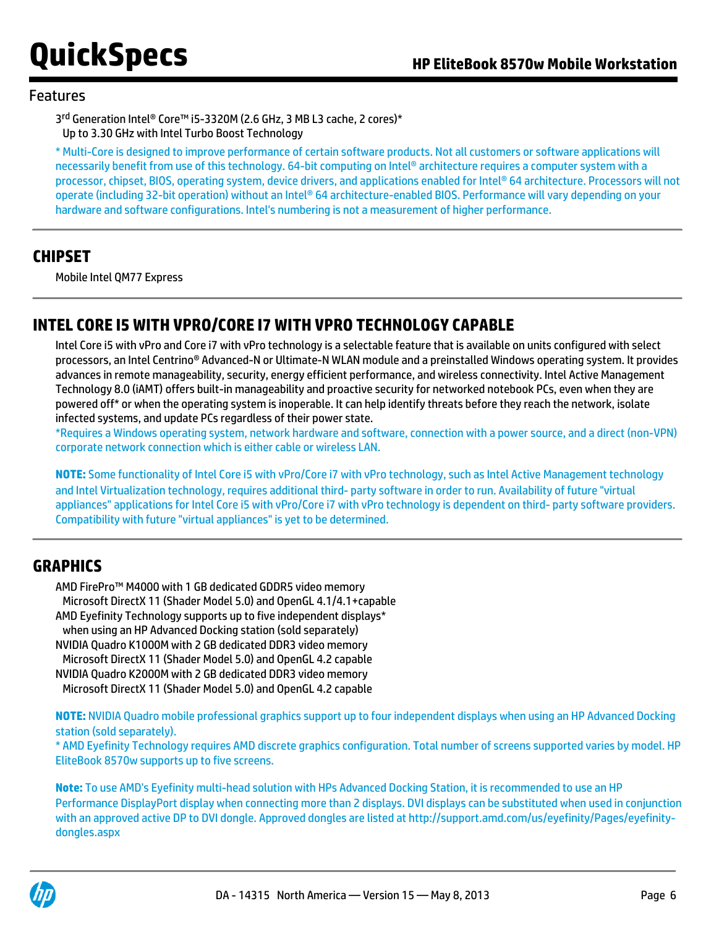### Features

3<sup>rd</sup> Generation Intel® Core™ i5-3320M (2.6 GHz, 3 MB L3 cache, 2 cores)\* Up to 3.30 GHz with Intel Turbo Boost Technology

\* Multi-Core is designed to improve performance of certain software products. Not all customers or software applications will necessarily benefit from use of this technology. 64-bit computing on Intel® architecture requires a computer system with a processor, chipset, BIOS, operating system, device drivers, and applications enabled for Intel® 64 architecture. Processors will not operate (including 32-bit operation) without an Intel® 64 architecture-enabled BIOS. Performance will vary depending on your hardware and software configurations. Intel's numbering is not a measurement of higher performance.

### **CHIPSET**

Mobile Intel QM77 Express

## **INTEL CORE I5 WITH VPRO/CORE I7 WITH VPRO TECHNOLOGY CAPABLE**

Intel Core i5 with vPro and Core i7 with vPro technology is a selectable feature that is available on units configured with select processors, an Intel Centrino® Advanced-N or Ultimate-N WLAN module and a preinstalled Windows operating system. It provides advances in remote manageability, security, energy efficient performance, and wireless connectivity. Intel Active Management Technology 8.0 (iAMT) offers built-in manageability and proactive security for networked notebook PCs, even when they are powered off\* or when the operating system is inoperable. It can help identify threats before they reach the network, isolate infected systems, and update PCs regardless of their power state.

\*Requires a Windows operating system, network hardware and software, connection with a power source, and a direct (non-VPN) corporate network connection which is either cable or wireless LAN.

**NOTE:** Some functionality of Intel Core i5 with vPro/Core i7 with vPro technology, such as Intel Active Management technology and Intel Virtualization technology, requires additional third- party software in order to run. Availability of future "virtual appliances" applications for Intel Core i5 with vPro/Core i7 with vPro technology is dependent on third- party software providers. Compatibility with future "virtual appliances" is yet to be determined.

### **GRAPHICS**

AMD FirePro™ M4000 with 1 GB dedicated GDDR5 video memory Microsoft DirectX 11 (Shader Model 5.0) and OpenGL 4.1/4.1+capable AMD Eyefinity Technology supports up to five independent displays\* when using an HP Advanced Docking station (sold separately) NVIDIA Quadro K1000M with 2 GB dedicated DDR3 video memory Microsoft DirectX 11 (Shader Model 5.0) and OpenGL 4.2 capable NVIDIA Quadro K2000M with 2 GB dedicated DDR3 video memory

Microsoft DirectX 11 (Shader Model 5.0) and OpenGL 4.2 capable

**NOTE:** NVIDIA Quadro mobile professional graphics support up to four independent displays when using an HP Advanced Docking station (sold separately).

\* AMD Eyefinity Technology requires AMD discrete graphics configuration. Total number of screens supported varies by model. HP EliteBook 8570w supports up to five screens.

**Note:** To use AMD's Eyefinity multi-head solution with HPs Advanced Docking Station, it is recommended to use an HP Performance DisplayPort display when connecting more than 2 displays. DVI displays can be substituted when used in conjunction with an approved active DP to DVI dongle. Approved dongles are listed at [http://support.amd.com/us/eyefinity/Pages/eyefinity](http://support.amd.com/us/eyefinity/Pages/eyefinity-dongles.aspx)[dongles.aspx](http://support.amd.com/us/eyefinity/Pages/eyefinity-dongles.aspx)

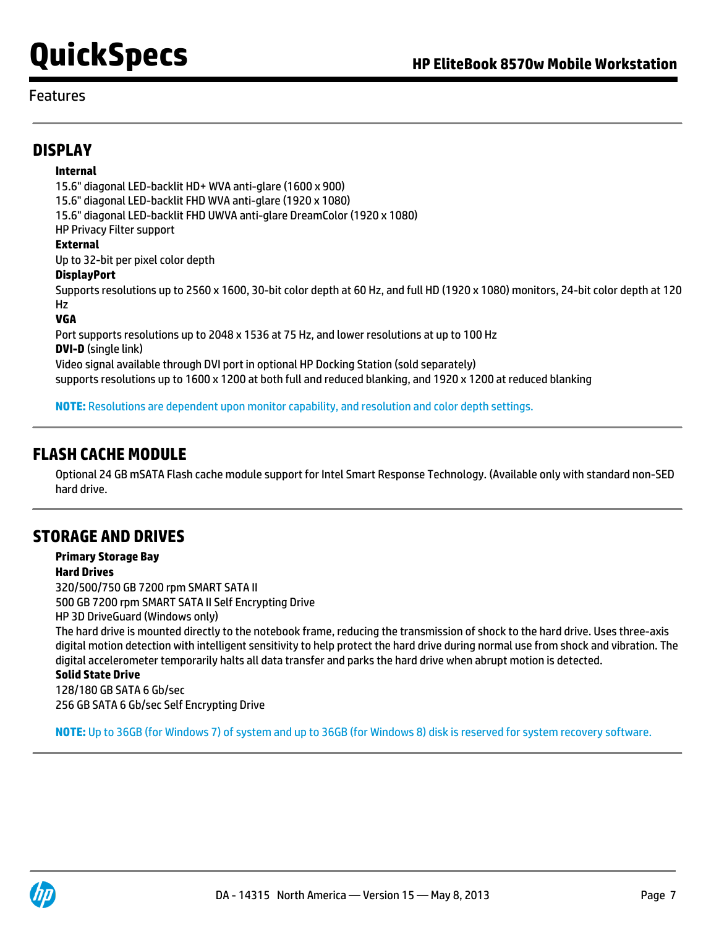### Features

### **DISPLAY**

#### **Internal**

15.6" diagonal LED-backlit HD+ WVA anti-glare (1600 x 900)

15.6" diagonal LED-backlit FHD WVA anti-glare (1920 x 1080)

15.6" diagonal LED-backlit FHD UWVA anti-glare DreamColor (1920 x 1080)

HP Privacy Filter support

#### **External**

Up to 32-bit per pixel color depth

#### **DisplayPort**

Supports resolutions up to 2560 x 1600, 30-bit color depth at 60 Hz, and full HD (1920 x 1080) monitors, 24-bit color depth at 120 Hz

#### **VGA**

Port supports resolutions up to 2048 x 1536 at 75 Hz, and lower resolutions at up to 100 Hz **DVI-D** (single link) Video signal available through DVI port in optional HP Docking Station (sold separately)

supports resolutions up to 1600 x 1200 at both full and reduced blanking, and 1920 x 1200 at reduced blanking

**NOTE:** Resolutions are dependent upon monitor capability, and resolution and color depth settings.

### **FLASH CACHE MODULE**

Optional 24 GB mSATA Flash cache module support for Intel Smart Response Technology. (Available only with standard non-SED hard drive.

## **STORAGE AND DRIVES**

#### **Primary Storage Bay Hard Drives**

320/500/750 GB 7200 rpm SMART SATA II 500 GB 7200 rpm SMART SATA II Self Encrypting Drive HP 3D DriveGuard (Windows only) The hard drive is mounted directly to the notebook frame, reducing the transmission of shock to the hard drive. Uses three-axis digital motion detection with intelligent sensitivity to help protect the hard drive during normal use from shock and vibration. The digital accelerometer temporarily halts all data transfer and parks the hard drive when abrupt motion is detected. **Solid State Drive**

## 128/180 GB SATA 6 Gb/sec

256 GB SATA 6 Gb/sec Self Encrypting Drive

**NOTE:** Up to 36GB (for Windows 7) of system and up to 36GB (for Windows 8) disk is reserved for system recovery software.

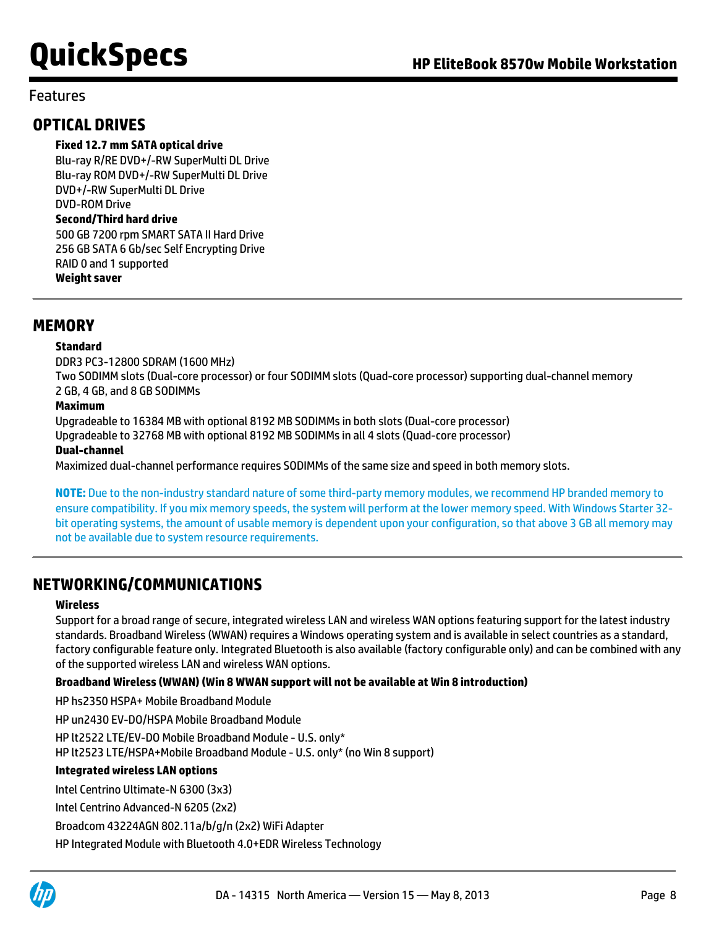### Features

### **OPTICAL DRIVES**

#### **Fixed 12.7 mm SATA optical drive**

Blu-ray R/RE DVD+/-RW SuperMulti DL Drive Blu-ray ROM DVD+/-RW SuperMulti DL Drive DVD+/-RW SuperMulti DL Drive DVD-ROM Drive **Second/Third hard drive** 500 GB 7200 rpm SMART SATA II Hard Drive 256 GB SATA 6 Gb/sec Self Encrypting Drive RAID 0 and 1 supported

#### **Weight saver**

### **MEMORY**

#### **Standard**

DDR3 PC3-12800 SDRAM (1600 MHz) Two SODIMM slots (Dual-core processor) or four SODIMM slots (Quad-core processor) supporting dual-channel memory 2 GB, 4 GB, and 8 GB SODIMMs

#### **Maximum**

Upgradeable to 16384 MB with optional 8192 MB SODIMMs in both slots (Dual-core processor) Upgradeable to 32768 MB with optional 8192 MB SODIMMs in all 4 slots (Quad-core processor) **Dual-channel**

Maximized dual-channel performance requires SODIMMs of the same size and speed in both memory slots.

**NOTE:** Due to the non-industry standard nature of some third-party memory modules, we recommend HP branded memory to ensure compatibility. If you mix memory speeds, the system will perform at the lower memory speed. With Windows Starter 32 bit operating systems, the amount of usable memory is dependent upon your configuration, so that above 3 GB all memory may not be available due to system resource requirements.

## **NETWORKING/COMMUNICATIONS**

#### **Wireless**

Support for a broad range of secure, integrated wireless LAN and wireless WAN options featuring support for the latest industry standards. Broadband Wireless (WWAN) requires a Windows operating system and is available in select countries as a standard, factory configurable feature only. Integrated Bluetooth is also available (factory configurable only) and can be combined with any of the supported wireless LAN and wireless WAN options.

#### **Broadband Wireless (WWAN) (Win 8 WWAN support will not be available at Win 8 introduction)**

HP hs2350 HSPA+ Mobile Broadband Module

HP un2430 EV-DO/HSPA Mobile Broadband Module

HP lt2522 LTE/EV-DO Mobile Broadband Module - U.S. only\*

HP lt2523 LTE/HSPA+Mobile Broadband Module - U.S. only\* (no Win 8 support)

#### **Integrated wireless LAN options**

Intel Centrino Ultimate-N 6300 (3x3)

Intel Centrino Advanced-N 6205 (2x2)

Broadcom 43224AGN 802.11a/b/g/n (2x2) WiFi Adapter

HP Integrated Module with Bluetooth 4.0+EDR Wireless Technology

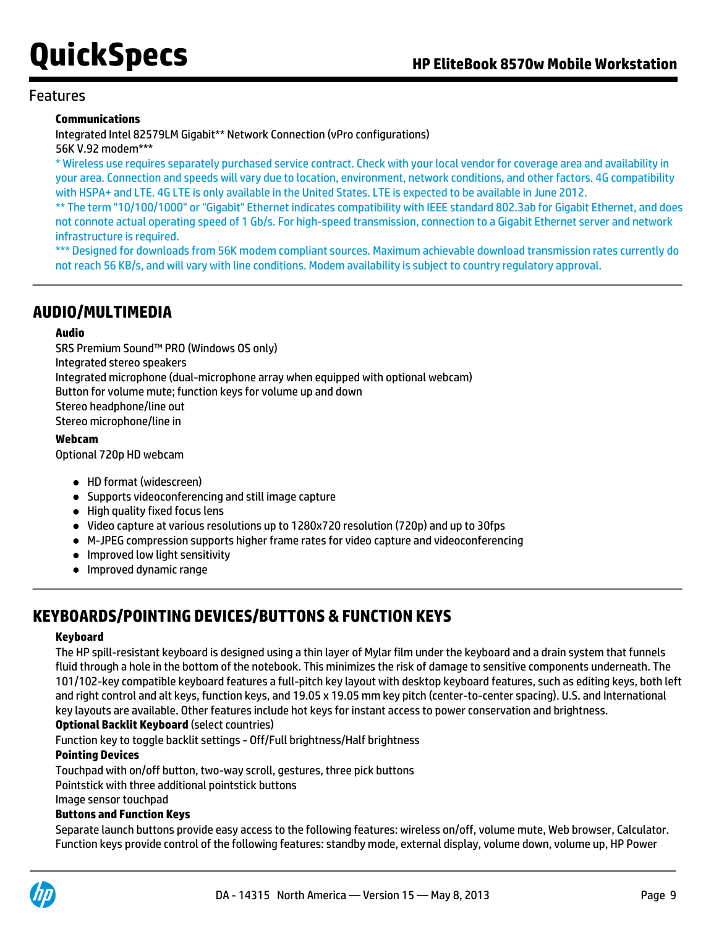#### Features

#### **Communications**

Integrated Intel 82579LM Gigabit\*\* Network Connection (vPro configurations) 56K V.92 modem\*\*\*

\* Wireless use requires separately purchased service contract. Check with your local vendor for coverage area and availability in your area. Connection and speeds will vary due to location, environment, network conditions, and other factors. 4G compatibility with HSPA+ and LTE. 4G LTE is only available in the United States. LTE is expected to be available in June 2012.

\*\* The term "10/100/1000" or "Gigabit" Ethernet indicates compatibility with IEEE standard 802.3ab for Gigabit Ethernet, and does not connote actual operating speed of 1 Gb/s. For high-speed transmission, connection to a Gigabit Ethernet server and network infrastructure is required.

\*\*\* Designed for downloads from 56K modem compliant sources. Maximum achievable download transmission rates currently do not reach 56 KB/s, and will vary with line conditions. Modem availability is subject to country regulatory approval.

## **AUDIO/MULTIMEDIA**

#### **Audio**

SRS Premium Sound™ PRO (Windows OS only) Integrated stereo speakers Integrated microphone (dual-microphone array when equipped with optional webcam) Button for volume mute; function keys for volume up and down Stereo headphone/line out Stereo microphone/line in

#### **Webcam**

Optional 720p HD webcam

- HD format (widescreen)
- Supports videoconferencing and still image capture
- High quality fixed focus lens
- Video capture at various resolutions up to 1280x720 resolution (720p) and up to 30fps
- M-JPEG compression supports higher frame rates for video capture and videoconferencing
- **•** Improved low light sensitivity
- **•** Improved dynamic range

## **KEYBOARDS/POINTING DEVICES/BUTTONS & FUNCTION KEYS**

#### **Keyboard**

The HP spill-resistant keyboard is designed using a thin layer of Mylar film under the keyboard and a drain system that funnels fluid through a hole in the bottom of the notebook. This minimizes the risk of damage to sensitive components underneath. The 101/102-key compatible keyboard features a full-pitch key layout with desktop keyboard features, such as editing keys, both left and right control and alt keys, function keys, and 19.05 x 19.05 mm key pitch (center-to-center spacing). U.S. and International key layouts are available. Other features include hot keys for instant access to power conservation and brightness.

#### **Optional Backlit Keyboard** (select countries)

Function key to toggle backlit settings - Off/Full brightness/Half brightness

#### **Pointing Devices**

Touchpad with on/off button, two-way scroll, gestures, three pick buttons

Pointstick with three additional pointstick buttons

Image sensor touchpad

#### **Buttons and Function Keys**

Separate launch buttons provide easy access to the following features: wireless on/off, volume mute, Web browser, Calculator. Function keys provide control of the following features: standby mode, external display, volume down, volume up, HP Power

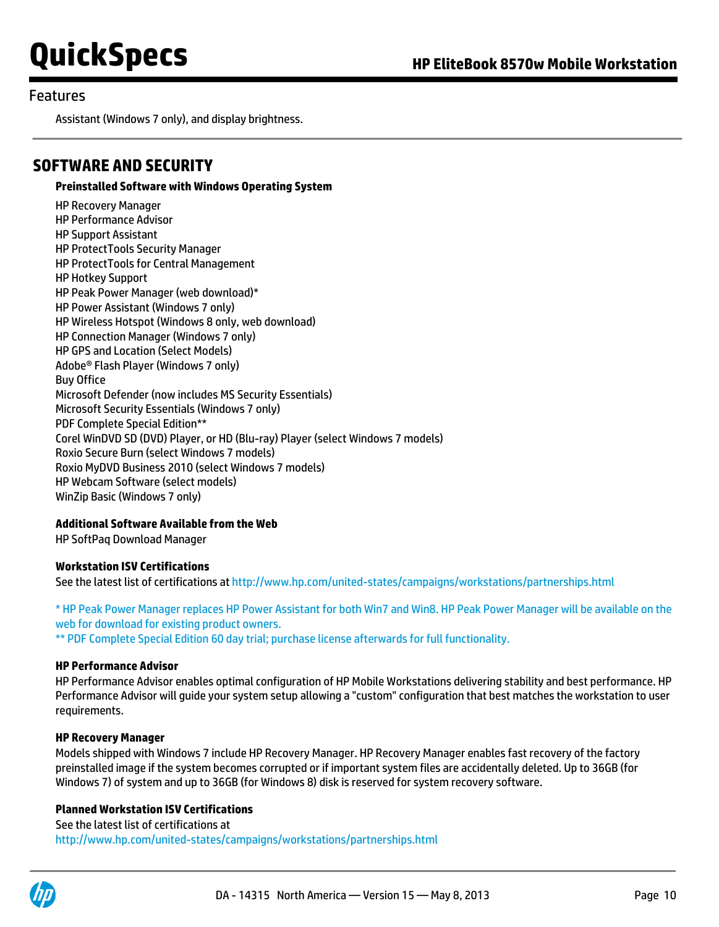#### Features

Assistant (Windows 7 only), and display brightness.

### **SOFTWARE AND SECURITY**

**Preinstalled Software with Windows Operating System**

HP Recovery Manager HP Performance Advisor HP Support Assistant HP ProtectTools Security Manager HP ProtectTools for Central Management HP Hotkey Support HP Peak Power Manager (web download)\* HP Power Assistant (Windows 7 only) HP Wireless Hotspot (Windows 8 only, web download) HP Connection Manager (Windows 7 only) HP GPS and Location (Select Models) Adobe® Flash Player (Windows 7 only) Buy Office Microsoft Defender (now includes MS Security Essentials) Microsoft Security Essentials (Windows 7 only) PDF Complete Special Edition\*\* Corel WinDVD SD (DVD) Player, or HD (Blu-ray) Player (select Windows 7 models) Roxio Secure Burn (select Windows 7 models) Roxio MyDVD Business 2010 (select Windows 7 models) HP Webcam Software (select models) WinZip Basic (Windows 7 only)

#### **Additional Software Available from the Web**

HP SoftPaq Download Manager

#### **Workstation ISV Certifications**

See the latest list of certifications at<http://www.hp.com/united-states/campaigns/workstations/partnerships.html>

\* HP Peak Power Manager replaces HP Power Assistant for both Win7 and Win8. HP Peak Power Manager will be available on the web for download for existing product owners.

\*\* PDF Complete Special Edition 60 day trial; purchase license afterwards for full functionality.

#### **HP Performance Advisor**

HP Performance Advisor enables optimal configuration of HP Mobile Workstations delivering stability and best performance. HP Performance Advisor will guide your system setup allowing a "custom" configuration that best matches the workstation to user requirements.

#### **HP Recovery Manager**

Models shipped with Windows 7 include HP Recovery Manager. HP Recovery Manager enables fast recovery of the factory preinstalled image if the system becomes corrupted or if important system files are accidentally deleted. Up to 36GB (for Windows 7) of system and up to 36GB (for Windows 8) disk is reserved for system recovery software.

#### **Planned Workstation ISV Certifications**

See the latest list of certifications at <http://www.hp.com/united-states/campaigns/workstations/partnerships.html>

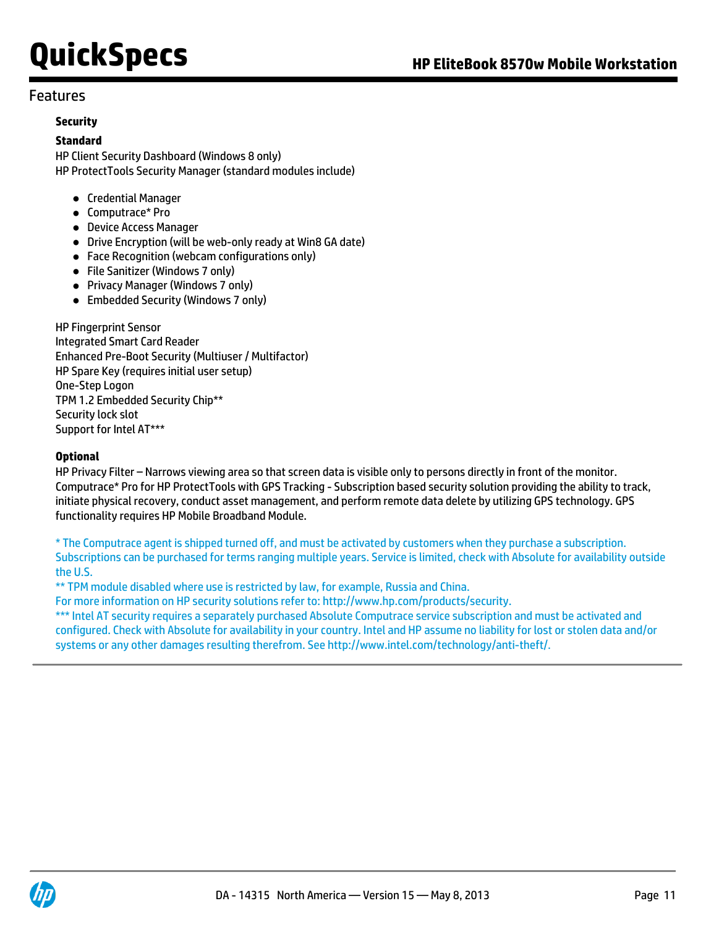### Features

#### **Security**

#### **Standard**

HP Client Security Dashboard (Windows 8 only) HP ProtectTools Security Manager (standard modules include)

- Credential Manager
- Computrace\* Pro
- Device Access Manager
- Drive Encryption (will be web-only ready at Win8 GA date)
- Face Recognition (webcam configurations only)
- File Sanitizer (Windows 7 only)
- Privacy Manager (Windows 7 only)
- Embedded Security (Windows 7 only)

HP Fingerprint Sensor Integrated Smart Card Reader Enhanced Pre-Boot Security (Multiuser / Multifactor) HP Spare Key (requires initial user setup) One-Step Logon TPM 1.2 Embedded Security Chip\*\* Security lock slot Support for Intel AT\*\*\*

#### **Optional**

HP Privacy Filter – Narrows viewing area so that screen data is visible only to persons directly in front of the monitor. Computrace\* Pro for HP ProtectTools with GPS Tracking - Subscription based security solution providing the ability to track, initiate physical recovery, conduct asset management, and perform remote data delete by utilizing GPS technology. GPS functionality requires HP Mobile Broadband Module.

\* The Computrace agent is shipped turned off, and must be activated by customers when they purchase a subscription. Subscriptions can be purchased for terms ranging multiple years. Service is limited, check with Absolute for availability outside the U.S.

\*\* TPM module disabled where use is restricted by law, for example, Russia and China.

For more information on HP security solutions refer to: http://www.hp.com/products/security.

\*\*\* Intel AT security requires a separately purchased Absolute Computrace service subscription and must be activated and configured. Check with Absolute for availability in your country. Intel and HP assume no liability for lost or stolen data and/or systems or any other damages resulting therefrom. See [http://www.intel.com/technology/anti-theft/.](http://www.intel.com/technology/anti-theft/)

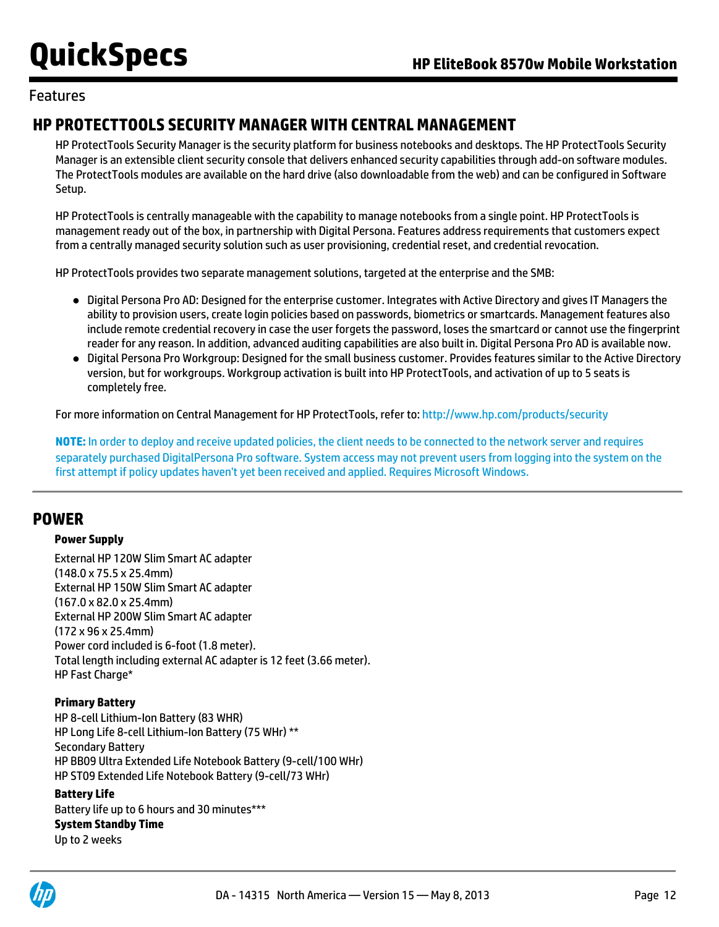### Features

## **HP PROTECTTOOLS SECURITY MANAGER WITH CENTRAL MANAGEMENT**

HP ProtectTools Security Manager is the security platform for business notebooks and desktops. The HP ProtectTools Security Manager is an extensible client security console that delivers enhanced security capabilities through add-on software modules. The ProtectTools modules are available on the hard drive (also downloadable from the web) and can be configured in Software Setup.

HP ProtectTools is centrally manageable with the capability to manage notebooks from a single point. HP ProtectTools is management ready out of the box, in partnership with Digital Persona. Features address requirements that customers expect from a centrally managed security solution such as user provisioning, credential reset, and credential revocation.

HP ProtectTools provides two separate management solutions, targeted at the enterprise and the SMB:

- Digital Persona Pro AD: Designed for the enterprise customer. Integrates with Active Directory and gives IT Managers the ability to provision users, create login policies based on passwords, biometrics or smartcards. Management features also include remote credential recovery in case the user forgets the password, loses the smartcard or cannot use the fingerprint reader for any reason. In addition, advanced auditing capabilities are also built in. Digital Persona Pro AD is available now.
- Digital Persona Pro Workgroup: Designed for the small business customer. Provides features similar to the Active Directory version, but for workgroups. Workgroup activation is built into HP ProtectTools, and activation of up to 5 seats is completely free.

For more information on Central Management for HP ProtectTools, refer to: <http://www.hp.com/products/security>

**NOTE:** In order to deploy and receive updated policies, the client needs to be connected to the network server and requires separately purchased DigitalPersona Pro software. System access may not prevent users from logging into the system on the first attempt if policy updates haven't yet been received and applied. Requires Microsoft Windows.

### **POWER**

#### **Power Supply**

External HP 120W Slim Smart AC adapter (148.0 x 75.5 x 25.4mm) External HP 150W Slim Smart AC adapter (167.0 x 82.0 x 25.4mm) External HP 200W Slim Smart AC adapter (172 x 96 x 25.4mm) Power cord included is 6-foot (1.8 meter). Total length including external AC adapter is 12 feet (3.66 meter). HP Fast Charge\*

#### **Primary Battery**

HP 8-cell Lithium-Ion Battery (83 WHR) HP Long Life 8-cell Lithium-Ion Battery (75 WHr) \*\* Secondary Battery HP BB09 Ultra Extended Life Notebook Battery (9-cell/100 WHr) HP ST09 Extended Life Notebook Battery (9-cell/73 WHr)

#### **Battery Life**

Battery life up to 6 hours and 30 minutes\*\*\* **System Standby Time** Up to 2 weeks

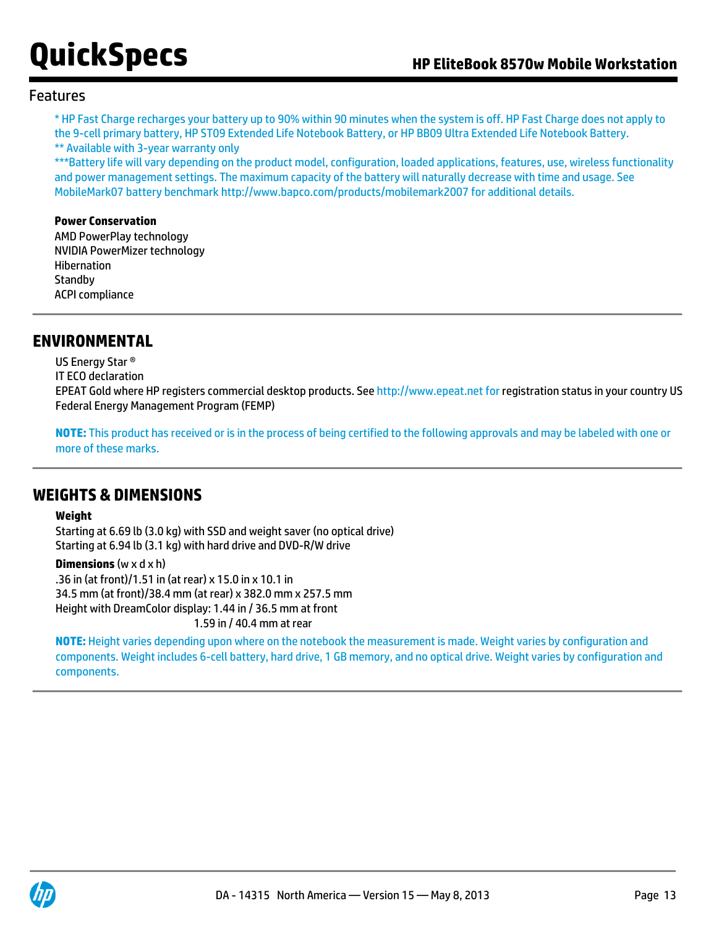#### Features

\* HP Fast Charge recharges your battery up to 90% within 90 minutes when the system is off. HP Fast Charge does not apply to the 9-cell primary battery, HP ST09 Extended Life Notebook Battery, or HP BB09 Ultra Extended Life Notebook Battery. \*\* Available with 3-year warranty only

\*\*\*Battery life will vary depending on the product model, configuration, loaded applications, features, use, wireless functionality and power management settings. The maximum capacity of the battery will naturally decrease with time and usage. See MobileMark07 battery benchmark<http://www.bapco.com/products/mobilemark2007> for additional details.

#### **Power Conservation**

AMD PowerPlay technology NVIDIA PowerMizer technology Hibernation **Standby** ACPI compliance

### **ENVIRONMENTAL**

US Energy Star ®

IT ECO declaration

EPEAT Gold where HP registers commercial desktop products. See [http://www.epeat.net for](http://www.epeat.net%20for) registration status in your country US Federal Energy Management Program (FEMP)

**NOTE:** This product has received or is in the process of being certified to the following approvals and may be labeled with one or more of these marks.

### **WEIGHTS & DIMENSIONS**

#### **Weight**

Starting at 6.69 lb (3.0 kg) with SSD and weight saver (no optical drive) Starting at 6.94 lb (3.1 kg) with hard drive and DVD-R/W drive

**Dimensions** (w x d x h)

.36 in (at front)/1.51 in (at rear) x 15.0 in x 10.1 in 34.5 mm (at front)/38.4 mm (at rear) x 382.0 mm x 257.5 mm Height with DreamColor display: 1.44 in / 36.5 mm at front 1.59 in / 40.4 mm at rear

**NOTE:** Height varies depending upon where on the notebook the measurement is made. Weight varies by configuration and components. Weight includes 6-cell battery, hard drive, 1 GB memory, and no optical drive. Weight varies by configuration and components.

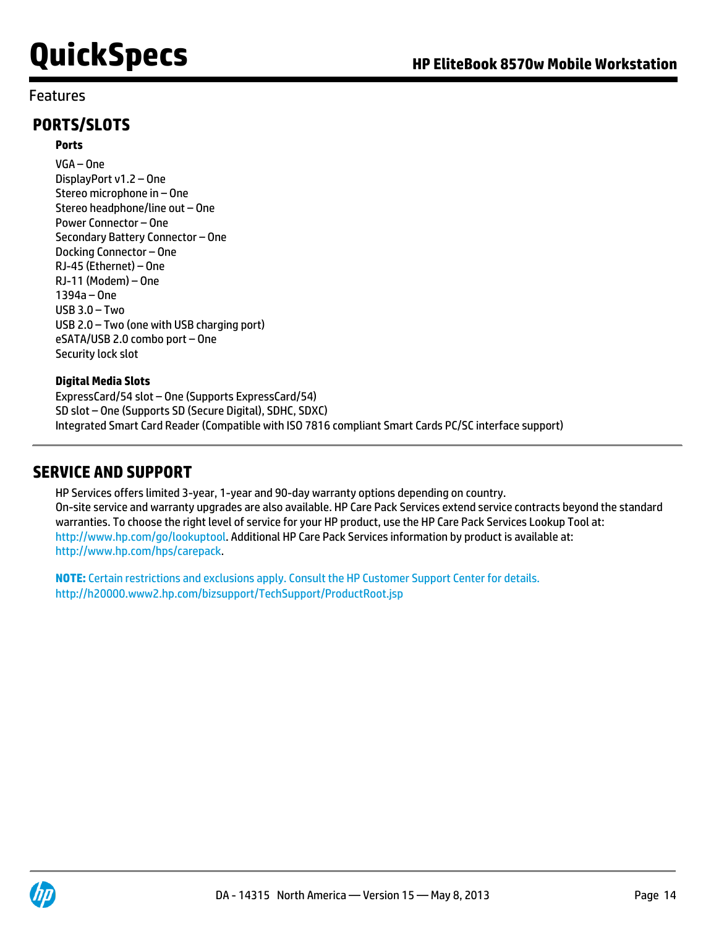### Features

## **PORTS/SLOTS**

#### **Ports**

VGA – One DisplayPort v1.2 – One Stereo microphone in – One Stereo headphone/line out – One Power Connector – One Secondary Battery Connector – One Docking Connector – One RJ-45 (Ethernet) – One RJ-11 (Modem) – One 1394a – One USB 3.0 – Two USB 2.0 – Two (one with USB charging port) eSATA/USB 2.0 combo port – One Security lock slot

#### **Digital Media Slots**

ExpressCard/54 slot – One (Supports ExpressCard/54) SD slot – One (Supports SD (Secure Digital), SDHC, SDXC) Integrated Smart Card Reader (Compatible with ISO 7816 compliant Smart Cards PC/SC interface support)

### **SERVICE AND SUPPORT**

HP Services offers limited 3-year, 1-year and 90-day warranty options depending on country. On-site service and warranty upgrades are also available. HP Care Pack Services extend service contracts beyond the standard warranties. To choose the right level of service for your HP product, use the HP Care Pack Services Lookup Tool at: <http://www.hp.com/go/lookuptool>. Additional HP Care Pack Services information by product is available at: <http://www.hp.com/hps/carepack>.

**NOTE:** Certain restrictions and exclusions apply. Consult the HP Customer Support Center for details. <http://h20000.www2.hp.com/bizsupport/TechSupport/ProductRoot.jsp>

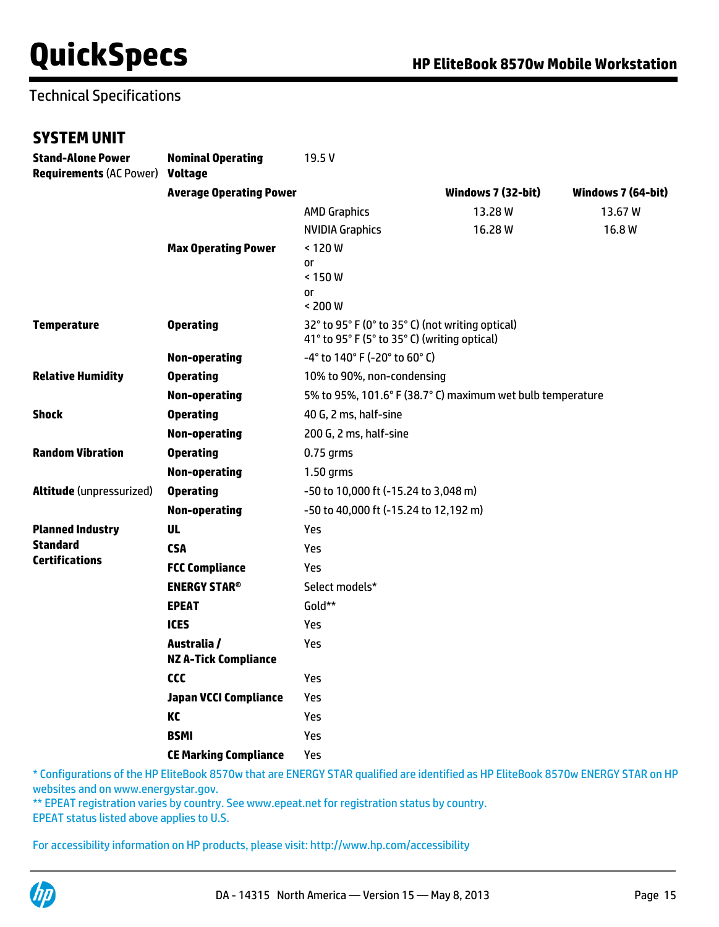## Technical Specifications

### **SYSTEM UNIT**

| <b>Stand-Alone Power</b><br><b>Requirements (AC Power)</b> | <b>Nominal Operating</b><br><b>Voltage</b> | 19.5V                                                                                            |                    |                    |  |
|------------------------------------------------------------|--------------------------------------------|--------------------------------------------------------------------------------------------------|--------------------|--------------------|--|
|                                                            | <b>Average Operating Power</b>             |                                                                                                  | Windows 7 (32-bit) | Windows 7 (64-bit) |  |
|                                                            |                                            | <b>AMD Graphics</b>                                                                              | 13.28W             | 13.67W             |  |
|                                                            |                                            | <b>NVIDIA Graphics</b>                                                                           | 16.28W             | 16.8W              |  |
|                                                            | <b>Max Operating Power</b>                 | < 120 W                                                                                          |                    |                    |  |
|                                                            |                                            | or<br>< 150 W                                                                                    |                    |                    |  |
|                                                            |                                            | 0r<br>< 200 W                                                                                    |                    |                    |  |
| <b>Temperature</b>                                         | <b>Operating</b>                           | 32° to 95° F (0° to 35° C) (not writing optical)<br>41° to 95° F (5° to 35° C) (writing optical) |                    |                    |  |
|                                                            | <b>Non-operating</b>                       | -4° to 140° F (-20° to 60° C)                                                                    |                    |                    |  |
| <b>Relative Humidity</b>                                   | <b>Operating</b>                           | 10% to 90%, non-condensing                                                                       |                    |                    |  |
|                                                            | Non-operating                              | 5% to 95%, 101.6° F (38.7° C) maximum wet bulb temperature                                       |                    |                    |  |
| <b>Shock</b>                                               | <b>Operating</b>                           | 40 G, 2 ms, half-sine                                                                            |                    |                    |  |
|                                                            | <b>Non-operating</b>                       | 200 G, 2 ms, half-sine                                                                           |                    |                    |  |
| <b>Random Vibration</b>                                    | <b>Operating</b>                           | $0.75$ grms                                                                                      |                    |                    |  |
|                                                            | Non-operating                              | 1.50 grms                                                                                        |                    |                    |  |
| Altitude (unpressurized)                                   | <b>Operating</b>                           | -50 to 10,000 ft (-15.24 to 3,048 m)                                                             |                    |                    |  |
|                                                            | <b>Non-operating</b>                       | -50 to 40,000 ft (-15.24 to 12,192 m)                                                            |                    |                    |  |
| <b>Planned Industry</b>                                    | <b>UL</b>                                  | Yes                                                                                              |                    |                    |  |
| <b>Standard</b>                                            | <b>CSA</b>                                 | Yes                                                                                              |                    |                    |  |
| <b>Certifications</b>                                      | <b>FCC Compliance</b>                      | Yes                                                                                              |                    |                    |  |
|                                                            | <b>ENERGY STAR®</b>                        | Select models*                                                                                   |                    |                    |  |
|                                                            | <b>EPEAT</b>                               | Gold**                                                                                           |                    |                    |  |
|                                                            | <b>ICES</b>                                | Yes                                                                                              |                    |                    |  |
|                                                            | Australia /<br><b>NZ A-Tick Compliance</b> | Yes                                                                                              |                    |                    |  |
|                                                            | ccc                                        | Yes                                                                                              |                    |                    |  |
|                                                            | <b>Japan VCCI Compliance</b>               | Yes                                                                                              |                    |                    |  |
|                                                            | KC                                         | Yes                                                                                              |                    |                    |  |
|                                                            | <b>BSMI</b>                                | Yes                                                                                              |                    |                    |  |
|                                                            | <b>CE Marking Compliance</b>               | Yes                                                                                              |                    |                    |  |

\* Configurations of the HP EliteBook 8570w that are ENERGY STAR qualified are identified as HP EliteBook 8570w ENERGY STAR on HP websites and on [www.energystar.gov.](http://www.energystar.gov)

\*\* EPEAT registration varies by country. See [www.epeat.net](http://www.epeat.net) for registration status by country.

EPEAT status listed above applies to U.S.

For accessibility information on HP products, please visit: <http://www.hp.com/accessibility>

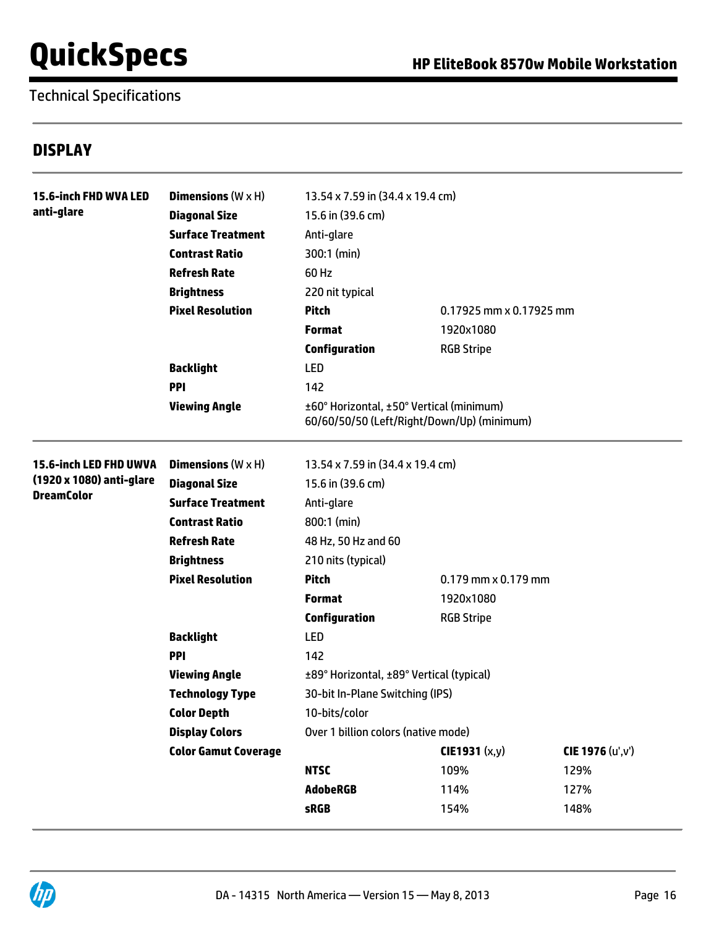Technical Specifications

### **DISPLAY**

| <b>15.6-inch FHD WVA LED</b>  | <b>Dimensions</b> $(W \times H)$ | 13.54 x 7.59 in (34.4 x 19.4 cm)         |                                            |                   |
|-------------------------------|----------------------------------|------------------------------------------|--------------------------------------------|-------------------|
| anti-glare                    | <b>Diagonal Size</b>             | 15.6 in (39.6 cm)                        |                                            |                   |
|                               | <b>Surface Treatment</b>         | Anti-glare                               |                                            |                   |
|                               | <b>Contrast Ratio</b>            | 300:1 (min)                              |                                            |                   |
|                               | <b>Refresh Rate</b>              | 60 Hz                                    |                                            |                   |
|                               | <b>Brightness</b>                | 220 nit typical                          |                                            |                   |
|                               | <b>Pixel Resolution</b>          | <b>Pitch</b>                             | 0.17925 mm x 0.17925 mm                    |                   |
|                               |                                  | <b>Format</b>                            | 1920x1080                                  |                   |
|                               |                                  | <b>Configuration</b>                     | <b>RGB Stripe</b>                          |                   |
|                               | <b>Backlight</b>                 | <b>LED</b>                               |                                            |                   |
|                               | <b>PPI</b>                       | 142                                      |                                            |                   |
|                               | <b>Viewing Angle</b>             | ±60° Horizontal, ±50° Vertical (minimum) | 60/60/50/50 (Left/Right/Down/Up) (minimum) |                   |
| <b>15.6-inch LED FHD UWVA</b> | <b>Dimensions</b> $(W \times H)$ | 13.54 x 7.59 in (34.4 x 19.4 cm)         |                                            |                   |
| (1920 x 1080) anti-glare      | <b>Diagonal Size</b>             | 15.6 in (39.6 cm)                        |                                            |                   |
| <b>DreamColor</b>             | <b>Surface Treatment</b>         | Anti-glare                               |                                            |                   |
|                               | <b>Contrast Ratio</b>            | 800:1 (min)                              |                                            |                   |
|                               | <b>Refresh Rate</b>              | 48 Hz, 50 Hz and 60                      |                                            |                   |
|                               | <b>Brightness</b>                | 210 nits (typical)                       |                                            |                   |
|                               | <b>Pixel Resolution</b>          | <b>Pitch</b>                             | $0.179$ mm $\times$ 0.179 mm               |                   |
|                               |                                  | <b>Format</b>                            | 1920x1080                                  |                   |
|                               |                                  | <b>Configuration</b>                     | <b>RGB Stripe</b>                          |                   |
|                               | <b>Backlight</b>                 | <b>LED</b>                               |                                            |                   |
|                               | <b>PPI</b>                       | 142                                      |                                            |                   |
|                               | <b>Viewing Angle</b>             | ±89° Horizontal, ±89° Vertical (typical) |                                            |                   |
|                               | <b>Technology Type</b>           | 30-bit In-Plane Switching (IPS)          |                                            |                   |
|                               | <b>Color Depth</b>               | 10-bits/color                            |                                            |                   |
|                               | <b>Display Colors</b>            | Over 1 billion colors (native mode)      |                                            |                   |
|                               | <b>Color Gamut Coverage</b>      |                                          | CIE1931 (x,y)                              | CIE 1976 (u', v') |
|                               |                                  | <b>NTSC</b>                              | 109%                                       | 129%              |
|                               |                                  | <b>AdobeRGB</b>                          | 114%                                       | 127%              |
|                               |                                  | <b>sRGB</b>                              | 154%                                       | 148%              |
|                               |                                  |                                          |                                            |                   |

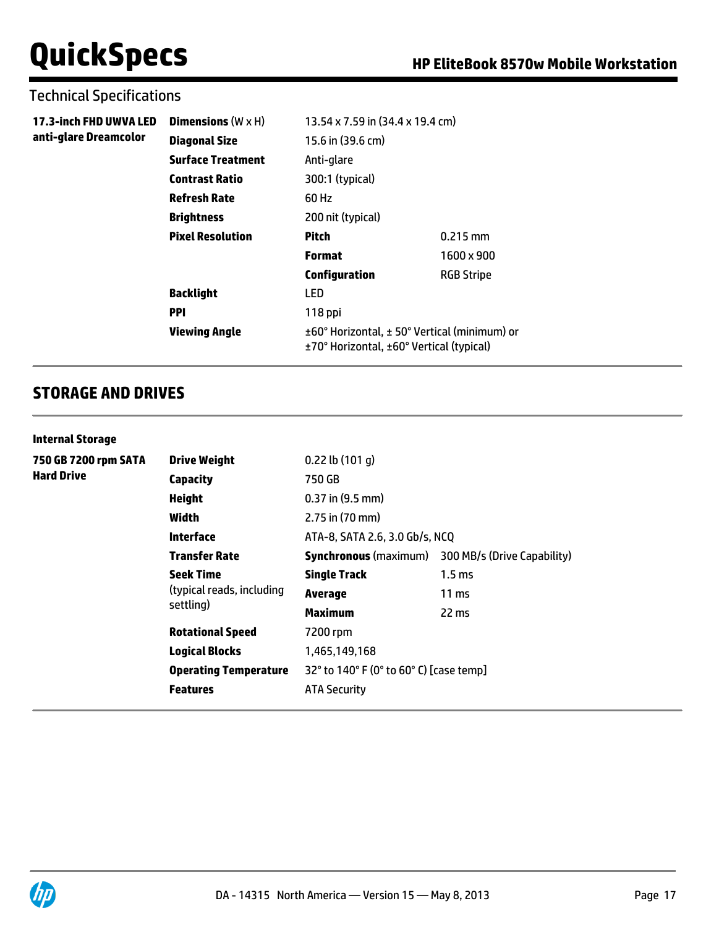### Technical Specifications

| 17.3-inch FHD UWVA LED<br>anti-glare Dreamcolor | Dimensions $(W \times H)$ | 13.54 x 7.59 in (34.4 x 19.4 cm)                                                         |                   |  |
|-------------------------------------------------|---------------------------|------------------------------------------------------------------------------------------|-------------------|--|
|                                                 | <b>Diagonal Size</b>      | 15.6 in (39.6 cm)                                                                        |                   |  |
|                                                 | <b>Surface Treatment</b>  | Anti-glare                                                                               |                   |  |
|                                                 | <b>Contrast Ratio</b>     | 300:1 (typical)                                                                          |                   |  |
|                                                 | <b>Refresh Rate</b>       | 60 Hz                                                                                    |                   |  |
|                                                 | <b>Brightness</b>         | 200 nit (typical)                                                                        |                   |  |
|                                                 | <b>Pixel Resolution</b>   | Pitch                                                                                    | $0.215$ mm        |  |
|                                                 |                           | <b>Format</b>                                                                            | 1600 x 900        |  |
|                                                 |                           | <b>Configuration</b>                                                                     | <b>RGB Stripe</b> |  |
|                                                 | <b>Backlight</b>          | <b>LED</b>                                                                               |                   |  |
|                                                 | <b>PPI</b>                | 118 ppi                                                                                  |                   |  |
|                                                 | <b>Viewing Angle</b>      | ±60° Horizontal, ± 50° Vertical (minimum) or<br>±70° Horizontal, ±60° Vertical (typical) |                   |  |

## **STORAGE AND DRIVES**

#### **Internal Storage**

| 750 GB 7200 rpm SATA<br><b>Hard Drive</b> | <b>Drive Weight</b>                    | $0.22$ lb $(101q)$                                       |                             |  |
|-------------------------------------------|----------------------------------------|----------------------------------------------------------|-----------------------------|--|
|                                           | <b>Capacity</b>                        | 750 GB                                                   |                             |  |
|                                           | <b>Height</b>                          | $0.37$ in $(9.5$ mm)                                     |                             |  |
|                                           | Width                                  | $2.75$ in (70 mm)                                        |                             |  |
|                                           | <b>Interface</b>                       | ATA-8, SATA 2.6, 3.0 Gb/s, NCQ                           |                             |  |
|                                           | <b>Transfer Rate</b>                   | <b>Synchronous</b> (maximum)                             | 300 MB/s (Drive Capability) |  |
|                                           | <b>Seek Time</b>                       | <b>Single Track</b>                                      | 1.5 <sub>ms</sub>           |  |
|                                           | (typical reads, including<br>settling) | Average                                                  | $11 \text{ ms}$             |  |
|                                           |                                        | Maximum                                                  | 22 ms                       |  |
|                                           | <b>Rotational Speed</b>                | 7200 rpm                                                 |                             |  |
|                                           | <b>Logical Blocks</b>                  | 1,465,149,168<br>32° to 140° F (0° to 60° C) [case temp] |                             |  |
|                                           | <b>Operating Temperature</b>           |                                                          |                             |  |
|                                           | <b>Features</b>                        | <b>ATA Security</b>                                      |                             |  |
|                                           |                                        |                                                          |                             |  |

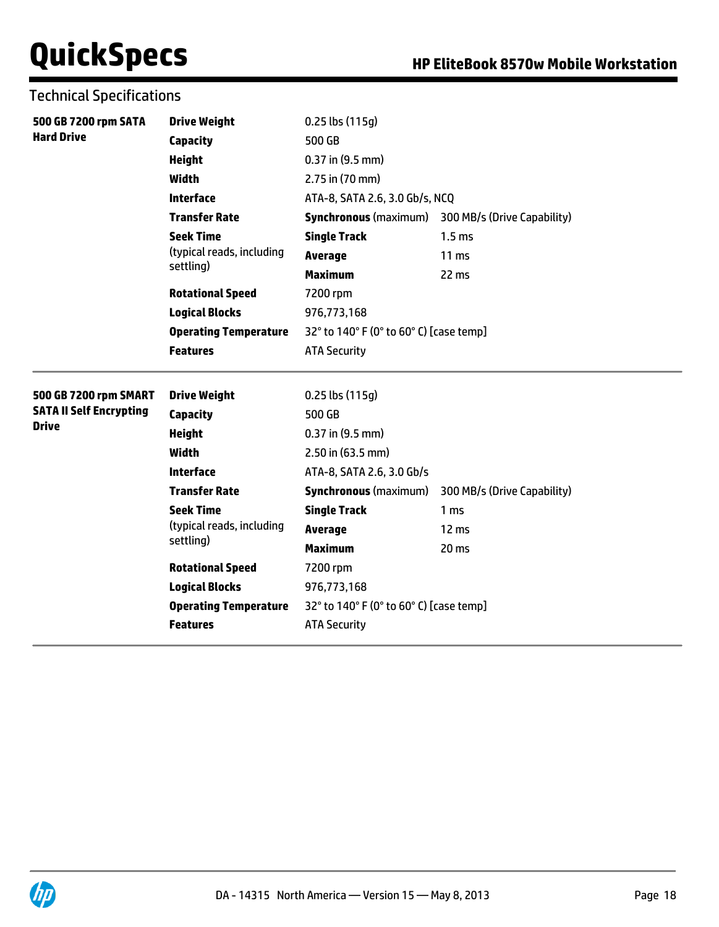| 500 GB 7200 rpm SATA           | <b>Drive Weight</b>          | $0.25$ lbs $(115g)$                     |                                                          |  |
|--------------------------------|------------------------------|-----------------------------------------|----------------------------------------------------------|--|
| <b>Hard Drive</b>              | <b>Capacity</b>              | 500 GB                                  |                                                          |  |
|                                | <b>Height</b>                | $0.37$ in $(9.5$ mm)                    |                                                          |  |
|                                | <b>Width</b>                 | 2.75 in (70 mm)                         |                                                          |  |
|                                | <b>Interface</b>             | ATA-8, SATA 2.6, 3.0 Gb/s, NCQ          |                                                          |  |
|                                | <b>Transfer Rate</b>         |                                         | <b>Synchronous</b> (maximum) 300 MB/s (Drive Capability) |  |
|                                | <b>Seek Time</b>             | <b>Single Track</b>                     | 1.5 <sub>ms</sub>                                        |  |
|                                | (typical reads, including    | <b>Average</b>                          | 11 <sub>ms</sub>                                         |  |
|                                | settling)                    | <b>Maximum</b>                          | 22 ms                                                    |  |
|                                | <b>Rotational Speed</b>      | 7200 rpm                                |                                                          |  |
|                                | <b>Logical Blocks</b>        | 976,773,168                             |                                                          |  |
|                                | <b>Operating Temperature</b> | 32° to 140° F (0° to 60° C) [case temp] |                                                          |  |
|                                | <b>Features</b>              | <b>ATA Security</b>                     |                                                          |  |
| 500 GB 7200 rpm SMART          | <b>Drive Weight</b>          | 0.25 lbs (115g)                         |                                                          |  |
| <b>SATA II Self Encrypting</b> | <b>Capacity</b>              | 500 GB                                  |                                                          |  |
| <b>Drive</b>                   | <b>Height</b>                | $0.37$ in $(9.5$ mm)                    |                                                          |  |
|                                | <b>Width</b>                 | 2.50 in (63.5 mm)                       |                                                          |  |
|                                | <b>Interface</b>             | ATA-8, SATA 2.6, 3.0 Gb/s               |                                                          |  |
|                                | <b>Transfer Rate</b>         | <b>Synchronous (maximum)</b>            | 300 MB/s (Drive Capability)                              |  |
|                                | <b>Seek Time</b>             | <b>Single Track</b>                     | 1 <sub>ms</sub>                                          |  |
|                                | (typical reads, including    | <b>Average</b>                          | 12 ms                                                    |  |
|                                | settling)                    | <b>Maximum</b>                          | 20 <sub>ms</sub>                                         |  |
|                                | <b>Rotational Speed</b>      | 7200 rpm                                |                                                          |  |
|                                | <b>Logical Blocks</b>        | 976,773,168                             |                                                          |  |
|                                | <b>Operating Temperature</b> | 32° to 140° F (0° to 60° C) [case temp] |                                                          |  |
|                                | <b>Features</b>              | <b>ATA Security</b>                     |                                                          |  |
|                                |                              |                                         |                                                          |  |

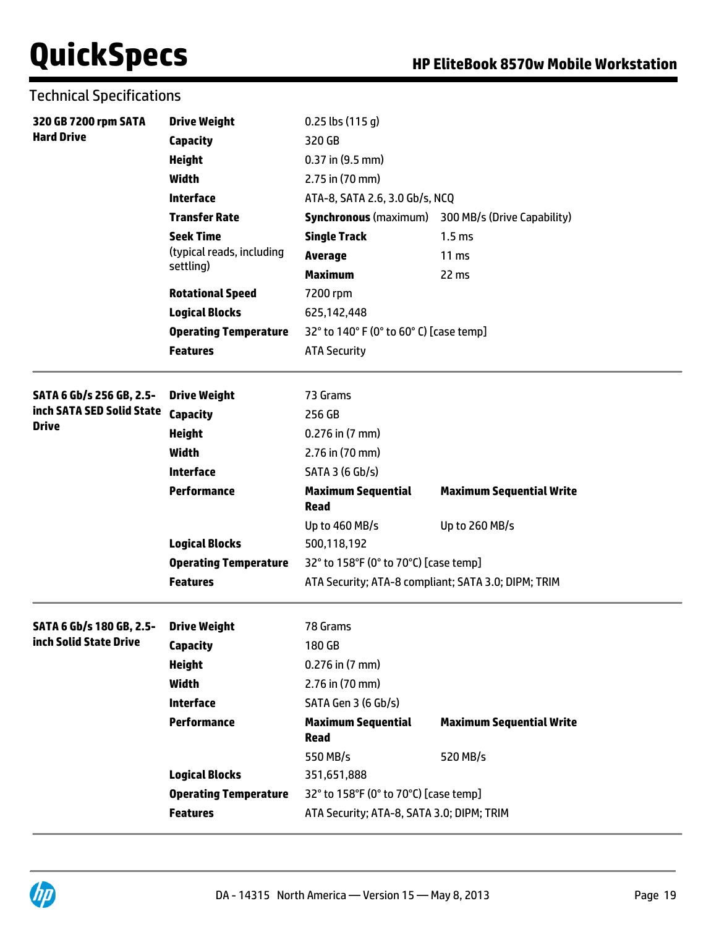Technical Specifications

| 320 GB 7200 rpm SATA                               | <b>Drive Weight</b>          | $0.25$ lbs $(115q)$                                 |                                 |
|----------------------------------------------------|------------------------------|-----------------------------------------------------|---------------------------------|
| <b>Hard Drive</b>                                  | <b>Capacity</b>              | 320 GB                                              |                                 |
|                                                    | <b>Height</b>                | $0.37$ in $(9.5$ mm)                                |                                 |
|                                                    | <b>Width</b>                 | 2.75 in (70 mm)                                     |                                 |
|                                                    | <b>Interface</b>             | ATA-8, SATA 2.6, 3.0 Gb/s, NCQ                      |                                 |
|                                                    | <b>Transfer Rate</b>         | <b>Synchronous</b> (maximum)                        | 300 MB/s (Drive Capability)     |
|                                                    | <b>Seek Time</b>             | <b>Single Track</b>                                 | 1.5 <sub>ms</sub>               |
|                                                    | (typical reads, including    | <b>Average</b>                                      | 11 <sub>ms</sub>                |
|                                                    | settling)                    | <b>Maximum</b>                                      | 22 ms                           |
|                                                    | <b>Rotational Speed</b>      | 7200 rpm                                            |                                 |
|                                                    | <b>Logical Blocks</b>        | 625,142,448                                         |                                 |
|                                                    | <b>Operating Temperature</b> | 32° to 140° F (0° to 60° C) [case temp]             |                                 |
|                                                    | <b>Features</b>              | <b>ATA Security</b>                                 |                                 |
| SATA 6 Gb/s 256 GB, 2.5-                           | <b>Drive Weight</b>          | 73 Grams                                            |                                 |
| inch SATA SED Solid State                          | <b>Capacity</b>              | 256 GB                                              |                                 |
| <b>Drive</b>                                       | <b>Height</b>                | $0.276$ in $(7$ mm)                                 |                                 |
|                                                    | <b>Width</b>                 | 2.76 in (70 mm)                                     |                                 |
|                                                    | <b>Interface</b>             | SATA 3 (6 Gb/s)                                     |                                 |
|                                                    | Performance                  | <b>Maximum Sequential</b><br><b>Read</b>            | <b>Maximum Sequential Write</b> |
|                                                    |                              | Up to 460 MB/s                                      | Up to 260 MB/s                  |
|                                                    | <b>Logical Blocks</b>        | 500,118,192                                         |                                 |
|                                                    | <b>Operating Temperature</b> | 32° to 158°F (0° to 70°C) [case temp]               |                                 |
|                                                    | <b>Features</b>              | ATA Security; ATA-8 compliant; SATA 3.0; DIPM; TRIM |                                 |
|                                                    |                              |                                                     |                                 |
| SATA 6 Gb/s 180 GB, 2.5-<br>inch Solid State Drive | <b>Drive Weight</b>          | 78 Grams                                            |                                 |
|                                                    | Capacity                     | 180 GB                                              |                                 |
|                                                    | <b>Height</b>                | $0.276$ in $(7$ mm)                                 |                                 |
|                                                    | Width                        | 2.76 in (70 mm)                                     |                                 |
|                                                    | <b>Interface</b>             | SATA Gen 3 (6 Gb/s)                                 |                                 |
|                                                    | <b>Performance</b>           | <b>Maximum Sequential</b><br><b>Read</b>            | <b>Maximum Sequential Write</b> |
|                                                    |                              | 550 MB/s                                            | 520 MB/s                        |
|                                                    | <b>Logical Blocks</b>        | 351,651,888                                         |                                 |
|                                                    | <b>Operating Temperature</b> | 32° to 158°F (0° to 70°C) [case temp]               |                                 |
|                                                    | <b>Features</b>              | ATA Security; ATA-8, SATA 3.0; DIPM; TRIM           |                                 |

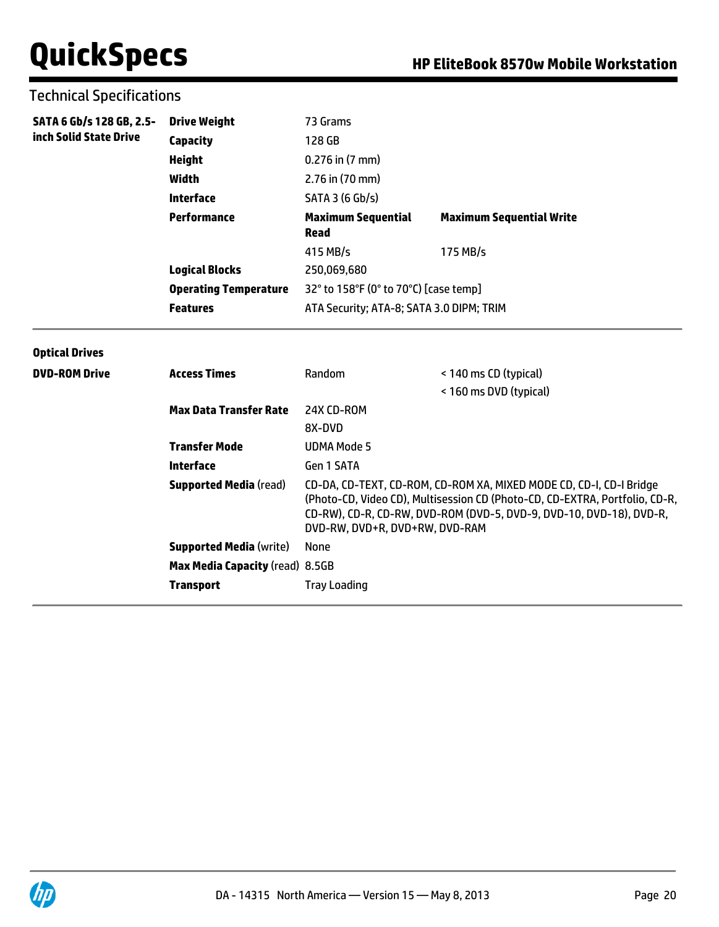### Technical Specifications

| SATA 6 Gb/s 128 GB, 2.5- | <b>Drive Weight</b>          | 73 Grams                                 |                                 |
|--------------------------|------------------------------|------------------------------------------|---------------------------------|
| inch Solid State Drive   | <b>Capacity</b>              | 128 GB                                   |                                 |
|                          | Height                       | $0.276$ in $(7 \text{ mm})$              |                                 |
|                          | Width                        | $2.76$ in (70 mm)                        |                                 |
|                          | Interface                    | SATA 3 (6 Gb/s)                          |                                 |
|                          | Performance                  | <b>Maximum Sequential</b><br>Read        | <b>Maximum Sequential Write</b> |
|                          |                              | 415 MB/s                                 | 175 MB/s                        |
|                          | <b>Logical Blocks</b>        | 250,069,680                              |                                 |
|                          | <b>Operating Temperature</b> | 32° to 158°F (0° to 70°C) [case temp]    |                                 |
|                          | <b>Features</b>              | ATA Security; ATA-8; SATA 3.0 DIPM; TRIM |                                 |

#### **Optical Drives**

| <b>DVD-ROM Drive</b> | <b>Access Times</b>             | Random                         | < 140 ms CD (typical)<br>< 160 ms DVD (typical)                                                                                                                                                                           |
|----------------------|---------------------------------|--------------------------------|---------------------------------------------------------------------------------------------------------------------------------------------------------------------------------------------------------------------------|
|                      | <b>Max Data Transfer Rate</b>   | 24X CD-ROM                     |                                                                                                                                                                                                                           |
|                      |                                 | 8X-DVD                         |                                                                                                                                                                                                                           |
|                      | <b>Transfer Mode</b>            | UDMA Mode 5                    |                                                                                                                                                                                                                           |
|                      | Interface                       | Gen 1 SATA                     |                                                                                                                                                                                                                           |
|                      | <b>Supported Media</b> (read)   | DVD-RW. DVD+R. DVD+RW. DVD-RAM | CD-DA, CD-TEXT, CD-ROM, CD-ROM XA, MIXED MODE CD, CD-I, CD-I Bridge<br>(Photo-CD, Video CD), Multisession CD (Photo-CD, CD-EXTRA, Portfolio, CD-R,<br>CD-RW), CD-R, CD-RW, DVD-ROM (DVD-5, DVD-9, DVD-10, DVD-18), DVD-R, |
|                      | <b>Supported Media (write)</b>  | None                           |                                                                                                                                                                                                                           |
|                      | Max Media Capacity (read) 8.5GB |                                |                                                                                                                                                                                                                           |
|                      | <b>Transport</b>                | <b>Tray Loading</b>            |                                                                                                                                                                                                                           |

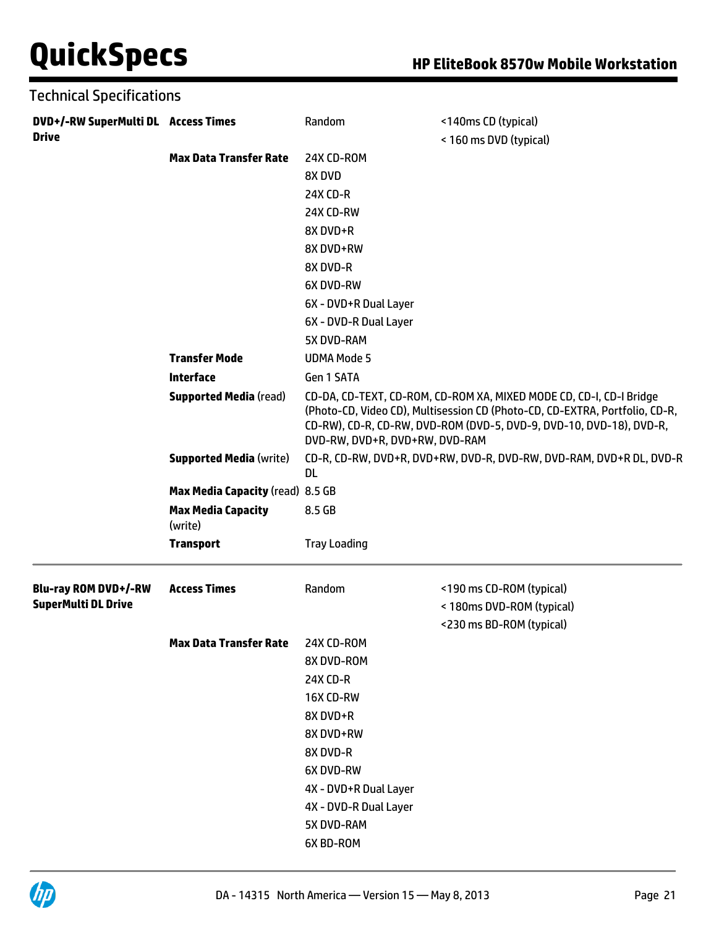| <b>Technical Specifications</b>                     |                                      |                                |                                                                                                                                                                                                                           |
|-----------------------------------------------------|--------------------------------------|--------------------------------|---------------------------------------------------------------------------------------------------------------------------------------------------------------------------------------------------------------------------|
| DVD+/-RW SuperMulti DL Access Times<br><b>Drive</b> |                                      | Random                         | <140ms CD (typical)                                                                                                                                                                                                       |
|                                                     |                                      |                                | < 160 ms DVD (typical)                                                                                                                                                                                                    |
|                                                     | <b>Max Data Transfer Rate</b>        | 24X CD-ROM                     |                                                                                                                                                                                                                           |
|                                                     |                                      | 8X DVD                         |                                                                                                                                                                                                                           |
|                                                     |                                      | 24X CD-R                       |                                                                                                                                                                                                                           |
|                                                     |                                      | 24X CD-RW                      |                                                                                                                                                                                                                           |
|                                                     |                                      | 8X DVD+R                       |                                                                                                                                                                                                                           |
|                                                     |                                      | 8X DVD+RW                      |                                                                                                                                                                                                                           |
|                                                     |                                      | 8X DVD-R                       |                                                                                                                                                                                                                           |
|                                                     |                                      | 6X DVD-RW                      |                                                                                                                                                                                                                           |
|                                                     |                                      | 6X - DVD+R Dual Layer          |                                                                                                                                                                                                                           |
|                                                     |                                      | 6X - DVD-R Dual Layer          |                                                                                                                                                                                                                           |
|                                                     |                                      | 5X DVD-RAM                     |                                                                                                                                                                                                                           |
|                                                     | <b>Transfer Mode</b>                 | <b>UDMA Mode 5</b>             |                                                                                                                                                                                                                           |
|                                                     | <b>Interface</b>                     | Gen 1 SATA                     |                                                                                                                                                                                                                           |
|                                                     | <b>Supported Media (read)</b>        | DVD-RW, DVD+R, DVD+RW, DVD-RAM | CD-DA, CD-TEXT, CD-ROM, CD-ROM XA, MIXED MODE CD, CD-I, CD-I Bridge<br>(Photo-CD, Video CD), Multisession CD (Photo-CD, CD-EXTRA, Portfolio, CD-R,<br>CD-RW), CD-R, CD-RW, DVD-ROM (DVD-5, DVD-9, DVD-10, DVD-18), DVD-R, |
|                                                     | <b>Supported Media (write)</b>       | DL                             | CD-R, CD-RW, DVD+R, DVD+RW, DVD-R, DVD-RW, DVD-RAM, DVD+R DL, DVD-R                                                                                                                                                       |
|                                                     | Max Media Capacity (read) 8.5 GB     |                                |                                                                                                                                                                                                                           |
|                                                     | <b>Max Media Capacity</b><br>(write) | 8.5 GB                         |                                                                                                                                                                                                                           |
|                                                     | <b>Transport</b>                     | <b>Tray Loading</b>            |                                                                                                                                                                                                                           |
| <b>Blu-ray ROM DVD+/-RW</b>                         | <b>Access Times</b>                  | Random                         | <190 ms CD-ROM (typical)                                                                                                                                                                                                  |
| <b>SuperMulti DL Drive</b>                          |                                      |                                | < 180ms DVD-ROM (typical)                                                                                                                                                                                                 |
|                                                     |                                      |                                | <230 ms BD-ROM (typical)                                                                                                                                                                                                  |
|                                                     | <b>Max Data Transfer Rate</b>        | 24X CD-ROM                     |                                                                                                                                                                                                                           |
|                                                     |                                      | 8X DVD-ROM                     |                                                                                                                                                                                                                           |
|                                                     |                                      | 24X CD-R                       |                                                                                                                                                                                                                           |
|                                                     |                                      | 16X CD-RW                      |                                                                                                                                                                                                                           |
|                                                     |                                      | 8X DVD+R                       |                                                                                                                                                                                                                           |
|                                                     |                                      | 8X DVD+RW                      |                                                                                                                                                                                                                           |
|                                                     |                                      | 8X DVD-R                       |                                                                                                                                                                                                                           |
|                                                     |                                      | 6X DVD-RW                      |                                                                                                                                                                                                                           |
|                                                     |                                      | 4X - DVD+R Dual Layer          |                                                                                                                                                                                                                           |
|                                                     |                                      | 4X - DVD-R Dual Layer          |                                                                                                                                                                                                                           |
|                                                     |                                      | 5X DVD-RAM                     |                                                                                                                                                                                                                           |
|                                                     |                                      | 6X BD-ROM                      |                                                                                                                                                                                                                           |

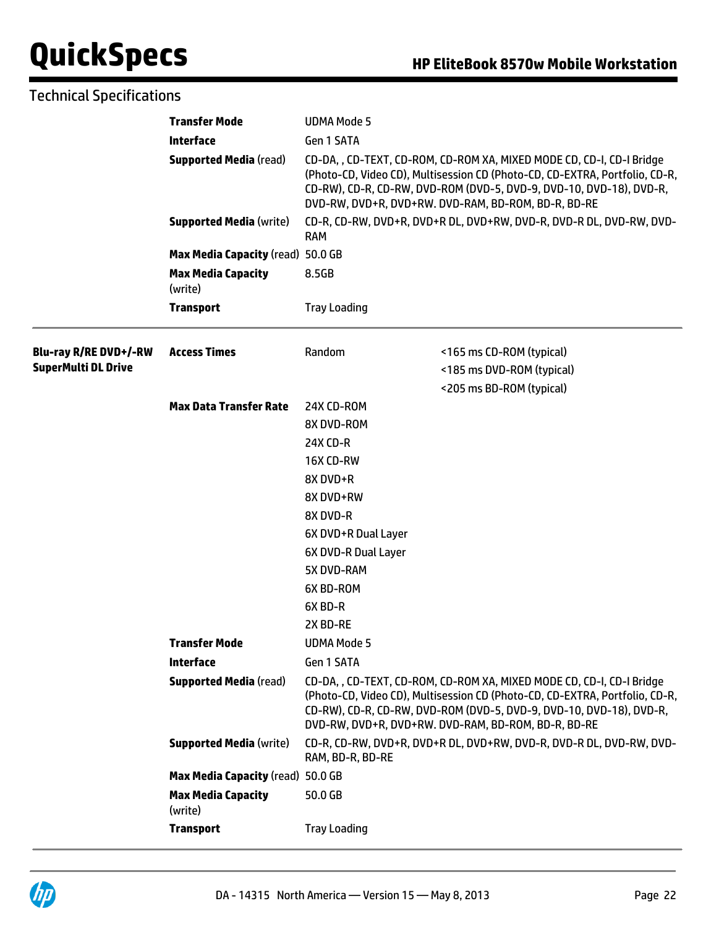### Technical Specifications

|                              | <b>Transfer Mode</b>                 | <b>UDMA Mode 5</b>                                                                                                                                                                                                                                                                 |                                                                     |  |
|------------------------------|--------------------------------------|------------------------------------------------------------------------------------------------------------------------------------------------------------------------------------------------------------------------------------------------------------------------------------|---------------------------------------------------------------------|--|
|                              | <b>Interface</b>                     | Gen 1 SATA                                                                                                                                                                                                                                                                         |                                                                     |  |
|                              | <b>Supported Media (read)</b>        | CD-DA, , CD-TEXT, CD-ROM, CD-ROM XA, MIXED MODE CD, CD-I, CD-I Bridge<br>(Photo-CD, Video CD), Multisession CD (Photo-CD, CD-EXTRA, Portfolio, CD-R,<br>CD-RW), CD-R, CD-RW, DVD-ROM (DVD-5, DVD-9, DVD-10, DVD-18), DVD-R,<br>DVD-RW, DVD+R, DVD+RW. DVD-RAM, BD-ROM, BD-R, BD-RE |                                                                     |  |
|                              | <b>Supported Media (write)</b>       |                                                                                                                                                                                                                                                                                    | CD-R, CD-RW, DVD+R, DVD+R DL, DVD+RW, DVD-R, DVD-R DL, DVD-RW, DVD- |  |
|                              | Max Media Capacity (read) 50.0 GB    |                                                                                                                                                                                                                                                                                    |                                                                     |  |
|                              | <b>Max Media Capacity</b><br>(write) | 8.5GB                                                                                                                                                                                                                                                                              |                                                                     |  |
|                              | <b>Transport</b>                     | <b>Tray Loading</b>                                                                                                                                                                                                                                                                |                                                                     |  |
| <b>Blu-ray R/RE DVD+/-RW</b> | <b>Access Times</b>                  | Random                                                                                                                                                                                                                                                                             | <165 ms CD-ROM (typical)                                            |  |
| <b>SuperMulti DL Drive</b>   |                                      |                                                                                                                                                                                                                                                                                    | <185 ms DVD-ROM (typical)                                           |  |
|                              |                                      |                                                                                                                                                                                                                                                                                    | <205 ms BD-ROM (typical)                                            |  |
|                              | <b>Max Data Transfer Rate</b>        | 24X CD-ROM                                                                                                                                                                                                                                                                         |                                                                     |  |
|                              |                                      | 8X DVD-ROM                                                                                                                                                                                                                                                                         |                                                                     |  |
|                              |                                      | <b>24X CD-R</b>                                                                                                                                                                                                                                                                    |                                                                     |  |
|                              |                                      | 16X CD-RW                                                                                                                                                                                                                                                                          |                                                                     |  |
|                              |                                      | 8X DVD+R                                                                                                                                                                                                                                                                           |                                                                     |  |
|                              |                                      | 8X DVD+RW                                                                                                                                                                                                                                                                          |                                                                     |  |
|                              |                                      | 8X DVD-R                                                                                                                                                                                                                                                                           |                                                                     |  |
|                              |                                      | 6X DVD+R Dual Layer                                                                                                                                                                                                                                                                |                                                                     |  |
|                              |                                      | 6X DVD-R Dual Layer                                                                                                                                                                                                                                                                |                                                                     |  |
|                              |                                      | 5X DVD-RAM                                                                                                                                                                                                                                                                         |                                                                     |  |
|                              |                                      | 6X BD-ROM                                                                                                                                                                                                                                                                          |                                                                     |  |
|                              |                                      | 6X BD-R                                                                                                                                                                                                                                                                            |                                                                     |  |
|                              |                                      | 2X BD-RE                                                                                                                                                                                                                                                                           |                                                                     |  |
|                              | <b>Transfer Mode</b>                 | <b>UDMA Mode 5</b>                                                                                                                                                                                                                                                                 |                                                                     |  |
|                              | <b>Interface</b>                     | Gen 1 SATA                                                                                                                                                                                                                                                                         |                                                                     |  |
|                              | <b>Supported Media (read)</b>        | CD-DA, , CD-TEXT, CD-ROM, CD-ROM XA, MIXED MODE CD, CD-I, CD-I Bridge<br>(Photo-CD, Video CD), Multisession CD (Photo-CD, CD-EXTRA, Portfolio, CD-R,<br>CD-RW), CD-R, CD-RW, DVD-ROM (DVD-5, DVD-9, DVD-10, DVD-18), DVD-R,<br>DVD-RW, DVD+R, DVD+RW. DVD-RAM, BD-ROM, BD-R, BD-RE |                                                                     |  |
|                              | <b>Supported Media (write)</b>       | RAM, BD-R, BD-RE                                                                                                                                                                                                                                                                   | CD-R, CD-RW, DVD+R, DVD+R DL, DVD+RW, DVD-R, DVD-R DL, DVD-RW, DVD- |  |
|                              | Max Media Capacity (read) 50.0 GB    |                                                                                                                                                                                                                                                                                    |                                                                     |  |
|                              | <b>Max Media Capacity</b><br>(write) | 50.0 GB                                                                                                                                                                                                                                                                            |                                                                     |  |
|                              | <b>Transport</b>                     | <b>Tray Loading</b>                                                                                                                                                                                                                                                                |                                                                     |  |

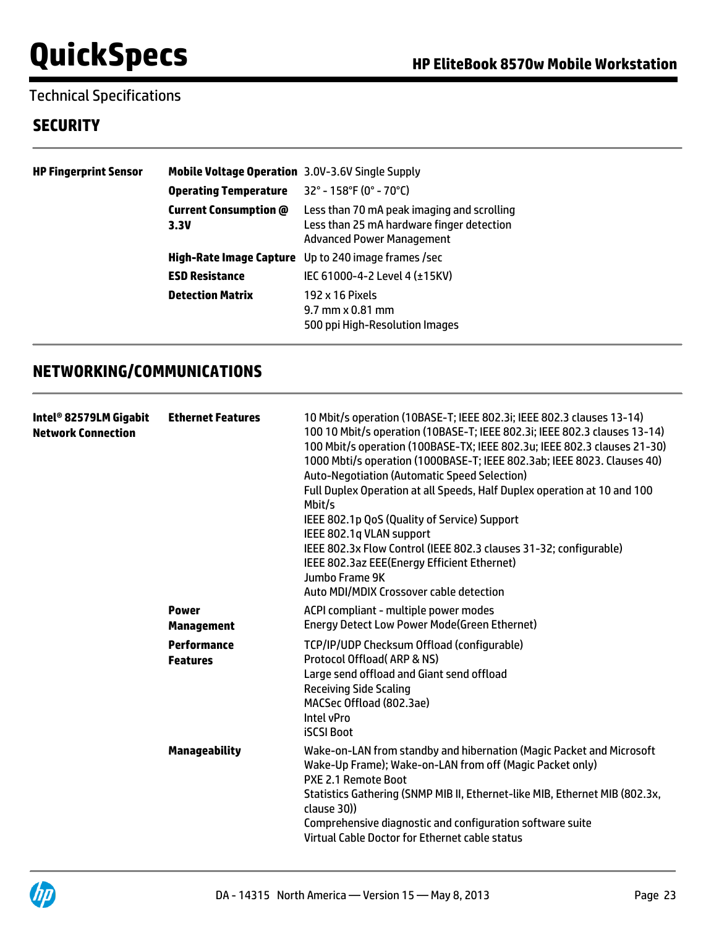## Technical Specifications

## **SECURITY**

| <b>HP Fingerprint Sensor</b> | <b>Mobile Voltage Operation</b> 3.0V-3.6V Single Supply |                                                                                                                             |
|------------------------------|---------------------------------------------------------|-----------------------------------------------------------------------------------------------------------------------------|
|                              | <b>Operating Temperature</b>                            | 32° - 158°F (0° - 70°C)                                                                                                     |
|                              | <b>Current Consumption @</b><br>3.3V                    | Less than 70 mA peak imaging and scrolling<br>Less than 25 mA hardware finger detection<br><b>Advanced Power Management</b> |
|                              |                                                         | <b>High-Rate Image Capture</b> Up to 240 image frames /sec                                                                  |
|                              | <b>ESD Resistance</b>                                   | IEC 61000-4-2 Level 4 (±15KV)                                                                                               |
|                              | <b>Detection Matrix</b>                                 | 192 x 16 Pixels<br>$9.7$ mm $\times$ 0.81 mm<br>500 ppi High-Resolution Images                                              |

## **NETWORKING/COMMUNICATIONS**

| Intel® 82579LM Gigabit<br><b>Network Connection</b> | <b>Ethernet Features</b>              | 10 Mbit/s operation (10BASE-T; IEEE 802.3i; IEEE 802.3 clauses 13-14)<br>100 10 Mbit/s operation (10BASE-T; IEEE 802.3i; IEEE 802.3 clauses 13-14)<br>100 Mbit/s operation (100BASE-TX; IEEE 802.3u; IEEE 802.3 clauses 21-30)<br>1000 Mbti/s operation (1000BASE-T; IEEE 802.3ab; IEEE 8023. Clauses 40)<br><b>Auto-Negotiation (Automatic Speed Selection)</b><br>Full Duplex Operation at all Speeds, Half Duplex operation at 10 and 100<br>Mbit/s<br>IEEE 802.1p QoS (Quality of Service) Support<br>IEEE 802.1q VLAN support<br>IEEE 802.3x Flow Control (IEEE 802.3 clauses 31-32; configurable)<br>IEEE 802.3az EEE(Energy Efficient Ethernet)<br>Jumbo Frame 9K<br>Auto MDI/MDIX Crossover cable detection |
|-----------------------------------------------------|---------------------------------------|---------------------------------------------------------------------------------------------------------------------------------------------------------------------------------------------------------------------------------------------------------------------------------------------------------------------------------------------------------------------------------------------------------------------------------------------------------------------------------------------------------------------------------------------------------------------------------------------------------------------------------------------------------------------------------------------------------------------|
|                                                     | <b>Power</b><br><b>Management</b>     | ACPI compliant - multiple power modes<br><b>Energy Detect Low Power Mode(Green Ethernet)</b>                                                                                                                                                                                                                                                                                                                                                                                                                                                                                                                                                                                                                        |
|                                                     | <b>Performance</b><br><b>Features</b> | TCP/IP/UDP Checksum Offload (configurable)<br>Protocol Offload(ARP & NS)<br>Large send offload and Giant send offload<br><b>Receiving Side Scaling</b><br>MACSec Offload (802.3ae)<br>Intel vPro<br><b>iSCSI Boot</b>                                                                                                                                                                                                                                                                                                                                                                                                                                                                                               |
|                                                     | <b>Manageability</b>                  | Wake-on-LAN from standby and hibernation (Magic Packet and Microsoft<br>Wake-Up Frame); Wake-on-LAN from off (Magic Packet only)<br>PXE 2.1 Remote Boot<br>Statistics Gathering (SNMP MIB II, Ethernet-like MIB, Ethernet MIB (802.3x,<br>clause 30))<br>Comprehensive diagnostic and configuration software suite<br>Virtual Cable Doctor for Ethernet cable status                                                                                                                                                                                                                                                                                                                                                |
|                                                     |                                       |                                                                                                                                                                                                                                                                                                                                                                                                                                                                                                                                                                                                                                                                                                                     |

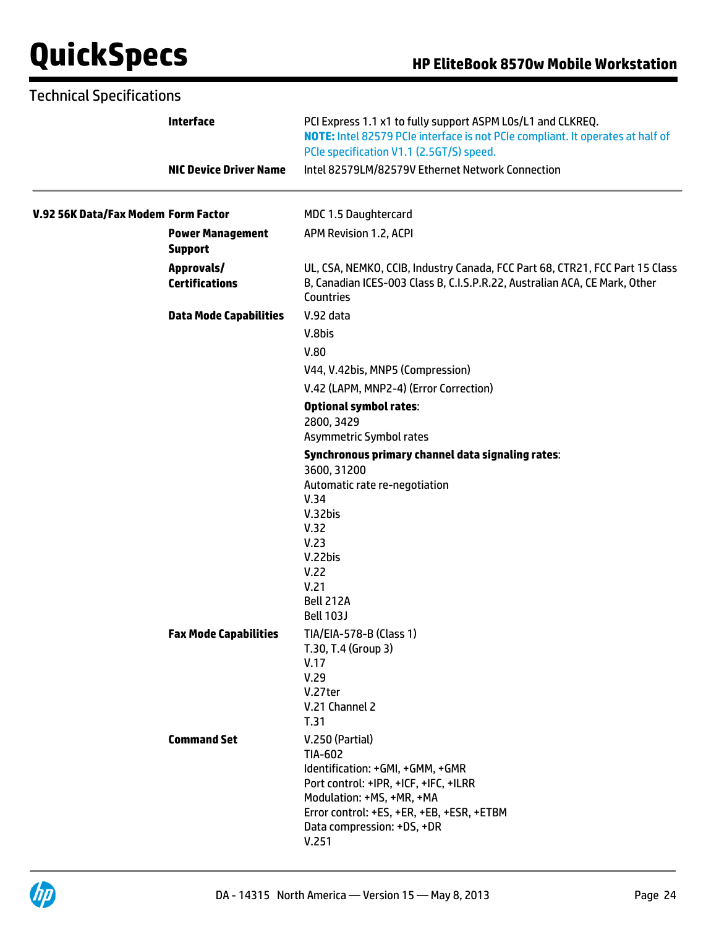| <b>Technical Specifications</b>     |                                           |                                                                                                                                                                                           |
|-------------------------------------|-------------------------------------------|-------------------------------------------------------------------------------------------------------------------------------------------------------------------------------------------|
|                                     | <b>Interface</b>                          | PCI Express 1.1 x1 to fully support ASPM LOs/L1 and CLKREQ.<br>NOTE: Intel 82579 PCIe interface is not PCIe compliant. It operates at half of<br>PCIe specification V1.1 (2.5GT/S) speed. |
|                                     | <b>NIC Device Driver Name</b>             | Intel 82579LM/82579V Ethernet Network Connection                                                                                                                                          |
| V.92 56K Data/Fax Modem Form Factor |                                           | MDC 1.5 Daughtercard                                                                                                                                                                      |
|                                     | <b>Power Management</b><br><b>Support</b> | APM Revision 1.2, ACPI                                                                                                                                                                    |
|                                     | Approvals/<br><b>Certifications</b>       | UL, CSA, NEMKO, CCIB, Industry Canada, FCC Part 68, CTR21, FCC Part 15 Class<br>B, Canadian ICES-003 Class B, C.I.S.P.R.22, Australian ACA, CE Mark, Other<br>Countries                   |
|                                     | <b>Data Mode Capabilities</b>             | V.92 data                                                                                                                                                                                 |
|                                     |                                           | V.8bis                                                                                                                                                                                    |
|                                     |                                           | V.80                                                                                                                                                                                      |
|                                     |                                           | V44, V.42bis, MNP5 (Compression)                                                                                                                                                          |
|                                     |                                           | V.42 (LAPM, MNP2-4) (Error Correction)                                                                                                                                                    |
|                                     |                                           | <b>Optional symbol rates:</b>                                                                                                                                                             |
|                                     |                                           | 2800, 3429                                                                                                                                                                                |
|                                     |                                           | Asymmetric Symbol rates                                                                                                                                                                   |
|                                     |                                           | Synchronous primary channel data signaling rates:<br>3600, 31200                                                                                                                          |
|                                     |                                           | Automatic rate re-negotiation                                                                                                                                                             |
|                                     |                                           | V.34                                                                                                                                                                                      |
|                                     |                                           | V.32bis                                                                                                                                                                                   |
|                                     |                                           | V.32<br>V.23                                                                                                                                                                              |
|                                     |                                           | V.22bis                                                                                                                                                                                   |
|                                     |                                           | V.22                                                                                                                                                                                      |
|                                     |                                           | V.21                                                                                                                                                                                      |
|                                     |                                           | Bell 212A                                                                                                                                                                                 |
|                                     |                                           | <b>Bell 103J</b>                                                                                                                                                                          |
|                                     | <b>Fax Mode Capabilities</b>              | TIA/EIA-578-B (Class 1)<br>T.30, T.4 (Group 3)                                                                                                                                            |
|                                     |                                           | V.17                                                                                                                                                                                      |
|                                     |                                           | V.29                                                                                                                                                                                      |
|                                     |                                           | V.27ter                                                                                                                                                                                   |
|                                     |                                           | V.21 Channel 2<br>T.31                                                                                                                                                                    |
|                                     | <b>Command Set</b>                        |                                                                                                                                                                                           |
|                                     |                                           | V.250 (Partial)<br>TIA-602                                                                                                                                                                |
|                                     |                                           | Identification: +GMI, +GMM, +GMR                                                                                                                                                          |
|                                     |                                           | Port control: +IPR, +ICF, +IFC, +ILRR                                                                                                                                                     |
|                                     |                                           | Modulation: +MS, +MR, +MA                                                                                                                                                                 |
|                                     |                                           | Error control: +ES, +ER, +EB, +ESR, +ETBM<br>Data compression: +DS, +DR                                                                                                                   |
|                                     |                                           | V.251                                                                                                                                                                                     |
|                                     |                                           |                                                                                                                                                                                           |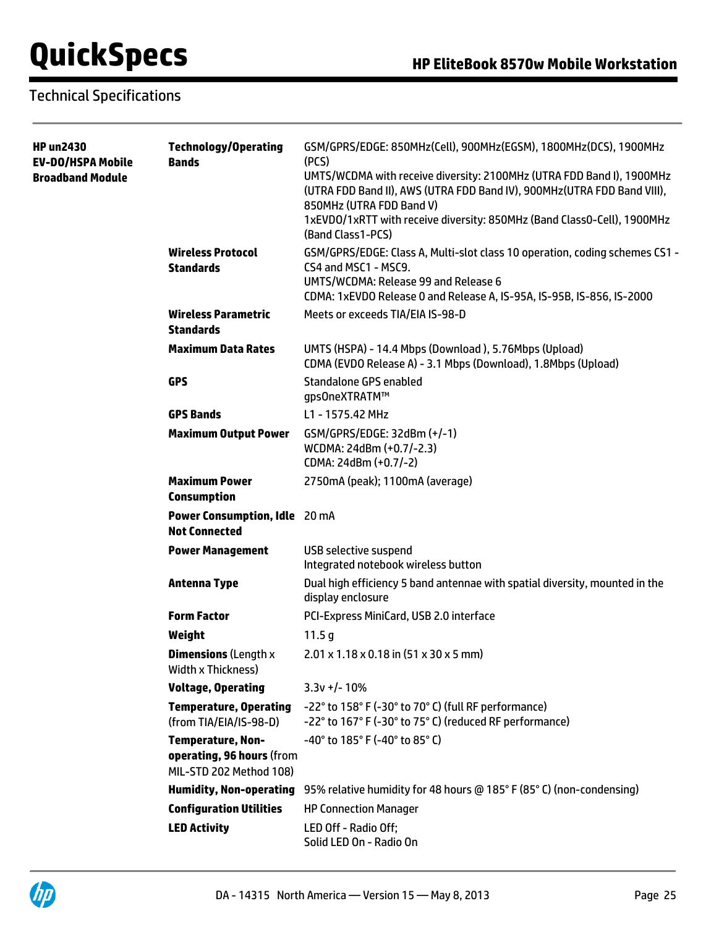## Technical Specifications

| HP un2430<br>EV-DO/HSPA Mobile<br><b>Broadband Module</b> | <b>Technology/Operating</b><br><b>Bands</b>                                      | GSM/GPRS/EDGE: 850MHz(Cell), 900MHz(EGSM), 1800MHz(DCS), 1900MHz<br>(PCS)<br>UMTS/WCDMA with receive diversity: 2100MHz (UTRA FDD Band I), 1900MHz<br>(UTRA FDD Band II), AWS (UTRA FDD Band IV), 900MHz (UTRA FDD Band VIII),<br>850MHz (UTRA FDD Band V)<br>1xEVD0/1xRTT with receive diversity: 850MHz (Band Class0-Cell), 1900MHz<br>(Band Class1-PCS) |
|-----------------------------------------------------------|----------------------------------------------------------------------------------|------------------------------------------------------------------------------------------------------------------------------------------------------------------------------------------------------------------------------------------------------------------------------------------------------------------------------------------------------------|
|                                                           | <b>Wireless Protocol</b><br><b>Standards</b>                                     | GSM/GPRS/EDGE: Class A, Multi-slot class 10 operation, coding schemes CS1 -<br>CS4 and MSC1 - MSC9.<br>UMTS/WCDMA: Release 99 and Release 6<br>CDMA: 1xEVDO Release 0 and Release A, IS-95A, IS-95B, IS-856, IS-2000                                                                                                                                       |
|                                                           | <b>Wireless Parametric</b><br><b>Standards</b>                                   | Meets or exceeds TIA/EIA IS-98-D                                                                                                                                                                                                                                                                                                                           |
|                                                           | <b>Maximum Data Rates</b>                                                        | UMTS (HSPA) - 14.4 Mbps (Download), 5.76Mbps (Upload)<br>CDMA (EVDO Release A) - 3.1 Mbps (Download), 1.8Mbps (Upload)                                                                                                                                                                                                                                     |
|                                                           | <b>GPS</b>                                                                       | <b>Standalone GPS enabled</b><br>gps0neXTRATM™                                                                                                                                                                                                                                                                                                             |
|                                                           | <b>GPS Bands</b>                                                                 | L1 - 1575.42 MHz                                                                                                                                                                                                                                                                                                                                           |
|                                                           | <b>Maximum Output Power</b>                                                      | GSM/GPRS/EDGE: 32dBm (+/-1)<br>WCDMA: 24dBm (+0.7/-2.3)<br>CDMA: 24dBm (+0.7/-2)                                                                                                                                                                                                                                                                           |
|                                                           | <b>Maximum Power</b><br><b>Consumption</b>                                       | 2750mA (peak); 1100mA (average)                                                                                                                                                                                                                                                                                                                            |
|                                                           | Power Consumption, Idle 20 mA<br><b>Not Connected</b>                            |                                                                                                                                                                                                                                                                                                                                                            |
|                                                           | <b>Power Management</b>                                                          | <b>USB selective suspend</b><br>Integrated notebook wireless button                                                                                                                                                                                                                                                                                        |
|                                                           | <b>Antenna Type</b>                                                              | Dual high efficiency 5 band antennae with spatial diversity, mounted in the<br>display enclosure                                                                                                                                                                                                                                                           |
|                                                           | <b>Form Factor</b>                                                               | PCI-Express MiniCard, USB 2.0 interface                                                                                                                                                                                                                                                                                                                    |
|                                                           | Weight                                                                           | 11.5 <sub>g</sub>                                                                                                                                                                                                                                                                                                                                          |
|                                                           | <b>Dimensions (Length x</b><br><b>Width x Thickness)</b>                         | $2.01 \times 1.18 \times 0.18$ in $(51 \times 30 \times 5$ mm)                                                                                                                                                                                                                                                                                             |
|                                                           | <b>Voltage, Operating</b>                                                        | $3.3v + / - 10%$                                                                                                                                                                                                                                                                                                                                           |
|                                                           | <b>Temperature, Operating</b><br>(from TIA/EIA/IS-98-D)                          | -22° to 158° F (-30° to 70° C) (full RF performance)<br>-22° to 167° F (-30° to 75° C) (reduced RF performance)                                                                                                                                                                                                                                            |
|                                                           | <b>Temperature, Non-</b><br>operating, 96 hours (from<br>MIL-STD 202 Method 108) | -40° to 185° F (-40° to 85° C)                                                                                                                                                                                                                                                                                                                             |
|                                                           |                                                                                  | Humidity, Non-operating 95% relative humidity for 48 hours @ 185° F (85° C) (non-condensing)                                                                                                                                                                                                                                                               |
|                                                           | <b>Configuration Utilities</b>                                                   | <b>HP Connection Manager</b>                                                                                                                                                                                                                                                                                                                               |
|                                                           | <b>LED Activity</b>                                                              | LED Off - Radio Off;<br>Solid LED On - Radio On                                                                                                                                                                                                                                                                                                            |

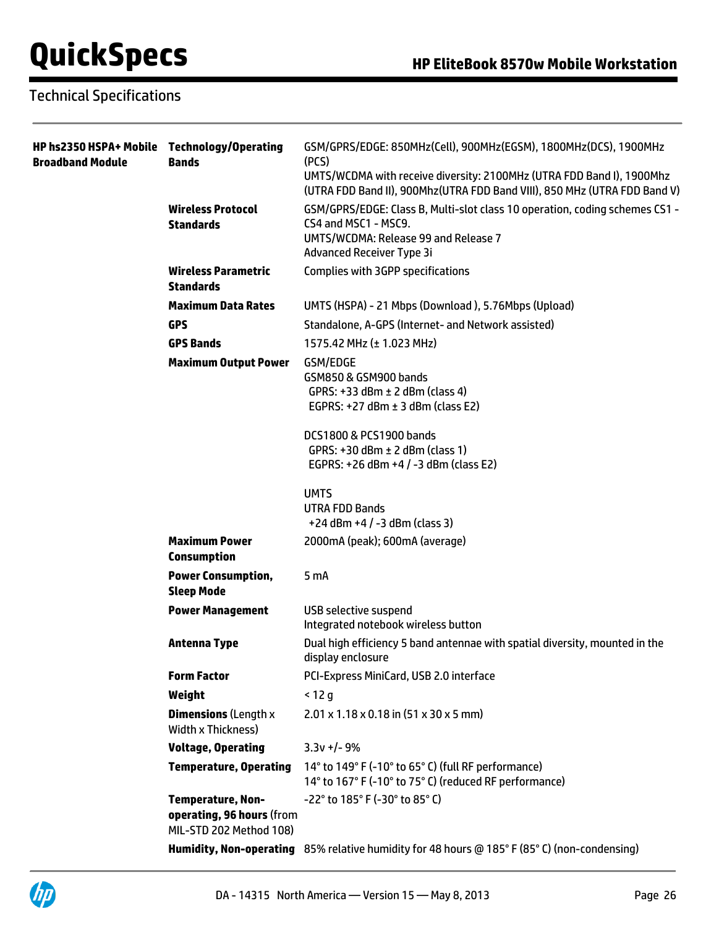## Technical Specifications

| HP hs2350 HSPA+ Mobile Technology/Operating<br><b>Broadband Module</b> | <b>Bands</b>                                                                     | GSM/GPRS/EDGE: 850MHz(Cell), 900MHz(EGSM), 1800MHz(DCS), 1900MHz<br>(PCS)                                                                          |
|------------------------------------------------------------------------|----------------------------------------------------------------------------------|----------------------------------------------------------------------------------------------------------------------------------------------------|
|                                                                        |                                                                                  | UMTS/WCDMA with receive diversity: 2100MHz (UTRA FDD Band I), 1900Mhz<br>(UTRA FDD Band II), 900Mhz(UTRA FDD Band VIII), 850 MHz (UTRA FDD Band V) |
|                                                                        | <b>Wireless Protocol</b><br><b>Standards</b>                                     | GSM/GPRS/EDGE: Class B, Multi-slot class 10 operation, coding schemes CS1 -<br>CS4 and MSC1 - MSC9.                                                |
|                                                                        |                                                                                  | UMTS/WCDMA: Release 99 and Release 7                                                                                                               |
|                                                                        |                                                                                  | Advanced Receiver Type 3i                                                                                                                          |
|                                                                        | <b>Wireless Parametric</b><br><b>Standards</b>                                   | <b>Complies with 3GPP specifications</b>                                                                                                           |
|                                                                        | <b>Maximum Data Rates</b>                                                        | UMTS (HSPA) - 21 Mbps (Download), 5.76Mbps (Upload)                                                                                                |
|                                                                        | <b>GPS</b>                                                                       | Standalone, A-GPS (Internet- and Network assisted)                                                                                                 |
|                                                                        | <b>GPS Bands</b>                                                                 | 1575.42 MHz (± 1.023 MHz)                                                                                                                          |
|                                                                        | <b>Maximum Output Power</b>                                                      | GSM/EDGE<br>GSM850 & GSM900 bands<br>GPRS: $+33$ dBm $\pm$ 2 dBm (class 4)<br>EGPRS: $+27$ dBm $\pm$ 3 dBm (class E2)                              |
|                                                                        |                                                                                  | DCS1800 & PCS1900 bands<br>GPRS: $+30$ dBm $\pm$ 2 dBm (class 1)<br>EGPRS: +26 dBm +4 / -3 dBm (class E2)                                          |
|                                                                        |                                                                                  | <b>UMTS</b><br><b>UTRA FDD Bands</b><br>$+24$ dBm $+4$ / $-3$ dBm (class 3)                                                                        |
|                                                                        | <b>Maximum Power</b><br><b>Consumption</b>                                       | 2000mA (peak); 600mA (average)                                                                                                                     |
|                                                                        | <b>Power Consumption,</b><br><b>Sleep Mode</b>                                   | 5 mA                                                                                                                                               |
|                                                                        | <b>Power Management</b>                                                          | <b>USB selective suspend</b><br>Integrated notebook wireless button                                                                                |
|                                                                        | <b>Antenna Type</b>                                                              | Dual high efficiency 5 band antennae with spatial diversity, mounted in the<br>display enclosure                                                   |
|                                                                        | <b>Form Factor</b>                                                               | PCI-Express MiniCard, USB 2.0 interface                                                                                                            |
|                                                                        | Weight                                                                           | $<$ 12 g                                                                                                                                           |
|                                                                        | <b>Dimensions (Length x</b><br>Width x Thickness)                                | $2.01 \times 1.18 \times 0.18$ in (51 x 30 x 5 mm)                                                                                                 |
|                                                                        | <b>Voltage, Operating</b>                                                        | $3.3v + -9%$                                                                                                                                       |
|                                                                        | <b>Temperature, Operating</b>                                                    | 14° to 149° F (-10° to 65° C) (full RF performance)<br>14° to 167° F (-10° to 75° C) (reduced RF performance)                                      |
|                                                                        | <b>Temperature, Non-</b><br>operating, 96 hours (from<br>MIL-STD 202 Method 108) | -22° to 185° F (-30° to 85° C)                                                                                                                     |
|                                                                        |                                                                                  | Humidity, Non-operating 85% relative humidity for 48 hours @ 185°F (85°C) (non-condensing)                                                         |

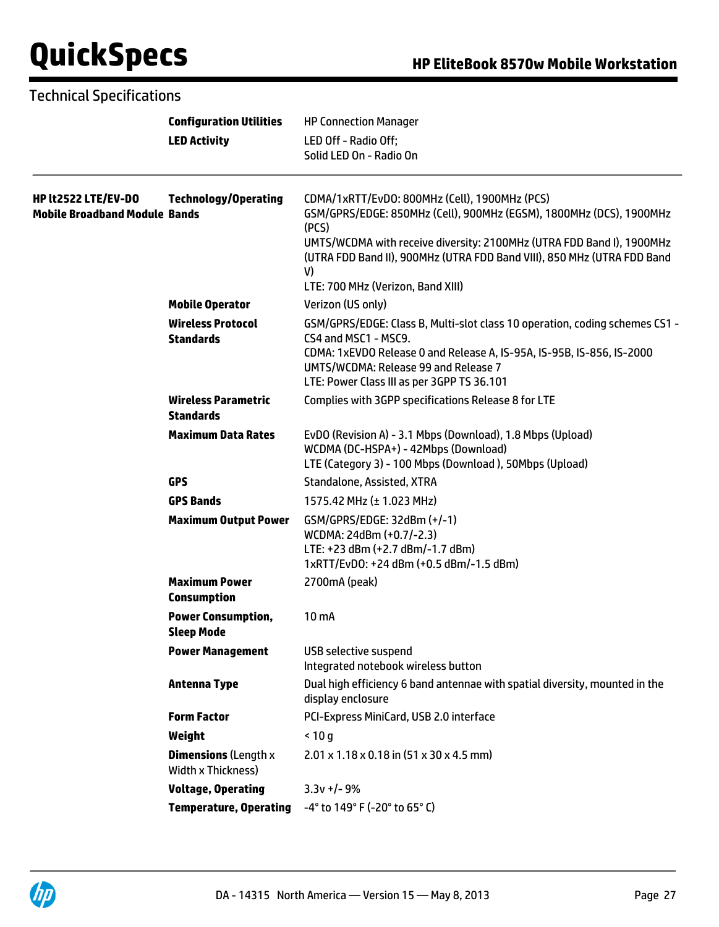### Technical Specifications

 $\overline{\phantom{a}}$ 

|                                                             | <b>Configuration Utilities</b>                                         | <b>HP Connection Manager</b>                                                                                                                                                                                                                                                            |
|-------------------------------------------------------------|------------------------------------------------------------------------|-----------------------------------------------------------------------------------------------------------------------------------------------------------------------------------------------------------------------------------------------------------------------------------------|
|                                                             | <b>LED Activity</b>                                                    | LED Off - Radio Off;<br>Solid LED On - Radio On                                                                                                                                                                                                                                         |
| HP lt2522 LTE/EV-DO<br><b>Mobile Broadband Module Bands</b> | <b>Technology/Operating</b>                                            | CDMA/1xRTT/EvDO: 800MHz (Cell), 1900MHz (PCS)<br>GSM/GPRS/EDGE: 850MHz (Cell), 900MHz (EGSM), 1800MHz (DCS), 1900MHz<br>(PCS)<br>UMTS/WCDMA with receive diversity: 2100MHz (UTRA FDD Band I), 1900MHz<br>(UTRA FDD Band II), 900MHz (UTRA FDD Band VIII), 850 MHz (UTRA FDD Band<br>V) |
|                                                             |                                                                        | LTE: 700 MHz (Verizon, Band XIII)                                                                                                                                                                                                                                                       |
|                                                             | <b>Mobile Operator</b><br><b>Wireless Protocol</b><br><b>Standards</b> | Verizon (US only)<br>GSM/GPRS/EDGE: Class B, Multi-slot class 10 operation, coding schemes CS1 -<br>CS4 and MSC1 - MSC9.<br>CDMA: 1xEVDO Release 0 and Release A, IS-95A, IS-95B, IS-856, IS-2000<br>UMTS/WCDMA: Release 99 and Release 7<br>LTE: Power Class III as per 3GPP TS 36.101 |
|                                                             | <b>Wireless Parametric</b><br><b>Standards</b>                         | Complies with 3GPP specifications Release 8 for LTE                                                                                                                                                                                                                                     |
|                                                             | <b>Maximum Data Rates</b>                                              | EvDO (Revision A) - 3.1 Mbps (Download), 1.8 Mbps (Upload)<br>WCDMA (DC-HSPA+) - 42Mbps (Download)<br>LTE (Category 3) - 100 Mbps (Download), 50Mbps (Upload)                                                                                                                           |
|                                                             | <b>GPS</b>                                                             | Standalone, Assisted, XTRA                                                                                                                                                                                                                                                              |
|                                                             | <b>GPS Bands</b>                                                       | 1575.42 MHz (± 1.023 MHz)                                                                                                                                                                                                                                                               |
|                                                             | <b>Maximum Output Power</b>                                            | GSM/GPRS/EDGE: 32dBm (+/-1)<br>WCDMA: 24dBm (+0.7/-2.3)<br>LTE: +23 dBm (+2.7 dBm/-1.7 dBm)<br>1xRTT/EvD0: +24 dBm (+0.5 dBm/-1.5 dBm)                                                                                                                                                  |
|                                                             | <b>Maximum Power</b><br><b>Consumption</b>                             | 2700mA (peak)                                                                                                                                                                                                                                                                           |
|                                                             | <b>Power Consumption,</b><br><b>Sleep Mode</b>                         | 10 <sub>m</sub>                                                                                                                                                                                                                                                                         |
|                                                             | <b>Power Management</b>                                                | <b>USB selective suspend</b><br>Integrated notebook wireless button                                                                                                                                                                                                                     |
|                                                             | <b>Antenna Type</b>                                                    | Dual high efficiency 6 band antennae with spatial diversity, mounted in the<br>display enclosure                                                                                                                                                                                        |
|                                                             | <b>Form Factor</b>                                                     | PCI-Express MiniCard, USB 2.0 interface                                                                                                                                                                                                                                                 |
|                                                             | Weight                                                                 | < 10 g                                                                                                                                                                                                                                                                                  |
|                                                             | <b>Dimensions (Length x</b><br>Width x Thickness)                      | $2.01 \times 1.18 \times 0.18$ in (51 x 30 x 4.5 mm)                                                                                                                                                                                                                                    |
|                                                             | <b>Voltage, Operating</b>                                              | $3.3v +/- 9%$                                                                                                                                                                                                                                                                           |
|                                                             | <b>Temperature, Operating</b>                                          | -4° to 149° F (-20° to 65° C)                                                                                                                                                                                                                                                           |

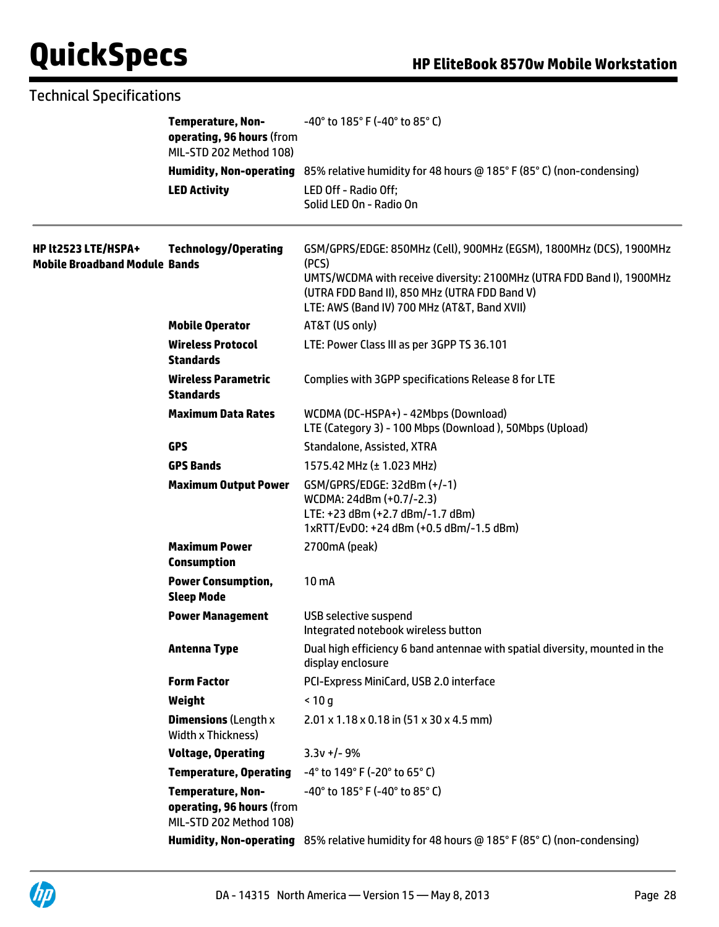## Technical Specifications

|                                                             | <b>Temperature, Non-</b><br>operating, 96 hours (from<br>MIL-STD 202 Method 108) | $-40^{\circ}$ to 185 $^{\circ}$ F (-40 $^{\circ}$ to 85 $^{\circ}$ C)                                                                                                                                                                                  |
|-------------------------------------------------------------|----------------------------------------------------------------------------------|--------------------------------------------------------------------------------------------------------------------------------------------------------------------------------------------------------------------------------------------------------|
|                                                             |                                                                                  | Humidity, Non-operating 85% relative humidity for 48 hours @ 185° F (85° C) (non-condensing)                                                                                                                                                           |
|                                                             | <b>LED Activity</b>                                                              | LED Off - Radio Off;<br>Solid LED On - Radio On                                                                                                                                                                                                        |
| HP lt2523 LTE/HSPA+<br><b>Mobile Broadband Module Bands</b> | <b>Technology/Operating</b>                                                      | GSM/GPRS/EDGE: 850MHz (Cell), 900MHz (EGSM), 1800MHz (DCS), 1900MHz<br>(PCS)<br>UMTS/WCDMA with receive diversity: 2100MHz (UTRA FDD Band I), 1900MHz<br>(UTRA FDD Band II), 850 MHz (UTRA FDD Band V)<br>LTE: AWS (Band IV) 700 MHz (AT&T, Band XVII) |
|                                                             | <b>Mobile Operator</b>                                                           | AT&T (US only)                                                                                                                                                                                                                                         |
|                                                             | <b>Wireless Protocol</b><br>Standards                                            | LTE: Power Class III as per 3GPP TS 36.101                                                                                                                                                                                                             |
|                                                             | <b>Wireless Parametric</b><br><b>Standards</b>                                   | Complies with 3GPP specifications Release 8 for LTE                                                                                                                                                                                                    |
|                                                             | <b>Maximum Data Rates</b>                                                        | WCDMA (DC-HSPA+) - 42Mbps (Download)<br>LTE (Category 3) - 100 Mbps (Download), 50Mbps (Upload)                                                                                                                                                        |
|                                                             | <b>GPS</b>                                                                       | Standalone, Assisted, XTRA                                                                                                                                                                                                                             |
|                                                             | <b>GPS Bands</b>                                                                 | 1575.42 MHz (± 1.023 MHz)                                                                                                                                                                                                                              |
|                                                             | <b>Maximum Output Power</b>                                                      | GSM/GPRS/EDGE: 32dBm (+/-1)<br>WCDMA: 24dBm (+0.7/-2.3)<br>LTE: +23 dBm (+2.7 dBm/-1.7 dBm)<br>1xRTT/EvD0: +24 dBm (+0.5 dBm/-1.5 dBm)                                                                                                                 |
|                                                             | <b>Maximum Power</b><br><b>Consumption</b>                                       | 2700mA (peak)                                                                                                                                                                                                                                          |
|                                                             | <b>Power Consumption,</b><br><b>Sleep Mode</b>                                   | 10 mA                                                                                                                                                                                                                                                  |
|                                                             | <b>Power Management</b>                                                          | USB selective suspend<br>Integrated notebook wireless button                                                                                                                                                                                           |
|                                                             | <b>Antenna Type</b>                                                              | Dual high efficiency 6 band antennae with spatial diversity, mounted in the<br>display enclosure                                                                                                                                                       |
|                                                             | <b>Form Factor</b>                                                               | PCI-Express MiniCard, USB 2.0 interface                                                                                                                                                                                                                |
|                                                             | Weight                                                                           | < 10 g                                                                                                                                                                                                                                                 |
|                                                             | <b>Dimensions (Length x</b><br>Width x Thickness)                                | $2.01 \times 1.18 \times 0.18$ in $(51 \times 30 \times 4.5$ mm)                                                                                                                                                                                       |
|                                                             | <b>Voltage, Operating</b>                                                        | $3.3v +/- 9%$                                                                                                                                                                                                                                          |
|                                                             | <b>Temperature, Operating</b>                                                    | $-4^{\circ}$ to 149° F (-20° to 65° C)                                                                                                                                                                                                                 |
|                                                             | <b>Temperature, Non-</b><br>operating, 96 hours (from<br>MIL-STD 202 Method 108) | $-40^{\circ}$ to 185 $^{\circ}$ F (-40 $^{\circ}$ to 85 $^{\circ}$ C)                                                                                                                                                                                  |
|                                                             |                                                                                  | Humidity, Non-operating 85% relative humidity for 48 hours @ 185° F (85° C) (non-condensing)                                                                                                                                                           |

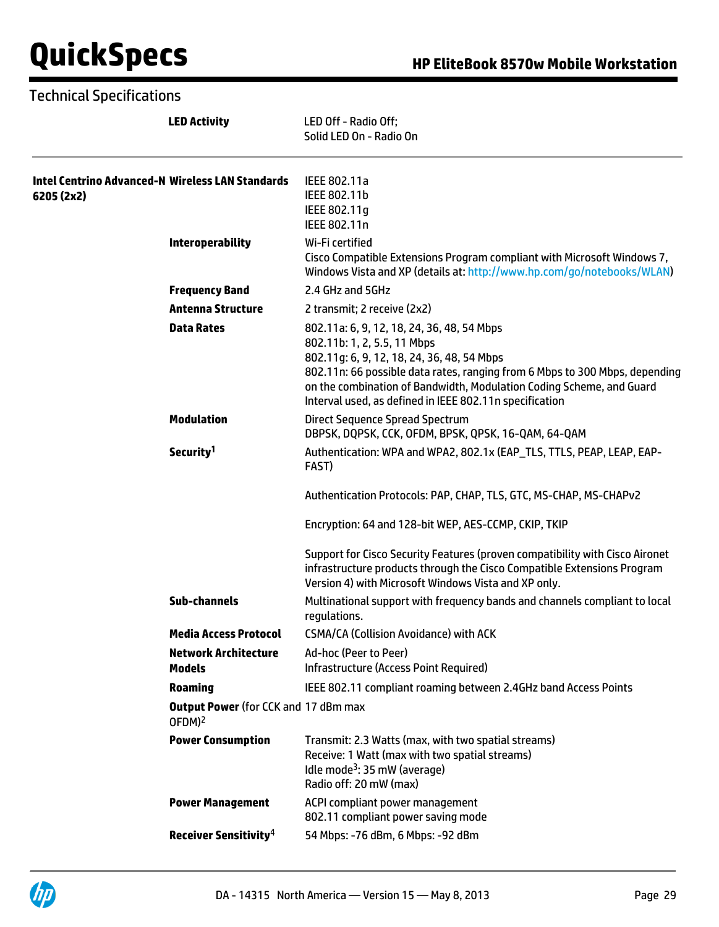### Technical Specifications

|                                                                | <b>LED Activity</b>                                               | LED Off - Radio Off:<br>Solid LED On - Radio On                                                                                                                                                                                                                                                                                           |
|----------------------------------------------------------------|-------------------------------------------------------------------|-------------------------------------------------------------------------------------------------------------------------------------------------------------------------------------------------------------------------------------------------------------------------------------------------------------------------------------------|
| Intel Centrino Advanced-N Wireless LAN Standards<br>6205 (2x2) |                                                                   | IEEE 802.11a<br>IEEE 802.11b<br>IEEE 802.11g<br>IEEE 802.11n                                                                                                                                                                                                                                                                              |
|                                                                | <b>Interoperability</b>                                           | Wi-Fi certified<br>Cisco Compatible Extensions Program compliant with Microsoft Windows 7,<br>Windows Vista and XP (details at: http://www.hp.com/go/notebooks/WLAN)                                                                                                                                                                      |
|                                                                | <b>Frequency Band</b>                                             | 2.4 GHz and 5GHz                                                                                                                                                                                                                                                                                                                          |
|                                                                | <b>Antenna Structure</b>                                          | 2 transmit; 2 receive (2x2)                                                                                                                                                                                                                                                                                                               |
|                                                                | <b>Data Rates</b>                                                 | 802.11a: 6, 9, 12, 18, 24, 36, 48, 54 Mbps<br>802.11b: 1, 2, 5.5, 11 Mbps<br>802.11g: 6, 9, 12, 18, 24, 36, 48, 54 Mbps<br>802.11n: 66 possible data rates, ranging from 6 Mbps to 300 Mbps, depending<br>on the combination of Bandwidth, Modulation Coding Scheme, and Guard<br>Interval used, as defined in IEEE 802.11n specification |
|                                                                | <b>Modulation</b>                                                 | <b>Direct Sequence Spread Spectrum</b><br>DBPSK, DQPSK, CCK, OFDM, BPSK, QPSK, 16-QAM, 64-QAM                                                                                                                                                                                                                                             |
|                                                                | Security <sup>1</sup>                                             | Authentication: WPA and WPA2, 802.1x (EAP_TLS, TTLS, PEAP, LEAP, EAP-<br>FAST)                                                                                                                                                                                                                                                            |
|                                                                |                                                                   | Authentication Protocols: PAP, CHAP, TLS, GTC, MS-CHAP, MS-CHAPv2                                                                                                                                                                                                                                                                         |
|                                                                |                                                                   | Encryption: 64 and 128-bit WEP, AES-CCMP, CKIP, TKIP                                                                                                                                                                                                                                                                                      |
|                                                                |                                                                   | Support for Cisco Security Features (proven compatibility with Cisco Aironet<br>infrastructure products through the Cisco Compatible Extensions Program<br>Version 4) with Microsoft Windows Vista and XP only.                                                                                                                           |
|                                                                | <b>Sub-channels</b>                                               | Multinational support with frequency bands and channels compliant to local<br>regulations.                                                                                                                                                                                                                                                |
|                                                                | <b>Media Access Protocol</b>                                      | <b>CSMA/CA (Collision Avoidance) with ACK</b>                                                                                                                                                                                                                                                                                             |
|                                                                | Network Architecture<br><b>Models</b>                             | Ad-hoc (Peer to Peer)<br>Infrastructure (Access Point Required)                                                                                                                                                                                                                                                                           |
|                                                                | <b>Roaming</b>                                                    | IEEE 802.11 compliant roaming between 2.4GHz band Access Points                                                                                                                                                                                                                                                                           |
|                                                                | <b>Output Power</b> (for CCK and 17 dBm max<br>OFDM) <sup>2</sup> |                                                                                                                                                                                                                                                                                                                                           |
|                                                                | <b>Power Consumption</b>                                          | Transmit: 2.3 Watts (max, with two spatial streams)<br>Receive: 1 Watt (max with two spatial streams)<br>Idle mode <sup>3</sup> : 35 mW (average)<br>Radio off: 20 mW (max)                                                                                                                                                               |
|                                                                | <b>Power Management</b>                                           | ACPI compliant power management<br>802.11 compliant power saving mode                                                                                                                                                                                                                                                                     |
|                                                                | Receiver Sensitivity <sup>4</sup>                                 | 54 Mbps: -76 dBm, 6 Mbps: -92 dBm                                                                                                                                                                                                                                                                                                         |

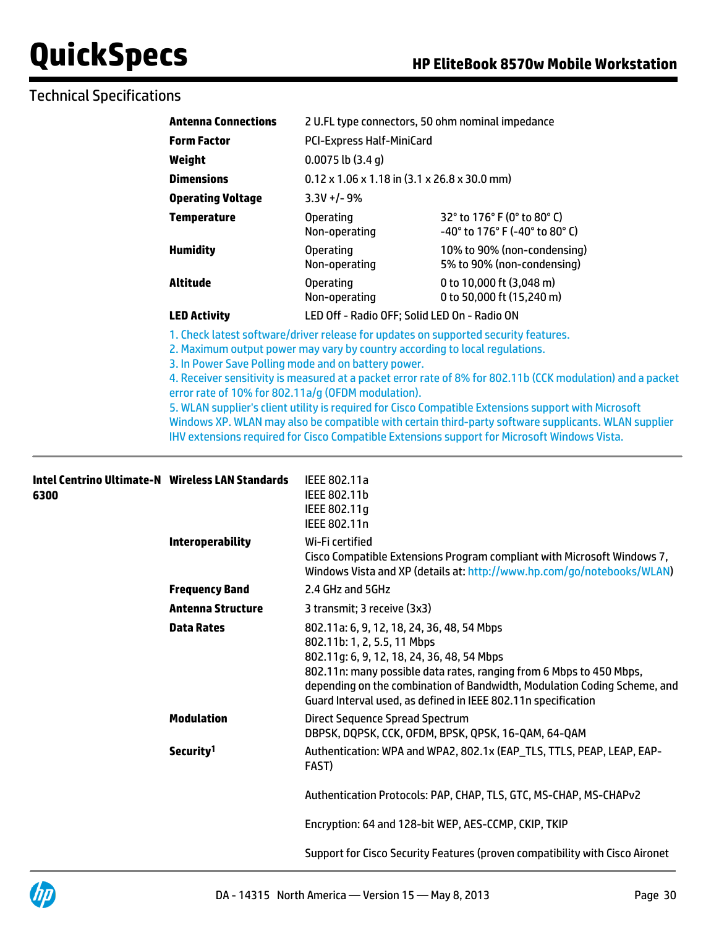## Technical Specifications

| <b>Antenna Connections</b> |                                              | 2 U.FL type connectors, 50 ohm nominal impedance                       |  |  |
|----------------------------|----------------------------------------------|------------------------------------------------------------------------|--|--|
| <b>Form Factor</b>         |                                              | <b>PCI-Express Half-MiniCard</b>                                       |  |  |
| Weight                     | $0.0075$ lb $(3.4 g)$                        |                                                                        |  |  |
| <b>Dimensions</b>          |                                              | $0.12 \times 1.06 \times 1.18$ in $(3.1 \times 26.8 \times 30.0$ mm)   |  |  |
| <b>Operating Voltage</b>   | $3.3V +/- 9%$                                |                                                                        |  |  |
| <b>Temperature</b>         | Operating<br>Non-operating                   | 32° to 176° F (0° to 80° C)<br>$-40^{\circ}$ to 176° F (-40° to 80° C) |  |  |
| <b>Humidity</b>            | <b>Operating</b><br>Non-operating            | 10% to 90% (non-condensing)<br>5% to 90% (non-condensing)              |  |  |
| Altitude                   | Operating<br>Non-operating                   | 0 to 10,000 ft (3,048 m)<br>0 to 50,000 ft (15,240 m)                  |  |  |
| <b>LED Activity</b>        | LED Off - Radio OFF; Solid LED On - Radio ON |                                                                        |  |  |

1. Check latest software/driver release for updates on supported security features.

2. Maximum output power may vary by country according to local regulations.

3. In Power Save Polling mode and on battery power.

4. Receiver sensitivity is measured at a packet error rate of 8% for 802.11b (CCK modulation) and a packet error rate of 10% for 802.11a/g (OFDM modulation).

5. WLAN supplier's client utility is required for Cisco Compatible Extensions support with Microsoft Windows XP. WLAN may also be compatible with certain third-party software supplicants. WLAN supplier IHV extensions required for Cisco Compatible Extensions support for Microsoft Windows Vista.

| <b>Intel Centrino Ultimate-N Wireless LAN Standards</b><br>6300 |                          | IEEE 802.11a<br>IEEE 802.11b<br>IEEE 802.11g<br>IEEE 802.11n                                                                                                                                                                                                                                                                                |
|-----------------------------------------------------------------|--------------------------|---------------------------------------------------------------------------------------------------------------------------------------------------------------------------------------------------------------------------------------------------------------------------------------------------------------------------------------------|
|                                                                 | <b>Interoperability</b>  | Wi-Fi certified<br>Cisco Compatible Extensions Program compliant with Microsoft Windows 7,<br>Windows Vista and XP (details at: http://www.hp.com/go/notebooks/WLAN)                                                                                                                                                                        |
|                                                                 | <b>Frequency Band</b>    | 2.4 GHz and 5GHz                                                                                                                                                                                                                                                                                                                            |
|                                                                 | <b>Antenna Structure</b> | 3 transmit; 3 receive (3x3)                                                                                                                                                                                                                                                                                                                 |
|                                                                 | <b>Data Rates</b>        | 802.11a: 6, 9, 12, 18, 24, 36, 48, 54 Mbps<br>802.11b: 1, 2, 5.5, 11 Mbps<br>802.11g: 6, 9, 12, 18, 24, 36, 48, 54 Mbps<br>802.11n: many possible data rates, ranging from 6 Mbps to 450 Mbps,<br>depending on the combination of Bandwidth, Modulation Coding Scheme, and<br>Guard Interval used, as defined in IEEE 802.11n specification |
|                                                                 | <b>Modulation</b>        | <b>Direct Sequence Spread Spectrum</b><br>DBPSK, DQPSK, CCK, OFDM, BPSK, QPSK, 16-QAM, 64-QAM                                                                                                                                                                                                                                               |
|                                                                 | Security <sup>1</sup>    | Authentication: WPA and WPA2, 802.1x (EAP_TLS, TTLS, PEAP, LEAP, EAP-<br>FAST)                                                                                                                                                                                                                                                              |
|                                                                 |                          | Authentication Protocols: PAP, CHAP, TLS, GTC, MS-CHAP, MS-CHAPv2                                                                                                                                                                                                                                                                           |
|                                                                 |                          | Encryption: 64 and 128-bit WEP, AES-CCMP, CKIP, TKIP                                                                                                                                                                                                                                                                                        |
|                                                                 |                          | Support for Cisco Security Features (proven compatibility with Cisco Aironet                                                                                                                                                                                                                                                                |
|                                                                 |                          |                                                                                                                                                                                                                                                                                                                                             |

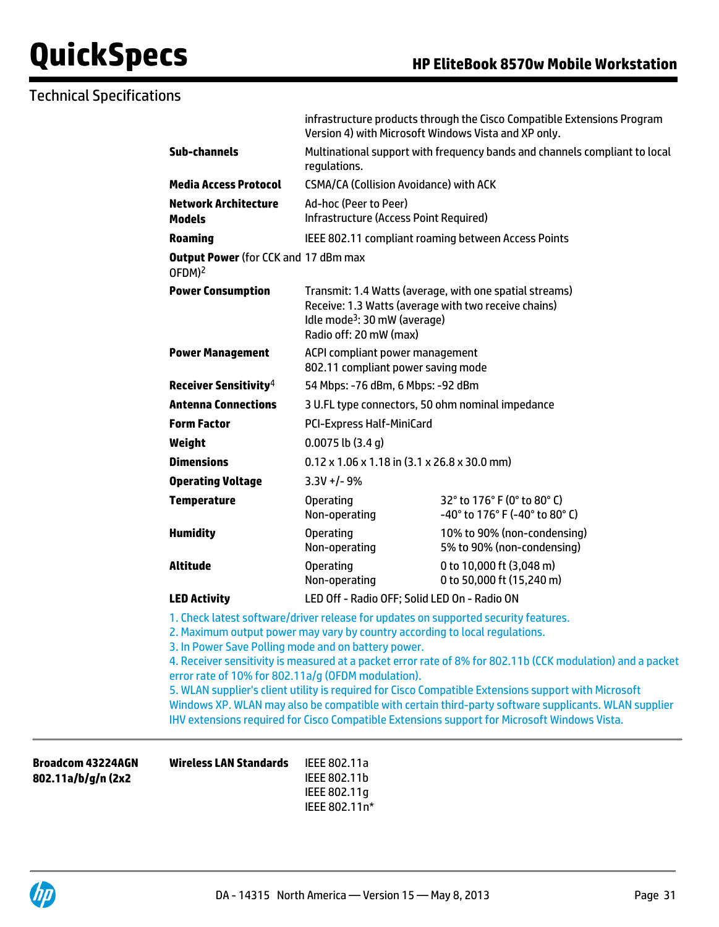## Technical Specifications

|                                                                                                           | Version 4) with Microsoft Windows Vista and XP only.                                                                                                                                  | infrastructure products through the Cisco Compatible Extensions Program                                                                                                                                                                                                                                                                                                                                                                                                                                           |  |
|-----------------------------------------------------------------------------------------------------------|---------------------------------------------------------------------------------------------------------------------------------------------------------------------------------------|-------------------------------------------------------------------------------------------------------------------------------------------------------------------------------------------------------------------------------------------------------------------------------------------------------------------------------------------------------------------------------------------------------------------------------------------------------------------------------------------------------------------|--|
| <b>Sub-channels</b>                                                                                       | Multinational support with frequency bands and channels compliant to local<br>requlations.                                                                                            |                                                                                                                                                                                                                                                                                                                                                                                                                                                                                                                   |  |
| <b>Media Access Protocol</b>                                                                              | <b>CSMA/CA (Collision Avoidance) with ACK</b>                                                                                                                                         |                                                                                                                                                                                                                                                                                                                                                                                                                                                                                                                   |  |
| <b>Network Architecture</b><br><b>Models</b>                                                              | Ad-hoc (Peer to Peer)<br>Infrastructure (Access Point Required)                                                                                                                       |                                                                                                                                                                                                                                                                                                                                                                                                                                                                                                                   |  |
| <b>Roaming</b>                                                                                            |                                                                                                                                                                                       | IEEE 802.11 compliant roaming between Access Points                                                                                                                                                                                                                                                                                                                                                                                                                                                               |  |
| <b>Output Power (for CCK and 17 dBm max</b><br>OFDM) <sup>2</sup>                                         |                                                                                                                                                                                       |                                                                                                                                                                                                                                                                                                                                                                                                                                                                                                                   |  |
| <b>Power Consumption</b>                                                                                  | Transmit: 1.4 Watts (average, with one spatial streams)<br>Receive: 1.3 Watts (average with two receive chains)<br>Idle mode <sup>3</sup> : 30 mW (average)<br>Radio off: 20 mW (max) |                                                                                                                                                                                                                                                                                                                                                                                                                                                                                                                   |  |
| <b>Power Management</b>                                                                                   | ACPI compliant power management<br>802.11 compliant power saving mode                                                                                                                 |                                                                                                                                                                                                                                                                                                                                                                                                                                                                                                                   |  |
| Receiver Sensitivity <sup>4</sup>                                                                         | 54 Mbps: -76 dBm, 6 Mbps: -92 dBm                                                                                                                                                     |                                                                                                                                                                                                                                                                                                                                                                                                                                                                                                                   |  |
| <b>Antenna Connections</b>                                                                                | 3 U.FL type connectors, 50 ohm nominal impedance                                                                                                                                      |                                                                                                                                                                                                                                                                                                                                                                                                                                                                                                                   |  |
| <b>Form Factor</b>                                                                                        | <b>PCI-Express Half-MiniCard</b>                                                                                                                                                      |                                                                                                                                                                                                                                                                                                                                                                                                                                                                                                                   |  |
| Weight                                                                                                    | $0.0075$ lb $(3.4g)$                                                                                                                                                                  |                                                                                                                                                                                                                                                                                                                                                                                                                                                                                                                   |  |
| <b>Dimensions</b>                                                                                         | $0.12 \times 1.06 \times 1.18$ in (3.1 x 26.8 x 30.0 mm)                                                                                                                              |                                                                                                                                                                                                                                                                                                                                                                                                                                                                                                                   |  |
| <b>Operating Voltage</b>                                                                                  | $3.3V + - 9%$                                                                                                                                                                         |                                                                                                                                                                                                                                                                                                                                                                                                                                                                                                                   |  |
| <b>Temperature</b>                                                                                        | <b>Operating</b><br>Non-operating                                                                                                                                                     | 32° to 176° F (0° to 80° C)<br>-40° to 176° F (-40° to 80° C)                                                                                                                                                                                                                                                                                                                                                                                                                                                     |  |
| <b>Humidity</b>                                                                                           | <b>Operating</b><br>Non-operating                                                                                                                                                     | 10% to 90% (non-condensing)<br>5% to 90% (non-condensing)                                                                                                                                                                                                                                                                                                                                                                                                                                                         |  |
| <b>Altitude</b>                                                                                           | <b>Operating</b><br>Non-operating                                                                                                                                                     | 0 to 10,000 ft (3,048 m)<br>0 to 50,000 ft (15,240 m)                                                                                                                                                                                                                                                                                                                                                                                                                                                             |  |
| <b>LED Activity</b>                                                                                       | LED Off - Radio OFF; Solid LED On - Radio ON                                                                                                                                          |                                                                                                                                                                                                                                                                                                                                                                                                                                                                                                                   |  |
| 3. In Power Save Polling mode and on battery power.<br>error rate of 10% for 802.11a/g (OFDM modulation). | 2. Maximum output power may vary by country according to local regulations.                                                                                                           | 1. Check latest software/driver release for updates on supported security features.<br>4. Receiver sensitivity is measured at a packet error rate of 8% for 802.11b (CCK modulation) and a packet<br>5. WLAN supplier's client utility is required for Cisco Compatible Extensions support with Microsoft<br>Windows XP. WLAN may also be compatible with certain third-party software supplicants. WLAN supplier<br>IHV extensions required for Cisco Compatible Extensions support for Microsoft Windows Vista. |  |

**Broadcom 43224AGN 802.11a/b/g/n (2x2**

**Wireless LAN Standards** IEEE 802.11a

IEEE 802.11b IEEE 802.11g IEEE 802.11n\*

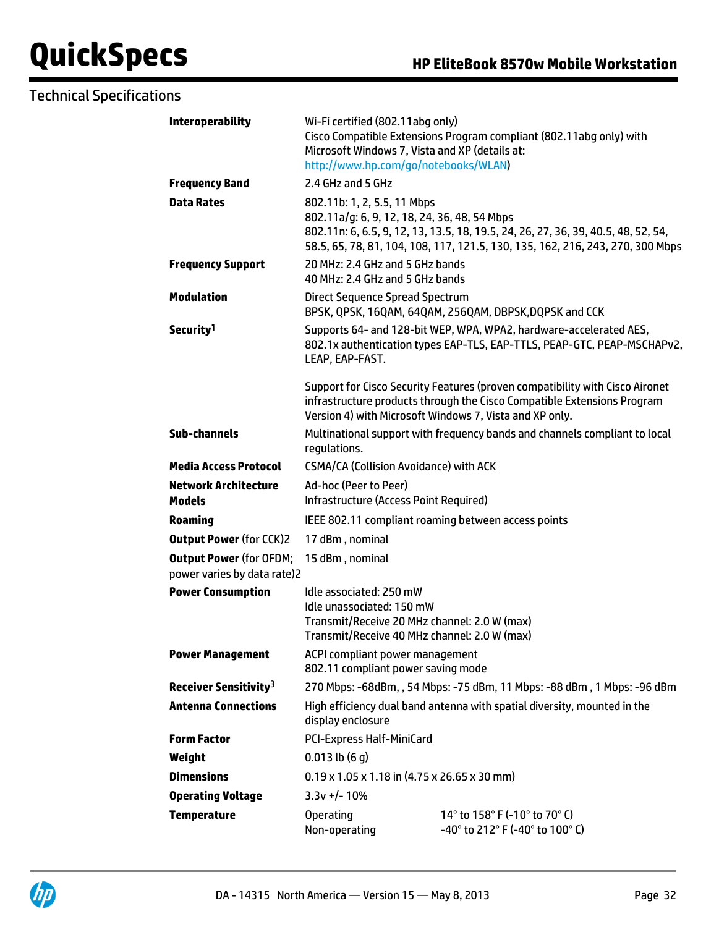## Technical Specifications

| <b>Interoperability</b>                                       | Wi-Fi certified (802.11abg only)<br>Cisco Compatible Extensions Program compliant (802.11abg only) with<br>Microsoft Windows 7, Vista and XP (details at:<br>http://www.hp.com/go/notebooks/WLAN)                                                  |                                                                                                                                                                                                                    |  |
|---------------------------------------------------------------|----------------------------------------------------------------------------------------------------------------------------------------------------------------------------------------------------------------------------------------------------|--------------------------------------------------------------------------------------------------------------------------------------------------------------------------------------------------------------------|--|
| <b>Frequency Band</b>                                         | 2.4 GHz and 5 GHz                                                                                                                                                                                                                                  |                                                                                                                                                                                                                    |  |
| <b>Data Rates</b>                                             | 802.11b: 1, 2, 5.5, 11 Mbps<br>802.11a/g: 6, 9, 12, 18, 24, 36, 48, 54 Mbps<br>802.11n: 6, 6.5, 9, 12, 13, 13.5, 18, 19.5, 24, 26, 27, 36, 39, 40.5, 48, 52, 54,<br>58.5, 65, 78, 81, 104, 108, 117, 121.5, 130, 135, 162, 216, 243, 270, 300 Mbps |                                                                                                                                                                                                                    |  |
| <b>Frequency Support</b>                                      | 20 MHz: 2.4 GHz and 5 GHz bands<br>40 MHz: 2.4 GHz and 5 GHz bands                                                                                                                                                                                 |                                                                                                                                                                                                                    |  |
| <b>Modulation</b>                                             | <b>Direct Sequence Spread Spectrum</b>                                                                                                                                                                                                             | BPSK, QPSK, 16QAM, 64QAM, 256QAM, DBPSK, DQPSK and CCK                                                                                                                                                             |  |
| Security <sup>1</sup>                                         | LEAP, EAP-FAST.                                                                                                                                                                                                                                    | Supports 64- and 128-bit WEP, WPA, WPA2, hardware-accelerated AES,<br>802.1x authentication types EAP-TLS, EAP-TTLS, PEAP-GTC, PEAP-MSCHAPv2,                                                                      |  |
|                                                               |                                                                                                                                                                                                                                                    | Support for Cisco Security Features (proven compatibility with Cisco Aironet<br>infrastructure products through the Cisco Compatible Extensions Program<br>Version 4) with Microsoft Windows 7, Vista and XP only. |  |
| <b>Sub-channels</b>                                           | Multinational support with frequency bands and channels compliant to local<br>regulations.                                                                                                                                                         |                                                                                                                                                                                                                    |  |
| <b>Media Access Protocol</b>                                  | <b>CSMA/CA (Collision Avoidance) with ACK</b>                                                                                                                                                                                                      |                                                                                                                                                                                                                    |  |
| <b>Network Architecture</b><br><b>Models</b>                  | Ad-hoc (Peer to Peer)<br><b>Infrastructure (Access Point Required)</b>                                                                                                                                                                             |                                                                                                                                                                                                                    |  |
| <b>Roaming</b>                                                | IEEE 802.11 compliant roaming between access points                                                                                                                                                                                                |                                                                                                                                                                                                                    |  |
| <b>Output Power (for CCK)2</b>                                | 17 dBm, nominal                                                                                                                                                                                                                                    |                                                                                                                                                                                                                    |  |
| <b>Output Power (for OFDM;</b><br>power varies by data rate)2 | 15 dBm, nominal                                                                                                                                                                                                                                    |                                                                                                                                                                                                                    |  |
| <b>Power Consumption</b>                                      | Idle associated: 250 mW<br>Idle unassociated: 150 mW<br>Transmit/Receive 20 MHz channel: 2.0 W (max)<br>Transmit/Receive 40 MHz channel: 2.0 W (max)                                                                                               |                                                                                                                                                                                                                    |  |
| <b>Power Management</b>                                       | ACPI compliant power management<br>802.11 compliant power saving mode                                                                                                                                                                              |                                                                                                                                                                                                                    |  |
| Receiver Sensitivity <sup>3</sup>                             | 270 Mbps: -68dBm, , 54 Mbps: -75 dBm, 11 Mbps: -88 dBm, 1 Mbps: -96 dBm                                                                                                                                                                            |                                                                                                                                                                                                                    |  |
| <b>Antenna Connections</b>                                    | High efficiency dual band antenna with spatial diversity, mounted in the<br>display enclosure                                                                                                                                                      |                                                                                                                                                                                                                    |  |
| <b>Form Factor</b>                                            | <b>PCI-Express Half-MiniCard</b>                                                                                                                                                                                                                   |                                                                                                                                                                                                                    |  |
| Weight                                                        | $0.013$ lb $(6q)$                                                                                                                                                                                                                                  |                                                                                                                                                                                                                    |  |
| <b>Dimensions</b>                                             | $0.19 \times 1.05 \times 1.18$ in (4.75 x 26.65 x 30 mm)                                                                                                                                                                                           |                                                                                                                                                                                                                    |  |
| <b>Operating Voltage</b>                                      | $3.3v +/- 10%$                                                                                                                                                                                                                                     |                                                                                                                                                                                                                    |  |
| <b>Temperature</b>                                            | <b>Operating</b><br>Non-operating                                                                                                                                                                                                                  | 14° to 158° F (-10° to 70° C)<br>$-40^{\circ}$ to 212 $^{\circ}$ F (-40 $^{\circ}$ to 100 $^{\circ}$ C)                                                                                                            |  |

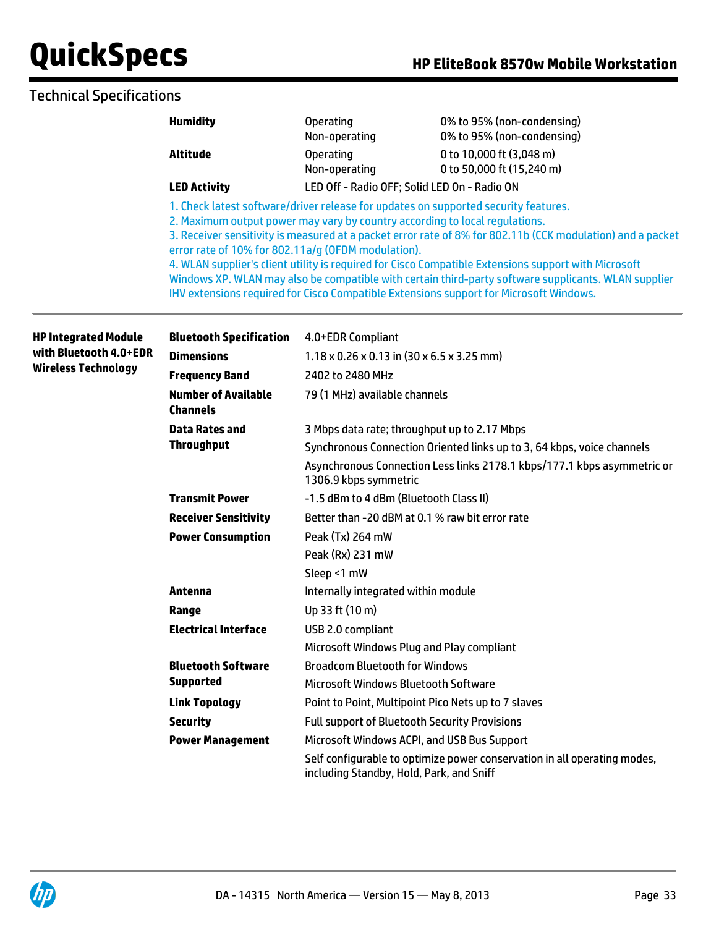### Technical Specifications

| <b>Humidity</b>     | <b>Operating</b><br>Non-operating                                                                                                 | 0% to 95% (non-condensing)<br>0% to 95% (non-condensing)                                                                                                                                                     |  |
|---------------------|-----------------------------------------------------------------------------------------------------------------------------------|--------------------------------------------------------------------------------------------------------------------------------------------------------------------------------------------------------------|--|
| Altitude            | <b>Operating</b><br>Non-operating                                                                                                 | 0 to 10,000 ft (3,048 m)<br>0 to 50,000 ft (15,240 m)                                                                                                                                                        |  |
| <b>LED Activity</b> | LED Off - Radio OFF; Solid LED On - Radio ON                                                                                      |                                                                                                                                                                                                              |  |
|                     | 2. Maximum output power may vary by country according to local regulations.<br>error rate of 10% for 802.11a/q (OFDM modulation). | 1. Check latest software/driver release for updates on supported security features.<br>3. Receiver sensitivity is measured at a packet error rate of 8% for 802.11b (CCK modulation) and a packet            |  |
|                     |                                                                                                                                   | 4. WLAN supplier's client utility is required for Cisco Compatible Extensions support with Microsoft<br>Windows XP. WLAN may also be compatible with certain third-party software supplicants. WLAN supplier |  |

IHV extensions required for Cisco Compatible Extensions support for Microsoft Windows.

**HP Integrated Module with Bluetooth 4.0+EDR Wireless Technology Bluetooth Specification** 4.0+EDR Compliant **Dimensions** 1.18 x 0.26 x 0.13 in (30 x 6.5 x 3.25 mm) **Frequency Band** 2402 to 2480 MHz **Number of Available Channels** 79 (1 MHz) available channels **Data Rates and Throughput** 3 Mbps data rate; throughput up to 2.17 Mbps Synchronous Connection Oriented links up to 3, 64 kbps, voice channels Asynchronous Connection Less links 2178.1 kbps/177.1 kbps asymmetric or 1306.9 kbps symmetric **Transmit Power** -1.5 dBm to 4 dBm (Bluetooth Class II) **Receiver Sensitivity** Better than -20 dBM at 0.1 % raw bit error rate **Power Consumption** Peak (Tx) 264 mW Peak (Rx) 231 mW Sleep <1 mW **Antenna Internally integrated within module Range** Up 33 ft (10 m) **Electrical Interface** USB 2.0 compliant Microsoft Windows Plug and Play compliant **Bluetooth Software Supported** Broadcom Bluetooth for Windows Microsoft Windows Bluetooth Software **Link Topology Point to Point, Multipoint Pico Nets up to 7 slaves Security** Full support of Bluetooth Security Provisions **Power Management** Microsoft Windows ACPI, and USB Bus Support Self configurable to optimize power conservation in all operating modes, including Standby, Hold, Park, and Sniff

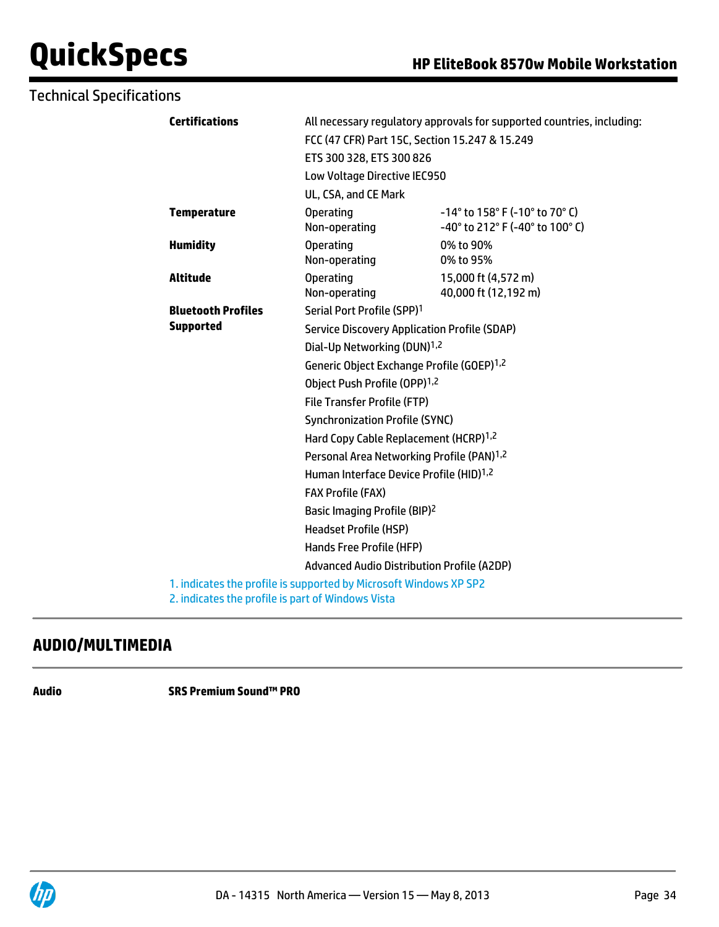| <b>Technical Specifications</b> |                           |                                                                                                                        |                                                                            |  |
|---------------------------------|---------------------------|------------------------------------------------------------------------------------------------------------------------|----------------------------------------------------------------------------|--|
| <b>Certifications</b>           |                           | All necessary regulatory approvals for supported countries, including:                                                 |                                                                            |  |
|                                 |                           |                                                                                                                        | FCC (47 CFR) Part 15C, Section 15.247 & 15.249                             |  |
|                                 |                           | ETS 300 328, ETS 300 826                                                                                               |                                                                            |  |
|                                 |                           | Low Voltage Directive IEC950                                                                                           |                                                                            |  |
|                                 |                           | UL, CSA, and CE Mark                                                                                                   |                                                                            |  |
|                                 | <b>Temperature</b>        | <b>Operating</b><br>Non-operating                                                                                      | $-14^{\circ}$ to 158° F (-10° to 70° C)<br>-40° to 212° F (-40° to 100° C) |  |
| <b>Humidity</b>                 |                           | <b>Operating</b><br>Non-operating                                                                                      | 0% to 90%<br>0% to 95%                                                     |  |
| <b>Altitude</b>                 |                           | <b>Operating</b><br>Non-operating                                                                                      | 15,000 ft (4,572 m)<br>40,000 ft (12,192 m)                                |  |
|                                 | <b>Bluetooth Profiles</b> | Serial Port Profile (SPP) <sup>1</sup>                                                                                 |                                                                            |  |
|                                 | <b>Supported</b>          | <b>Service Discovery Application Profile (SDAP)</b>                                                                    |                                                                            |  |
|                                 |                           | Dial-Up Networking (DUN) <sup>1,2</sup>                                                                                |                                                                            |  |
|                                 |                           | Generic Object Exchange Profile (GOEP) <sup>1,2</sup>                                                                  |                                                                            |  |
|                                 |                           | Object Push Profile (OPP) <sup>1,2</sup>                                                                               |                                                                            |  |
|                                 |                           | <b>File Transfer Profile (FTP)</b>                                                                                     |                                                                            |  |
|                                 |                           | <b>Synchronization Profile (SYNC)</b>                                                                                  |                                                                            |  |
|                                 |                           | Hard Copy Cable Replacement (HCRP) <sup>1,2</sup>                                                                      |                                                                            |  |
|                                 |                           | Personal Area Networking Profile (PAN) <sup>1,2</sup>                                                                  |                                                                            |  |
|                                 |                           | Human Interface Device Profile (HID) <sup>1,2</sup>                                                                    |                                                                            |  |
|                                 |                           | <b>FAX Profile (FAX)</b>                                                                                               |                                                                            |  |
|                                 |                           | Basic Imaging Profile (BIP) <sup>2</sup>                                                                               |                                                                            |  |
|                                 |                           | <b>Headset Profile (HSP)</b>                                                                                           |                                                                            |  |
|                                 |                           | Hands Free Profile (HFP)                                                                                               |                                                                            |  |
|                                 |                           | <b>Advanced Audio Distribution Profile (A2DP)</b>                                                                      |                                                                            |  |
|                                 |                           | 1. indicates the profile is supported by Microsoft Windows XP SP2<br>2. indicates the profile is part of Windows Vista |                                                                            |  |

## **AUDIO/MULTIMEDIA**

**Audio SRS Premium Sound™ PRO**

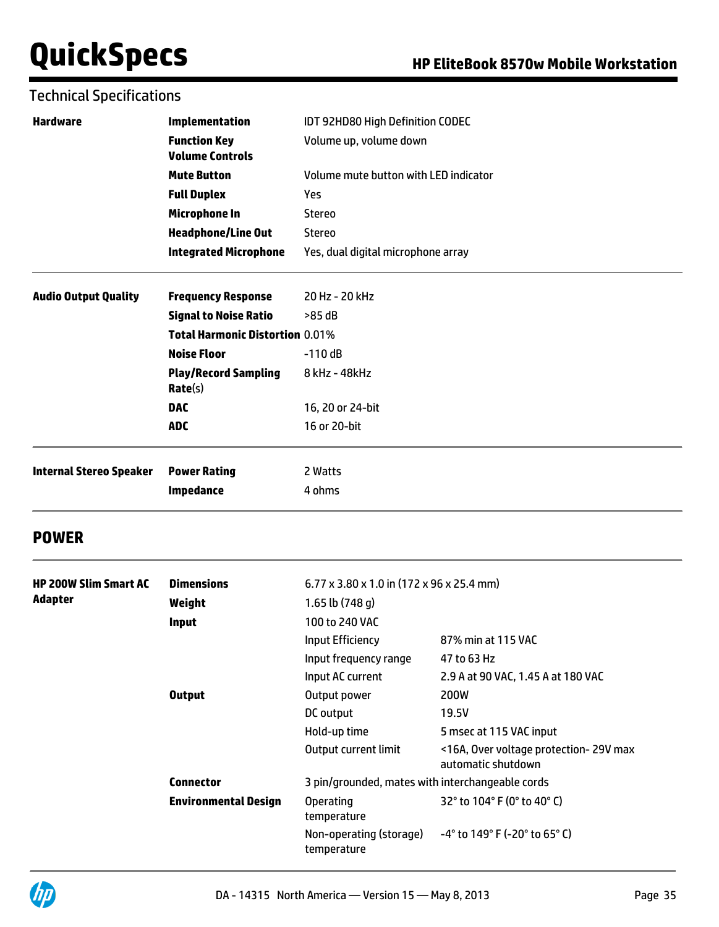### Technical Specifications

| <b>Hardware</b>                | <b>Implementation</b>                         | IDT 92HD80 High Definition CODEC                                |  |  |
|--------------------------------|-----------------------------------------------|-----------------------------------------------------------------|--|--|
|                                | <b>Function Key</b><br><b>Volume Controls</b> | Volume up, volume down<br>Volume mute button with LED indicator |  |  |
|                                | <b>Mute Button</b>                            |                                                                 |  |  |
|                                | <b>Full Duplex</b>                            | <b>Yes</b>                                                      |  |  |
|                                | Microphone In                                 | Stereo                                                          |  |  |
|                                | <b>Headphone/Line Out</b>                     | <b>Stereo</b>                                                   |  |  |
|                                | <b>Integrated Microphone</b>                  | Yes, dual digital microphone array                              |  |  |
| <b>Audio Output Quality</b>    | <b>Frequency Response</b>                     | 20 Hz - 20 kHz                                                  |  |  |
|                                | <b>Signal to Noise Ratio</b>                  | >85 dB                                                          |  |  |
|                                | <b>Total Harmonic Distortion 0.01%</b>        |                                                                 |  |  |
|                                | <b>Noise Floor</b>                            | $-110dB$                                                        |  |  |
|                                | <b>Play/Record Sampling</b><br>Rate(s)        | 8 kHz - 48 kHz                                                  |  |  |
|                                | <b>DAC</b>                                    | 16, 20 or 24-bit                                                |  |  |
|                                | <b>ADC</b>                                    | 16 or 20-bit                                                    |  |  |
| <b>Internal Stereo Speaker</b> | <b>Power Rating</b>                           | 2 Watts                                                         |  |  |
|                                | <b>Impedance</b>                              | 4 ohms                                                          |  |  |
|                                |                                               |                                                                 |  |  |

### **POWER**

| <b>HP 200W Slim Smart AC</b><br>Adapter | <b>Dimensions</b><br>Weight<br><b>Input</b>     | $6.77 \times 3.80 \times 1.0$ in (172 x 96 x 25.4 mm)<br>1.65 lb $(748 g)$<br>100 to 240 VAC<br>Input Efficiency<br>Input frequency range | 87% min at 115 VAC<br>47 to 63 Hz                                                                                              |
|-----------------------------------------|-------------------------------------------------|-------------------------------------------------------------------------------------------------------------------------------------------|--------------------------------------------------------------------------------------------------------------------------------|
|                                         | <b>Output</b>                                   | Input AC current<br>Output power<br>DC output<br>Hold-up time<br>Output current limit                                                     | 2.9 A at 90 VAC, 1.45 A at 180 VAC<br><b>200W</b><br>19.5V<br>5 msec at 115 VAC input<br><16A, Over voltage protection-29V max |
|                                         | <b>Connector</b><br><b>Environmental Design</b> | 3 pin/grounded, mates with interchangeable cords<br><b>Operating</b><br>temperature<br>Non-operating (storage)<br>temperature             | automatic shutdown<br>32° to 104° F (0° to 40° C)<br>$-4^{\circ}$ to 149° F (-20° to 65° C)                                    |

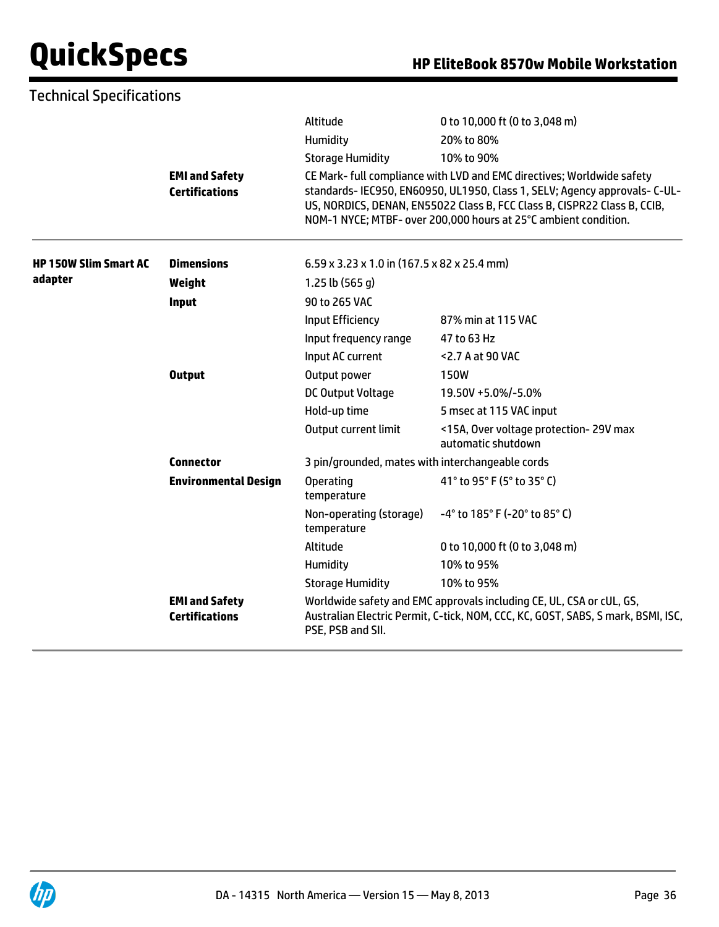| <b>Technical Specifications</b> |                                                |                                                  |                                                                                                                                                                                                                                                                                                     |  |
|---------------------------------|------------------------------------------------|--------------------------------------------------|-----------------------------------------------------------------------------------------------------------------------------------------------------------------------------------------------------------------------------------------------------------------------------------------------------|--|
|                                 |                                                | Altitude                                         | 0 to 10,000 ft (0 to 3,048 m)                                                                                                                                                                                                                                                                       |  |
|                                 |                                                | Humidity                                         | 20% to 80%                                                                                                                                                                                                                                                                                          |  |
|                                 |                                                | <b>Storage Humidity</b>                          | 10% to 90%                                                                                                                                                                                                                                                                                          |  |
|                                 | <b>EMI and Safety</b><br><b>Certifications</b> |                                                  | CE Mark- full compliance with LVD and EMC directives; Worldwide safety<br>standards- IEC950, EN60950, UL1950, Class 1, SELV; Agency approvals- C-UL-<br>US, NORDICS, DENAN, EN55022 Class B, FCC Class B, CISPR22 Class B, CCIB,<br>NOM-1 NYCE; MTBF- over 200,000 hours at 25°C ambient condition. |  |
| <b>HP 150W Slim Smart AC</b>    | <b>Dimensions</b>                              | 6.59 x 3.23 x 1.0 in (167.5 x 82 x 25.4 mm)      |                                                                                                                                                                                                                                                                                                     |  |
| adapter                         | Weight                                         | 1.25 lb $(565 g)$                                |                                                                                                                                                                                                                                                                                                     |  |
|                                 | Input                                          | 90 to 265 VAC                                    |                                                                                                                                                                                                                                                                                                     |  |
|                                 |                                                | Input Efficiency                                 | 87% min at 115 VAC                                                                                                                                                                                                                                                                                  |  |
|                                 |                                                | Input frequency range                            | 47 to 63 Hz                                                                                                                                                                                                                                                                                         |  |
|                                 |                                                | Input AC current                                 | <2.7 A at 90 VAC                                                                                                                                                                                                                                                                                    |  |
|                                 | <b>Output</b>                                  | Output power                                     | <b>150W</b>                                                                                                                                                                                                                                                                                         |  |
|                                 |                                                | DC Output Voltage                                | 19.50V +5.0%/-5.0%                                                                                                                                                                                                                                                                                  |  |
|                                 |                                                | Hold-up time                                     | 5 msec at 115 VAC input                                                                                                                                                                                                                                                                             |  |
|                                 |                                                | Output current limit                             | <15A, Over voltage protection-29V max<br>automatic shutdown                                                                                                                                                                                                                                         |  |
|                                 | <b>Connector</b>                               | 3 pin/grounded, mates with interchangeable cords |                                                                                                                                                                                                                                                                                                     |  |
|                                 | <b>Environmental Design</b>                    | <b>Operating</b><br>temperature                  | 41° to 95° F (5° to 35° C)                                                                                                                                                                                                                                                                          |  |
|                                 |                                                | Non-operating (storage)<br>temperature           | -4° to 185° F (-20° to 85° C)                                                                                                                                                                                                                                                                       |  |
|                                 |                                                | Altitude                                         | 0 to 10,000 ft (0 to 3,048 m)                                                                                                                                                                                                                                                                       |  |
|                                 |                                                | Humidity                                         | 10% to 95%                                                                                                                                                                                                                                                                                          |  |
|                                 |                                                | <b>Storage Humidity</b>                          | 10% to 95%                                                                                                                                                                                                                                                                                          |  |
|                                 | <b>EMI and Safety</b><br><b>Certifications</b> | PSE, PSB and SII.                                | Worldwide safety and EMC approvals including CE, UL, CSA or cUL, GS,<br>Australian Electric Permit, C-tick, NOM, CCC, KC, GOST, SABS, S mark, BSMI, ISC,                                                                                                                                            |  |

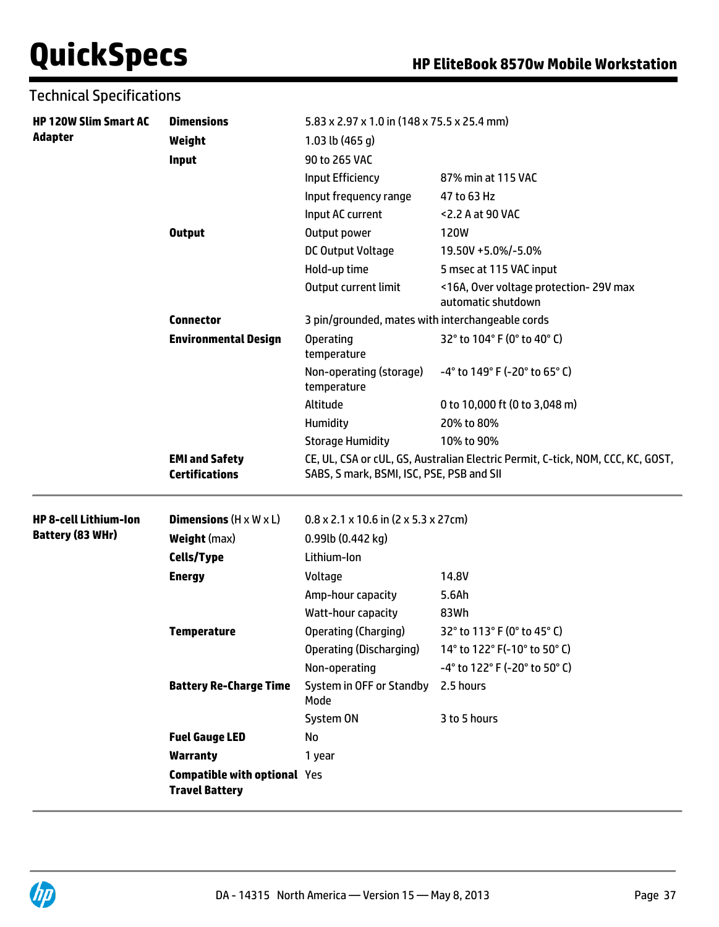| <b>Technical Specifications</b> |                                                              |                                                                |                                                                                 |  |
|---------------------------------|--------------------------------------------------------------|----------------------------------------------------------------|---------------------------------------------------------------------------------|--|
| <b>HP 120W Slim Smart AC</b>    | <b>Dimensions</b>                                            | 5.83 x 2.97 x 1.0 in (148 x 75.5 x 25.4 mm)                    |                                                                                 |  |
| <b>Adapter</b>                  | Weight                                                       | 1.03 lb $(465 g)$                                              |                                                                                 |  |
|                                 | Input                                                        | 90 to 265 VAC                                                  |                                                                                 |  |
|                                 |                                                              | Input Efficiency                                               | 87% min at 115 VAC                                                              |  |
|                                 |                                                              | Input frequency range                                          | 47 to 63 Hz                                                                     |  |
|                                 |                                                              | Input AC current                                               | <2.2 A at 90 VAC                                                                |  |
|                                 | <b>Output</b>                                                | Output power                                                   | 120W                                                                            |  |
|                                 |                                                              | DC Output Voltage                                              | 19.50V +5.0%/-5.0%                                                              |  |
|                                 |                                                              | Hold-up time                                                   | 5 msec at 115 VAC input                                                         |  |
|                                 |                                                              | Output current limit                                           | <16A, Over voltage protection-29V max<br>automatic shutdown                     |  |
|                                 | <b>Connector</b>                                             | 3 pin/grounded, mates with interchangeable cords               |                                                                                 |  |
|                                 | <b>Environmental Design</b>                                  | <b>Operating</b><br>temperature                                | 32° to 104° F (0° to 40° C)                                                     |  |
|                                 |                                                              | Non-operating (storage)<br>temperature                         | -4° to 149° F (-20° to 65° C)                                                   |  |
|                                 |                                                              | Altitude                                                       | 0 to 10,000 ft (0 to 3,048 m)                                                   |  |
|                                 |                                                              | Humidity                                                       | 20% to 80%                                                                      |  |
|                                 |                                                              | <b>Storage Humidity</b>                                        | 10% to 90%                                                                      |  |
|                                 | <b>EMI and Safety</b><br><b>Certifications</b>               | SABS, S mark, BSMI, ISC, PSE, PSB and SII                      | CE, UL, CSA or cUL, GS, Australian Electric Permit, C-tick, NOM, CCC, KC, GOST, |  |
| <b>HP 8-cell Lithium-Ion</b>    | <b>Dimensions</b> $(H \times W \times L)$                    | $0.8 \times 2.1 \times 10.6$ in (2 $\times$ 5.3 $\times$ 27cm) |                                                                                 |  |
| Battery (83 WHr)                | <b>Weight</b> (max)                                          | 0.99lb (0.442 kg)                                              |                                                                                 |  |
|                                 | Cells/Type                                                   | Lithium-Ion                                                    |                                                                                 |  |
|                                 | <b>Energy</b>                                                | Voltage                                                        | 14.8V                                                                           |  |
|                                 |                                                              | Amp-hour capacity                                              | 5.6Ah                                                                           |  |
|                                 |                                                              | Watt-hour capacity                                             | 83Wh                                                                            |  |
|                                 | <b>Temperature</b>                                           | Operating (Charging)                                           | 32° to 113° F (0° to 45° C)                                                     |  |
|                                 |                                                              | Operating (Discharging)                                        | 14° to 122° F(-10° to 50° C)                                                    |  |
|                                 |                                                              | Non-operating                                                  | -4° to 122° F (-20° to 50° C)                                                   |  |
|                                 | <b>Battery Re-Charge Time</b>                                | System in OFF or Standby<br>Mode                               | 2.5 hours                                                                       |  |
|                                 |                                                              | System ON                                                      | 3 to 5 hours                                                                    |  |
|                                 | <b>Fuel Gauge LED</b>                                        | No                                                             |                                                                                 |  |
|                                 | <b>Warranty</b>                                              | 1 year                                                         |                                                                                 |  |
|                                 | <b>Compatible with optional Yes</b><br><b>Travel Battery</b> |                                                                |                                                                                 |  |

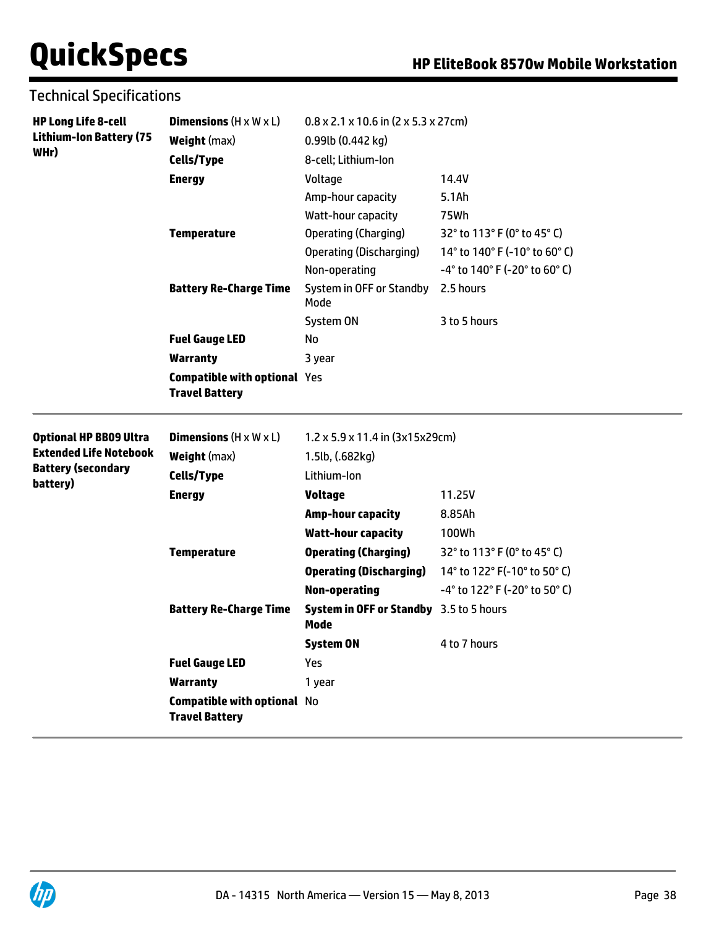Technical Specifications

| <b>HP Long Life 8-cell</b><br><b>Lithium-Ion Battery (75</b><br>WHr) | <b>Dimensions</b> $(H \times W \times L)$                    | $0.8 \times 2.1 \times 10.6$ in (2 x 5.3 x 27cm)       |                               |  |
|----------------------------------------------------------------------|--------------------------------------------------------------|--------------------------------------------------------|-------------------------------|--|
|                                                                      | <b>Weight (max)</b>                                          | 0.99lb (0.442 kg)                                      |                               |  |
|                                                                      | <b>Cells/Type</b>                                            | 8-cell; Lithium-Ion                                    |                               |  |
|                                                                      | <b>Energy</b>                                                | Voltage                                                | 14.4V                         |  |
|                                                                      |                                                              | Amp-hour capacity                                      | 5.1Ah                         |  |
|                                                                      |                                                              | Watt-hour capacity                                     | 75Wh                          |  |
|                                                                      | <b>Temperature</b>                                           | <b>Operating (Charging)</b>                            | 32° to 113° F (0° to 45° C)   |  |
|                                                                      |                                                              | <b>Operating (Discharging)</b>                         | 14° to 140° F (-10° to 60° C) |  |
|                                                                      |                                                              | Non-operating                                          | -4° to 140° F (-20° to 60° C) |  |
|                                                                      | <b>Battery Re-Charge Time</b>                                | System in OFF or Standby<br>Mode                       | 2.5 hours                     |  |
|                                                                      |                                                              | System ON                                              | 3 to 5 hours                  |  |
|                                                                      | <b>Fuel Gauge LED</b>                                        | No                                                     |                               |  |
|                                                                      | <b>Warranty</b>                                              | 3 year                                                 |                               |  |
|                                                                      | <b>Compatible with optional Yes</b><br><b>Travel Battery</b> |                                                        |                               |  |
| <b>Optional HP BB09 Ultra</b>                                        | <b>Dimensions</b> $(H \times W \times L)$                    | $1.2 \times 5.9 \times 11.4$ in (3x15x29cm)            |                               |  |
| <b>Extended Life Notebook</b>                                        | <b>Weight</b> (max)                                          | 1.5lb, (.682kg)                                        |                               |  |
| <b>Battery (secondary</b><br>battery)                                | <b>Cells/Type</b>                                            | Lithium-Ion                                            |                               |  |
|                                                                      | <b>Energy</b>                                                | <b>Voltage</b>                                         | 11.25V                        |  |
|                                                                      |                                                              | <b>Amp-hour capacity</b>                               | 8.85Ah                        |  |
|                                                                      |                                                              | <b>Watt-hour capacity</b>                              | 100Wh                         |  |
|                                                                      | <b>Temperature</b>                                           | <b>Operating (Charging)</b>                            | 32° to 113° F (0° to 45° C)   |  |
|                                                                      |                                                              | <b>Operating (Discharging)</b>                         | 14° to 122° F(-10° to 50° C)  |  |
|                                                                      |                                                              | <b>Non-operating</b>                                   | -4° to 122° F (-20° to 50° C) |  |
|                                                                      | <b>Battery Re-Charge Time</b>                                | <b>System in OFF or Standby</b> 3.5 to 5 hours<br>Mode |                               |  |
|                                                                      |                                                              | <b>System ON</b>                                       | 4 to 7 hours                  |  |
|                                                                      |                                                              |                                                        |                               |  |
|                                                                      | <b>Fuel Gauge LED</b>                                        | Yes                                                    |                               |  |
|                                                                      | <b>Warranty</b>                                              | 1 year                                                 |                               |  |

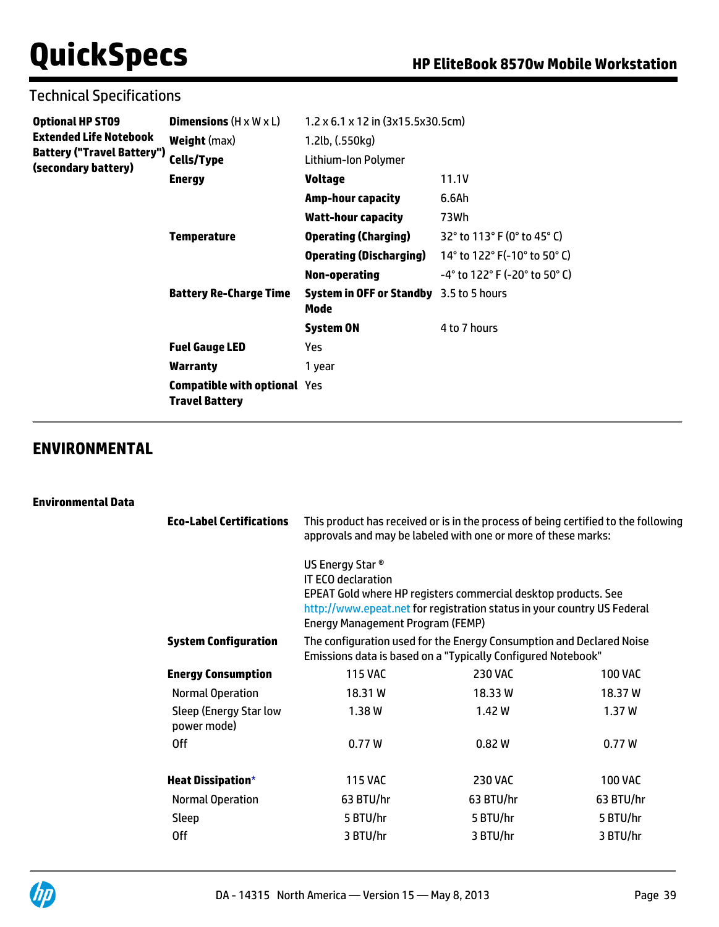## Technical Specifications

| <b>Optional HP ST09</b>    | <b>Dimensions</b> $(H \times W \times L)$                    | $1.2 \times 6.1 \times 12$ in $(3x15.5x30.5cm)$        |                                                                      |
|----------------------------|--------------------------------------------------------------|--------------------------------------------------------|----------------------------------------------------------------------|
| Extended Life Notebook     | <b>Weight</b> (max)                                          | 1.2lb, (.550kg)                                        |                                                                      |
| Battery ("Travel Battery") | Cells/Type                                                   | Lithium-Ion Polymer                                    |                                                                      |
| (secondary battery)        | <b>Energy</b>                                                | <b>Voltage</b>                                         | 11.1V                                                                |
|                            |                                                              | <b>Amp-hour capacity</b>                               | 6.6Ah                                                                |
|                            |                                                              | <b>Watt-hour capacity</b>                              | 73Wh                                                                 |
|                            | <b>Temperature</b>                                           | <b>Operating (Charging)</b>                            | 32° to 113° F (0° to 45° C)                                          |
|                            |                                                              | <b>Operating (Discharging)</b>                         | 14 $^{\circ}$ to 122 $^{\circ}$ F(-10 $^{\circ}$ to 50 $^{\circ}$ C) |
|                            |                                                              | Non-operating                                          | $-4^{\circ}$ to 122° F (-20° to 50° C)                               |
|                            | <b>Battery Re-Charge Time</b>                                | <b>System in OFF or Standby</b> 3.5 to 5 hours<br>Mode |                                                                      |
|                            |                                                              | <b>System ON</b>                                       | 4 to 7 hours                                                         |
|                            | <b>Fuel Gauge LED</b>                                        | Yes.                                                   |                                                                      |
|                            | Warranty                                                     | 1 year                                                 |                                                                      |
|                            | <b>Compatible with optional Yes</b><br><b>Travel Battery</b> |                                                        |                                                                      |

### **ENVIRONMENTAL**

#### **Environmental Data**

| <b>Eco-Label Certifications</b>       | This product has received or is in the process of being certified to the following<br>approvals and may be labeled with one or more of these marks:<br>US Energy Star <sup>®</sup><br><b>IT ECO declaration</b><br>EPEAT Gold where HP registers commercial desktop products. See<br>http://www.epeat.net for registration status in your country US Federal<br><b>Energy Management Program (FEMP)</b> |                |                |  |
|---------------------------------------|---------------------------------------------------------------------------------------------------------------------------------------------------------------------------------------------------------------------------------------------------------------------------------------------------------------------------------------------------------------------------------------------------------|----------------|----------------|--|
|                                       |                                                                                                                                                                                                                                                                                                                                                                                                         |                |                |  |
| <b>System Configuration</b>           | The configuration used for the Energy Consumption and Declared Noise<br>Emissions data is based on a "Typically Configured Notebook"                                                                                                                                                                                                                                                                    |                |                |  |
| <b>Energy Consumption</b>             | <b>115 VAC</b>                                                                                                                                                                                                                                                                                                                                                                                          | <b>230 VAC</b> | <b>100 VAC</b> |  |
| <b>Normal Operation</b>               | 18.31W                                                                                                                                                                                                                                                                                                                                                                                                  | 18.33 W        | 18.37 W        |  |
| Sleep (Energy Star low<br>power mode) | 1.38W                                                                                                                                                                                                                                                                                                                                                                                                   | 1.42 W         | 1.37W          |  |
| 0ff                                   | 0.77W                                                                                                                                                                                                                                                                                                                                                                                                   | 0.82W          | 0.77W          |  |
| <b>Heat Dissipation*</b>              | <b>115 VAC</b>                                                                                                                                                                                                                                                                                                                                                                                          | <b>230 VAC</b> | <b>100 VAC</b> |  |
| <b>Normal Operation</b>               | 63 BTU/hr                                                                                                                                                                                                                                                                                                                                                                                               | 63 BTU/hr      | 63 BTU/hr      |  |
| Sleep                                 | 5 BTU/hr                                                                                                                                                                                                                                                                                                                                                                                                | 5 BTU/hr       | 5 BTU/hr       |  |
| 0ff                                   | 3 BTU/hr                                                                                                                                                                                                                                                                                                                                                                                                | 3 BTU/hr       | 3 BTU/hr       |  |

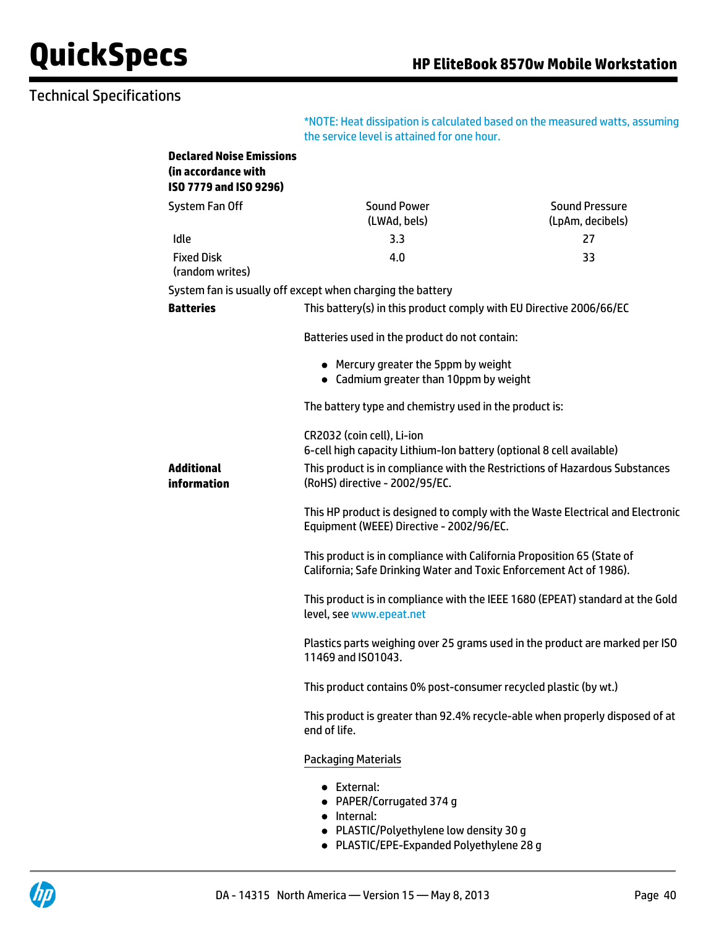## Technical Specifications

\*NOTE: Heat dissipation is calculated based on the measured watts, assuming the service level is attained for one hour.

| <b>Declared Noise Emissions</b><br>(in accordance with<br>ISO 7779 and ISO 9296) |                                                                                                                                                                                                                     |                                           |
|----------------------------------------------------------------------------------|---------------------------------------------------------------------------------------------------------------------------------------------------------------------------------------------------------------------|-------------------------------------------|
| System Fan Off                                                                   | <b>Sound Power</b><br>(LWAd, bels)                                                                                                                                                                                  | <b>Sound Pressure</b><br>(LpAm, decibels) |
| Idle                                                                             | 3.3                                                                                                                                                                                                                 | 27                                        |
| <b>Fixed Disk</b><br>(random writes)                                             | 4.0                                                                                                                                                                                                                 | 33                                        |
|                                                                                  | System fan is usually off except when charging the battery                                                                                                                                                          |                                           |
| <b>Batteries</b>                                                                 | This battery(s) in this product comply with EU Directive 2006/66/EC                                                                                                                                                 |                                           |
|                                                                                  | Batteries used in the product do not contain:                                                                                                                                                                       |                                           |
|                                                                                  | • Mercury greater the 5ppm by weight<br>• Cadmium greater than 10ppm by weight                                                                                                                                      |                                           |
|                                                                                  | The battery type and chemistry used in the product is:                                                                                                                                                              |                                           |
| <b>Additional</b><br>information                                                 | CR2032 (coin cell), Li-ion<br>6-cell high capacity Lithium-Ion battery (optional 8 cell available)<br>This product is in compliance with the Restrictions of Hazardous Substances<br>(RoHS) directive - 2002/95/EC. |                                           |
|                                                                                  | This HP product is designed to comply with the Waste Electrical and Electronic<br>Equipment (WEEE) Directive - 2002/96/EC.                                                                                          |                                           |
|                                                                                  | This product is in compliance with California Proposition 65 (State of<br>California; Safe Drinking Water and Toxic Enforcement Act of 1986).                                                                       |                                           |
|                                                                                  | This product is in compliance with the IEEE 1680 (EPEAT) standard at the Gold<br>level, see www.epeat.net                                                                                                           |                                           |
|                                                                                  | Plastics parts weighing over 25 grams used in the product are marked per ISO<br>11469 and ISO1043.                                                                                                                  |                                           |
|                                                                                  | This product contains 0% post-consumer recycled plastic (by wt.)                                                                                                                                                    |                                           |
|                                                                                  | This product is greater than 92.4% recycle-able when properly disposed of at<br>end of life.                                                                                                                        |                                           |
|                                                                                  | <b>Packaging Materials</b>                                                                                                                                                                                          |                                           |
|                                                                                  | • External:<br>• PAPER/Corrugated 374 g<br>• Internal:<br>• PLASTIC/Polyethylene low density 30 g                                                                                                                   |                                           |

PLASTIC/EPE-Expanded Polyethylene 28 g

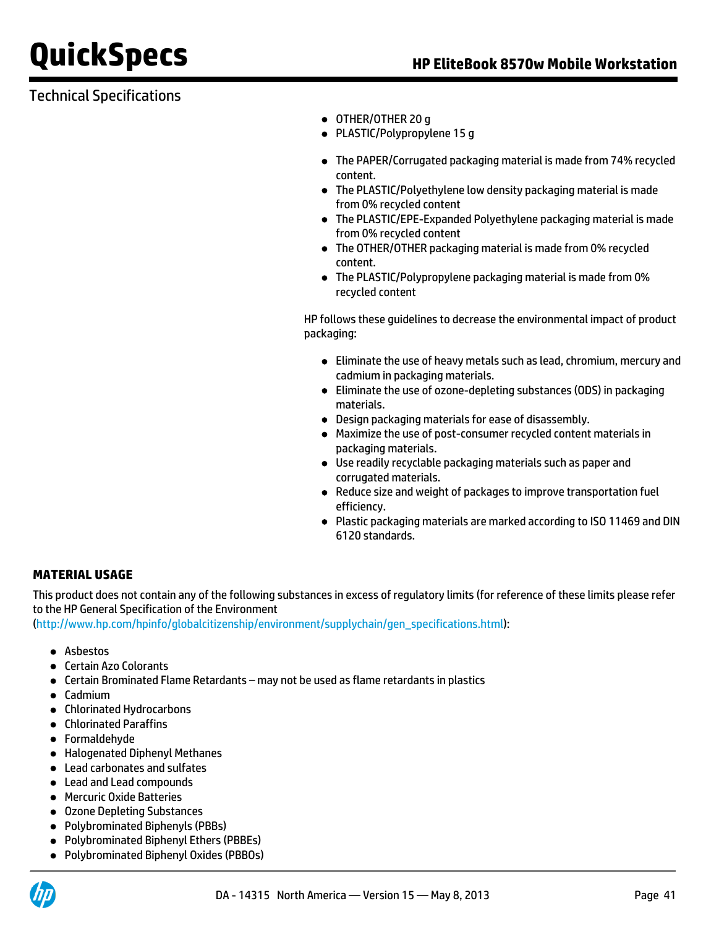## Technical Specifications

- OTHER/OTHER 20 q
- PLASTIC/Polypropylene 15 g
- The PAPER/Corrugated packaging material is made from 74% recycled content.
- The PLASTIC/Polyethylene low density packaging material is made from 0% recycled content
- The PLASTIC/EPE-Expanded Polyethylene packaging material is made from 0% recycled content
- The OTHER/OTHER packaging material is made from 0% recycled content.
- The PLASTIC/Polypropylene packaging material is made from 0% recycled content

HP follows these guidelines to decrease the environmental impact of product packaging:

- Eliminate the use of heavy metals such as lead, chromium, mercury and cadmium in packaging materials.
- Eliminate the use of ozone-depleting substances (ODS) in packaging materials.
- Design packaging materials for ease of disassembly.
- Maximize the use of post-consumer recycled content materials in packaging materials.
- Use readily recyclable packaging materials such as paper and corrugated materials.
- Reduce size and weight of packages to improve transportation fuel efficiency.
- Plastic packaging materials are marked according to ISO 11469 and DIN 6120 standards.

### **MATERIAL USAGE**

This product does not contain any of the following substances in excess of regulatory limits (for reference of these limits please refer to the HP General Specification of the Environment

([http://www.hp.com/hpinfo/globalcitizenship/environment/supplychain/gen\\_specifications.html\)](http://www.hp.com/hpinfo/globalcitizenship/environment/supplychain/gen_specifications.html):

- Asbestos
- Certain Azo Colorants
- Certain Brominated Flame Retardants may not be used as flame retardants in plastics
- Cadmium
- Chlorinated Hydrocarbons
- Chlorinated Paraffins
- **•** Formaldehyde
- Halogenated Diphenyl Methanes
- Lead carbonates and sulfates
- Lead and Lead compounds
- Mercuric Oxide Batteries
- Ozone Depleting Substances
- Polybrominated Biphenyls (PBBs)
- Polybrominated Biphenyl Ethers (PBBEs)
- Polybrominated Biphenyl Oxides (PBBOs)

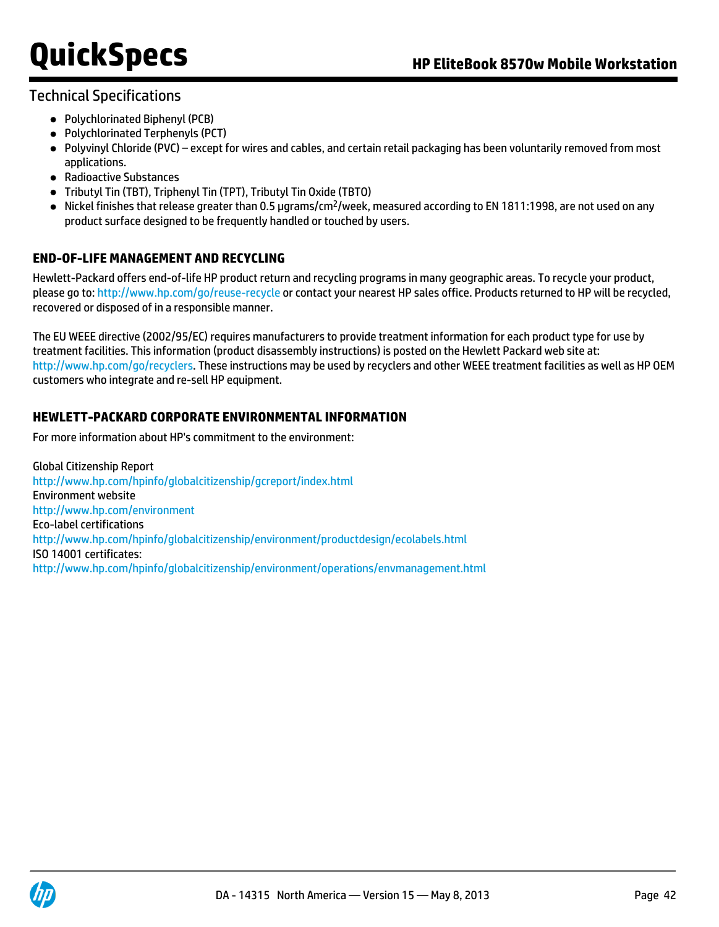### Technical Specifications

- Polychlorinated Biphenyl (PCB)
- Polychlorinated Terphenyls (PCT)
- Polyvinyl Chloride (PVC) except for wires and cables, and certain retail packaging has been voluntarily removed from most applications.
- Radioactive Substances
- Tributyl Tin (TBT), Triphenyl Tin (TPT), Tributyl Tin Oxide (TBTO)
- $\bullet$  Nickel finishes that release greater than 0.5 µgrams/cm<sup>2</sup>/week, measured according to EN 1811:1998, are not used on any product surface designed to be frequently handled or touched by users.

### **END-OF-LIFE MANAGEMENT AND RECYCLING**

Hewlett-Packard offers end-of-life HP product return and recycling programs in many geographic areas. To recycle your product, please go to:<http://www.hp.com/go/reuse-recycle> or contact your nearest HP sales office. Products returned to HP will be recycled, recovered or disposed of in a responsible manner.

The EU WEEE directive (2002/95/EC) requires manufacturers to provide treatment information for each product type for use by treatment facilities. This information (product disassembly instructions) is posted on the Hewlett Packard web site at: <http://www.hp.com/go/recyclers>. These instructions may be used by recyclers and other WEEE treatment facilities as well as HP OEM customers who integrate and re-sell HP equipment.

### **HEWLETT-PACKARD CORPORATE ENVIRONMENTAL INFORMATION**

For more information about HP's commitment to the environment:

Global Citizenship Report <http://www.hp.com/hpinfo/globalcitizenship/gcreport/index.html> Environment website <http://www.hp.com/environment> Eco-label certifications <http://www.hp.com/hpinfo/globalcitizenship/environment/productdesign/ecolabels.html> ISO 14001 certificates: <http://www.hp.com/hpinfo/globalcitizenship/environment/operations/envmanagement.html>

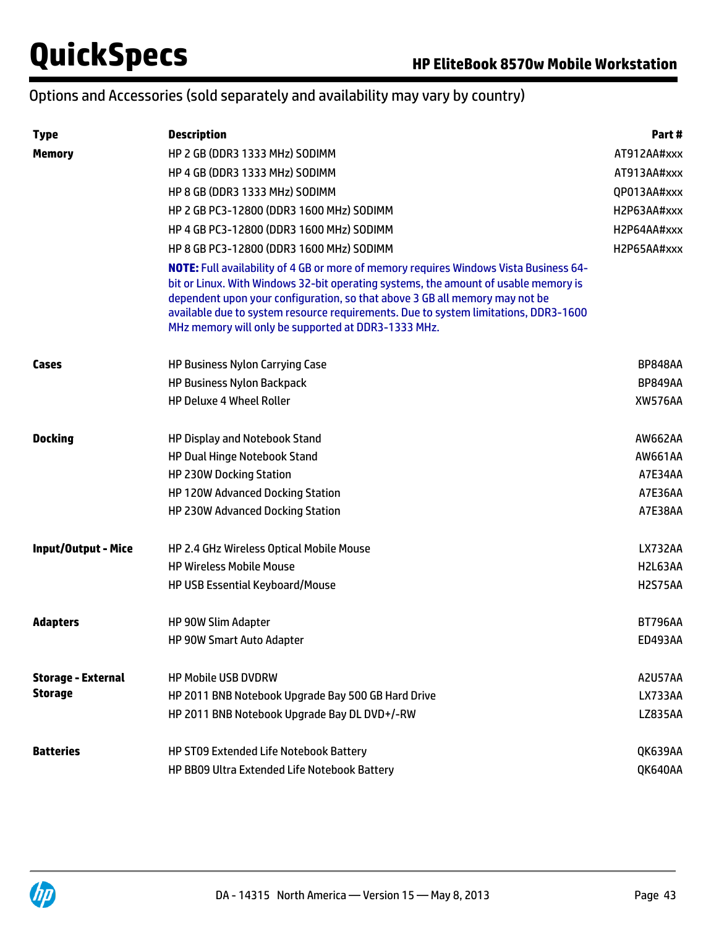## Options and Accessories (sold separately and availability may vary by country)

| <b>Type</b>                | <b>Description</b>                                                                                                                                                                                                                                                                                                                                                                                               | Part#          |
|----------------------------|------------------------------------------------------------------------------------------------------------------------------------------------------------------------------------------------------------------------------------------------------------------------------------------------------------------------------------------------------------------------------------------------------------------|----------------|
| <b>Memory</b>              | HP 2 GB (DDR3 1333 MHz) SODIMM                                                                                                                                                                                                                                                                                                                                                                                   | AT912AA#xxx    |
|                            | HP 4 GB (DDR3 1333 MHz) SODIMM                                                                                                                                                                                                                                                                                                                                                                                   | AT913AA#xxx    |
|                            | HP 8 GB (DDR3 1333 MHz) SODIMM                                                                                                                                                                                                                                                                                                                                                                                   | QP013AA#xxx    |
|                            | HP 2 GB PC3-12800 (DDR3 1600 MHz) SODIMM                                                                                                                                                                                                                                                                                                                                                                         | H2P63AA#xxx    |
|                            | HP 4 GB PC3-12800 (DDR3 1600 MHz) SODIMM                                                                                                                                                                                                                                                                                                                                                                         | H2P64AA#xxx    |
|                            | HP 8 GB PC3-12800 (DDR3 1600 MHz) SODIMM                                                                                                                                                                                                                                                                                                                                                                         | H2P65AA#xxx    |
|                            | <b>NOTE:</b> Full availability of 4 GB or more of memory requires Windows Vista Business 64-<br>bit or Linux. With Windows 32-bit operating systems, the amount of usable memory is<br>dependent upon your configuration, so that above 3 GB all memory may not be<br>available due to system resource requirements. Due to system limitations, DDR3-1600<br>MHz memory will only be supported at DDR3-1333 MHz. |                |
| Cases                      | HP Business Nylon Carrying Case                                                                                                                                                                                                                                                                                                                                                                                  | <b>BP848AA</b> |
|                            | <b>HP Business Nylon Backpack</b>                                                                                                                                                                                                                                                                                                                                                                                | <b>BP849AA</b> |
|                            | <b>HP Deluxe 4 Wheel Roller</b>                                                                                                                                                                                                                                                                                                                                                                                  | <b>XW576AA</b> |
| <b>Docking</b>             | <b>HP Display and Notebook Stand</b>                                                                                                                                                                                                                                                                                                                                                                             | AW662AA        |
|                            | HP Dual Hinge Notebook Stand                                                                                                                                                                                                                                                                                                                                                                                     | AW661AA        |
|                            | <b>HP 230W Docking Station</b>                                                                                                                                                                                                                                                                                                                                                                                   | A7E34AA        |
|                            | HP 120W Advanced Docking Station                                                                                                                                                                                                                                                                                                                                                                                 | A7E36AA        |
|                            | HP 230W Advanced Docking Station                                                                                                                                                                                                                                                                                                                                                                                 | A7E38AA        |
| <b>Input/Output - Mice</b> | HP 2.4 GHz Wireless Optical Mobile Mouse                                                                                                                                                                                                                                                                                                                                                                         | LX732AA        |
|                            | <b>HP Wireless Mobile Mouse</b>                                                                                                                                                                                                                                                                                                                                                                                  | H2L63AA        |
|                            | HP USB Essential Keyboard/Mouse                                                                                                                                                                                                                                                                                                                                                                                  | <b>H2S75AA</b> |
| <b>Adapters</b>            | HP 90W Slim Adapter                                                                                                                                                                                                                                                                                                                                                                                              | <b>BT796AA</b> |
|                            | HP 90W Smart Auto Adapter                                                                                                                                                                                                                                                                                                                                                                                        | <b>ED493AA</b> |
| <b>Storage - External</b>  | <b>HP Mobile USB DVDRW</b>                                                                                                                                                                                                                                                                                                                                                                                       | <b>A2U57AA</b> |
| <b>Storage</b>             | HP 2011 BNB Notebook Upgrade Bay 500 GB Hard Drive                                                                                                                                                                                                                                                                                                                                                               | <b>LX733AA</b> |
|                            | HP 2011 BNB Notebook Upgrade Bay DL DVD+/-RW                                                                                                                                                                                                                                                                                                                                                                     | <b>LZ835AA</b> |
| <b>Batteries</b>           | HP ST09 Extended Life Notebook Battery                                                                                                                                                                                                                                                                                                                                                                           | QK639AA        |
|                            | HP BB09 Ultra Extended Life Notebook Battery                                                                                                                                                                                                                                                                                                                                                                     | QK640AA        |